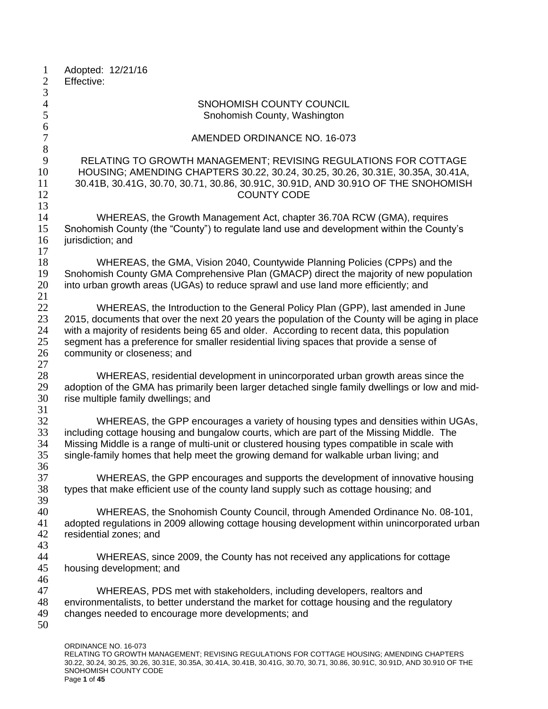| $\mathbf{1}$<br>$\mathbf{2}$ | Adopted: 12/21/16<br>Effective:                                                                 |
|------------------------------|-------------------------------------------------------------------------------------------------|
| $\mathfrak{Z}$               |                                                                                                 |
| $\overline{4}$               | SNOHOMISH COUNTY COUNCIL                                                                        |
| 5                            | Snohomish County, Washington                                                                    |
| 6                            |                                                                                                 |
| $\boldsymbol{7}$             | AMENDED ORDINANCE NO. 16-073                                                                    |
| 8                            |                                                                                                 |
| 9                            | RELATING TO GROWTH MANAGEMENT; REVISING REGULATIONS FOR COTTAGE                                 |
| 10                           | HOUSING; AMENDING CHAPTERS 30.22, 30.24, 30.25, 30.26, 30.31E, 30.35A, 30.41A,                  |
| 11                           | 30.41B, 30.41G, 30.70, 30.71, 30.86, 30.91C, 30.91D, AND 30.91O OF THE SNOHOMISH                |
| 12                           | <b>COUNTY CODE</b>                                                                              |
| 13                           |                                                                                                 |
| 14                           | WHEREAS, the Growth Management Act, chapter 36.70A RCW (GMA), requires                          |
| 15                           | Snohomish County (the "County") to regulate land use and development within the County's        |
| 16<br>17                     | jurisdiction; and                                                                               |
| 18                           | WHEREAS, the GMA, Vision 2040, Countywide Planning Policies (CPPs) and the                      |
| 19                           | Snohomish County GMA Comprehensive Plan (GMACP) direct the majority of new population           |
| 20                           | into urban growth areas (UGAs) to reduce sprawl and use land more efficiently; and              |
| 21                           |                                                                                                 |
| 22                           | WHEREAS, the Introduction to the General Policy Plan (GPP), last amended in June                |
| 23                           | 2015, documents that over the next 20 years the population of the County will be aging in place |
| 24                           | with a majority of residents being 65 and older. According to recent data, this population      |
| 25                           | segment has a preference for smaller residential living spaces that provide a sense of          |
| 26                           | community or closeness; and                                                                     |
| 27                           |                                                                                                 |
| 28                           | WHEREAS, residential development in unincorporated urban growth areas since the                 |
| 29                           | adoption of the GMA has primarily been larger detached single family dwellings or low and mid-  |
| 30                           | rise multiple family dwellings; and                                                             |
| 31                           |                                                                                                 |
| 32                           | WHEREAS, the GPP encourages a variety of housing types and densities within UGAs,               |
| 33                           | including cottage housing and bungalow courts, which are part of the Missing Middle. The        |
| 34                           | Missing Middle is a range of multi-unit or clustered housing types compatible in scale with     |
| 35                           | single-family homes that help meet the growing demand for walkable urban living; and            |
| 36<br>37                     | WHEREAS, the GPP encourages and supports the development of innovative housing                  |
| 38                           | types that make efficient use of the county land supply such as cottage housing; and            |
| 39                           |                                                                                                 |
| 40                           | WHEREAS, the Snohomish County Council, through Amended Ordinance No. 08-101,                    |
| 41                           | adopted regulations in 2009 allowing cottage housing development within unincorporated urban    |
| 42                           | residential zones; and                                                                          |
| 43                           |                                                                                                 |
| 44                           | WHEREAS, since 2009, the County has not received any applications for cottage                   |
| 45                           | housing development; and                                                                        |
| 46                           |                                                                                                 |
| 47                           | WHEREAS, PDS met with stakeholders, including developers, realtors and                          |
| 48                           | environmentalists, to better understand the market for cottage housing and the regulatory       |
| 49                           | changes needed to encourage more developments; and                                              |
| 50                           |                                                                                                 |
|                              |                                                                                                 |
|                              | ORDINANCE NO. 16-073                                                                            |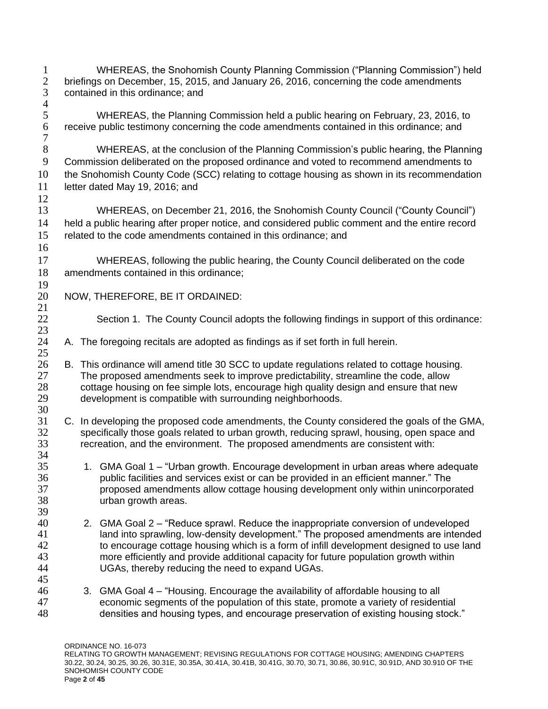1 WHEREAS, the Snohomish County Planning Commission ("Planning Commission") held<br>2 briefings on December, 15, 2015, and January 26, 2016, concerning the code amendments 2 briefings on December, 15, 2015, and January 26, 2016, concerning the code amendments<br>3 contained in this ordinance; and contained in this ordinance; and  $\frac{4}{5}$  WHEREAS, the Planning Commission held a public hearing on February, 23, 2016, to receive public testimony concerning the code amendments contained in this ordinance; and WHEREAS, at the conclusion of the Planning Commission's public hearing, the Planning Commission deliberated on the proposed ordinance and voted to recommend amendments to the Snohomish County Code (SCC) relating to cottage housing as shown in its recommendation 11 letter dated May 19, 2016; and WHEREAS, on December 21, 2016, the Snohomish County Council ("County Council") held a public hearing after proper notice, and considered public comment and the entire record related to the code amendments contained in this ordinance; and WHEREAS, following the public hearing, the County Council deliberated on the code amendments contained in this ordinance;  $\frac{19}{20}$  NOW, THEREFORE, BE IT ORDAINED: Section 1. The County Council adopts the following findings in support of this ordinance: A. The foregoing recitals are adopted as findings as if set forth in full herein. 26 B. This ordinance will amend title 30 SCC to update regulations related to cottage housing.<br>27 The proposed amendments seek to improve predictability, streamline the code, allow The proposed amendments seek to improve predictability, streamline the code, allow 28 cottage housing on fee simple lots, encourage high quality design and ensure that new<br>29 development is compatible with surrounding neighborhoods. development is compatible with surrounding neighborhoods. C. In developing the proposed code amendments, the County considered the goals of the GMA, 32 specifically those goals related to urban growth, reducing sprawl, housing, open space and recreation, and the environment. The proposed amendments are consistent with: recreation, and the environment. The proposed amendments are consistent with: 1. GMA Goal 1 – "Urban growth. Encourage development in urban areas where adequate public facilities and services exist or can be provided in an efficient manner." The proposed amendments allow cottage housing development only within unincorporated urban growth areas. 2. GMA Goal 2 – "Reduce sprawl. Reduce the inappropriate conversion of undeveloped 41 land into sprawling, low-density development." The proposed amendments are intended to encourage cottage housing which is a form of infill development designed to use land more efficiently and provide additional capacity for future population growth within UGAs, thereby reducing the need to expand UGAs. 3. GMA Goal 4 – "Housing. Encourage the availability of affordable housing to all economic segments of the population of this state, promote a variety of residential densities and housing types, and encourage preservation of existing housing stock."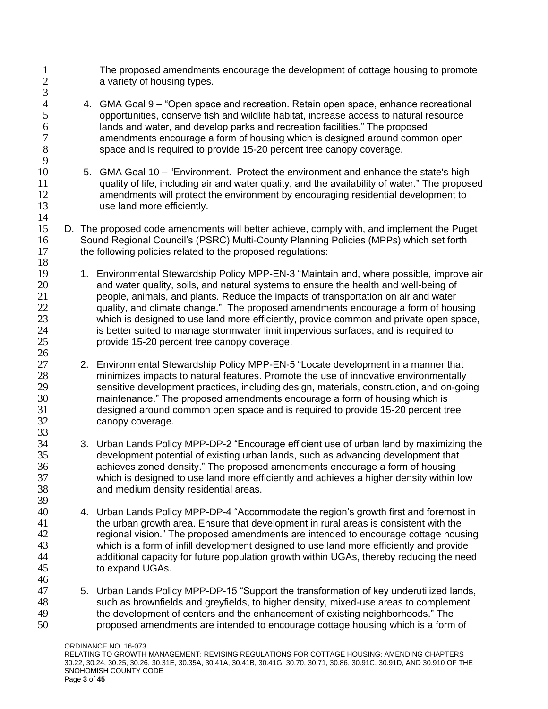- 1 The proposed amendments encourage the development of cottage housing to promote<br>2 avariety of housing types. a variety of housing types.
- 4 4. GMA Goal 9 "Open space and recreation. Retain open space, enhance recreational 5 opportunities, conserve fish and wildlife habitat, increase access to natural resource 6 lands and water, and develop parks and recreation facilities." The proposed amendments encourage a form of housing which is designed around common open 8 space and is required to provide 15-20 percent tree canopy coverage.

 $\frac{3}{4}$ 

9

14

 $\frac{26}{27}$ 

33<br>34

- 10 5. GMA Goal 10 "Environment. Protect the environment and enhance the state's high 11 quality of life, including air and water quality, and the availability of water." The proposed 12 amendments will protect the environment by encouraging residential development to 13 use land more efficiently.
- 15 D. The proposed code amendments will better achieve, comply with, and implement the Puget 16 Sound Regional Council's (PSRC) Multi-County Planning Policies (MPPs) which set forth 17 the following policies related to the proposed regulations: 18
- 19 1. Environmental Stewardship Policy MPP-EN-3 "Maintain and, where possible, improve air 20 and water quality, soils, and natural systems to ensure the health and well-being of 21 people, animals, and plants. Reduce the impacts of transportation on air and water 22 quality, and climate change." The proposed amendments encourage a form of housing 23 which is designed to use land more efficiently, provide common and private open space, 24 is better suited to manage stormwater limit impervious surfaces, and is required to 25 provide 15-20 percent tree canopy coverage.
- 2. Environmental Stewardship Policy MPP-EN-5 "Locate development in a manner that 28 minimizes impacts to natural features. Promote the use of innovative environmentally 29 sensitive development practices, including design, materials, construction, and on-going<br>30 maintenance." The proposed amendments encourage a form of housing which is maintenance." The proposed amendments encourage a form of housing which is 31 designed around common open space and is required to provide 15-20 percent tree 32 canopy coverage.
- 3. Urban Lands Policy MPP-DP-2 "Encourage efficient use of urban land by maximizing the 35 development potential of existing urban lands, such as advancing development that 36 achieves zoned density." The proposed amendments encourage a form of housing 37 which is designed to use land more efficiently and achieves a higher density within low 38 and medium density residential areas.
- 40 4. Urban Lands Policy MPP-DP-4 "Accommodate the region's growth first and foremost in 41 the urban growth area. Ensure that development in rural areas is consistent with the 42 regional vision." The proposed amendments are intended to encourage cottage housing 43 which is a form of infill development designed to use land more efficiently and provide<br>44 additional capacity for future population growth within UGAs, thereby reducing the nee additional capacity for future population growth within UGAs, thereby reducing the need 45 to expand UGAs.
- 46<br>47 5. Urban Lands Policy MPP-DP-15 "Support the transformation of key underutilized lands, 48 such as brownfields and greyfields, to higher density, mixed-use areas to complement 49 the development of centers and the enhancement of existing neighborhoods." The 50 proposed amendments are intended to encourage cottage housing which is a form of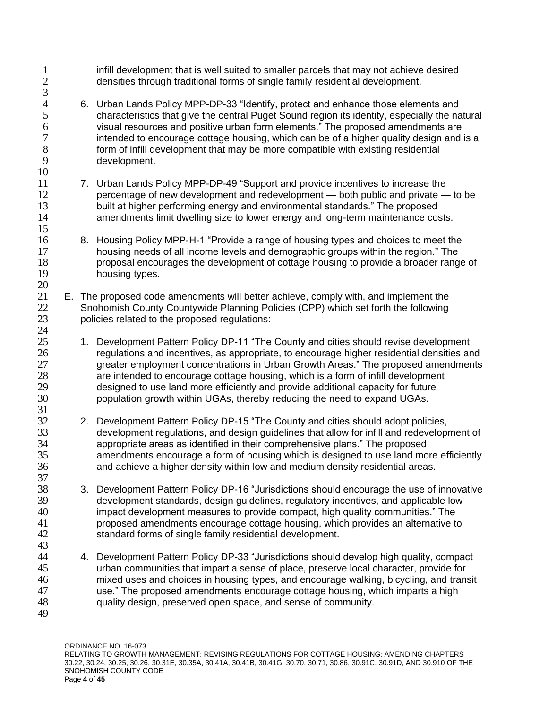1 infill development that is well suited to smaller parcels that may not achieve desired<br>2 densities through traditional forms of single family residential development. densities through traditional forms of single family residential development.  $\frac{3}{4}$ 4 6. Urban Lands Policy MPP-DP-33 "Identify, protect and enhance those elements and<br>5 characteristics that give the central Puget Sound region its identity, especially the na 5 characteristics that give the central Puget Sound region its identity, especially the natural 6 visual resources and positive urban form elements." The proposed amendments are intended to encourage cottage housing, which can be of a higher quality design and is a 8 form of infill development that may be more compatible with existing residential 9 development. 10 11 7. Urban Lands Policy MPP-DP-49 "Support and provide incentives to increase the 12 percentage of new development and redevelopment — both public and private — to be 13 built at higher performing energy and environmental standards." The proposed 14 amendments limit dwelling size to lower energy and long-term maintenance costs. 15 16 8. Housing Policy MPP-H-1 "Provide a range of housing types and choices to meet the 17 housing needs of all income levels and demographic groups within the region." The 18 proposal encourages the development of cottage housing to provide a broader range of 19 housing types.  $\frac{20}{21}$ E. The proposed code amendments will better achieve, comply with, and implement the 22 Snohomish County Countywide Planning Policies (CPP) which set forth the following 23 policies related to the proposed regulations: 24 25 1. Development Pattern Policy DP-11 "The County and cities should revise development 26 regulations and incentives, as appropriate, to encourage higher residential densities and<br>27 creater employment concentrations in Urban Growth Areas." The proposed amendments greater employment concentrations in Urban Growth Areas." The proposed amendments 28 are intended to encourage cottage housing, which is a form of infill development 29 designed to use land more efficiently and provide additional capacity for future<br>30 sopulation growth within UGAs, thereby reducing the need to expand UGAs. population growth within UGAs, thereby reducing the need to expand UGAs. 31 32 2. Development Pattern Policy DP-15 "The County and cities should adopt policies, 33 development regulations, and design guidelines that allow for infill and redevelopment of 34 contractions appropriate areas as identified in their comprehensive plans." The proposed appropriate areas as identified in their comprehensive plans." The proposed 35 amendments encourage a form of housing which is designed to use land more efficiently 36 and achieve a higher density within low and medium density residential areas. 37 38 3. Development Pattern Policy DP-16 "Jurisdictions should encourage the use of innovative 39 development standards, design guidelines, regulatory incentives, and applicable low 40 impact development measures to provide compact, high quality communities." The 41 proposed amendments encourage cottage housing, which provides an alternative to 42 standard forms of single family residential development. 43 44 4. Development Pattern Policy DP-33 "Jurisdictions should develop high quality, compact 45 urban communities that impart a sense of place, preserve local character, provide for 46 mixed uses and choices in housing types, and encourage walking, bicycling, and transit<br>47 set also use." The proposed amendments encourage cottage housing, which imparts a high use." The proposed amendments encourage cottage housing, which imparts a high 48 quality design, preserved open space, and sense of community. 49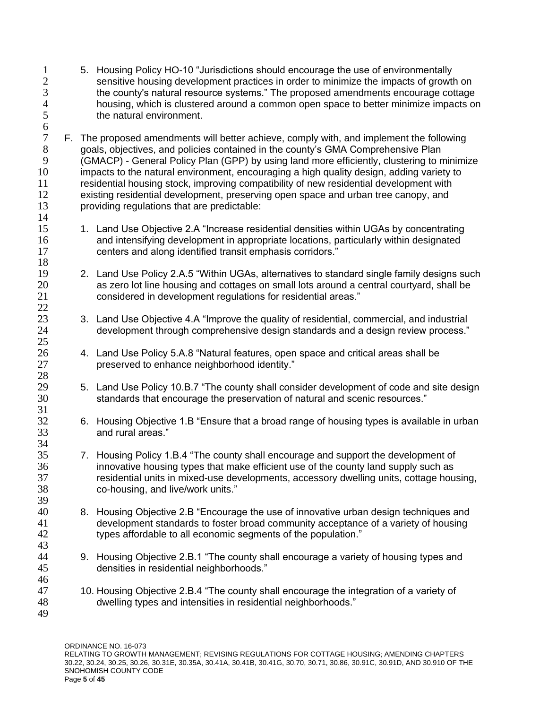- 1 5. Housing Policy HO-10 "Jurisdictions should encourage the use of environmentally<br>2 sensitive housing development practices in order to minimize the impacts of growtl 2 sensitive housing development practices in order to minimize the impacts of growth on<br>3 the county's natural resource systems." The proposed amendments encourage cottage 3 the county's natural resource systems." The proposed amendments encourage cottage<br>4 housing, which is clustered around a common open space to better minimize impacts or 4 housing, which is clustered around a common open space to better minimize impacts on<br>5 the natural environment. the natural environment.
- F. The proposed amendments will better achieve, comply with, and implement the following goals, objectives, and policies contained in the county's GMA Comprehensive Plan (GMACP) - General Policy Plan (GPP) by using land more efficiently, clustering to minimize impacts to the natural environment, encouraging a high quality design, adding variety to residential housing stock, improving compatibility of new residential development with existing residential development, preserving open space and urban tree canopy, and providing regulations that are predictable:
- 1. Land Use Objective 2.A "Increase residential densities within UGAs by concentrating and intensifying development in appropriate locations, particularly within designated centers and along identified transit emphasis corridors."
- 2. Land Use Policy 2.A.5 "Within UGAs, alternatives to standard single family designs such as zero lot line housing and cottages on small lots around a central courtyard, shall be considered in development regulations for residential areas."
- 23 3. Land Use Objective 4.A "Improve the quality of residential, commercial, and industrial development through comprehensive design standards and a design review process."
- 26 4. Land Use Policy 5.A.8 "Natural features, open space and critical areas shall be<br>27 separate of the enhance neighborhood identity." preserved to enhance neighborhood identity."
- 29 5. Land Use Policy 10.B.7 "The county shall consider development of code and site design<br>30 standards that encourage the preservation of natural and scenic resources." standards that encourage the preservation of natural and scenic resources."
- 6. Housing Objective 1.B "Ensure that a broad range of housing types is available in urban and rural areas."
- 7. Housing Policy 1.B.4 "The county shall encourage and support the development of innovative housing types that make efficient use of the county land supply such as residential units in mixed-use developments, accessory dwelling units, cottage housing, co-housing, and live/work units."
- 8. Housing Objective 2.B "Encourage the use of innovative urban design techniques and development standards to foster broad community acceptance of a variety of housing types affordable to all economic segments of the population."
- 9. Housing Objective 2.B.1 "The county shall encourage a variety of housing types and densities in residential neighborhoods."
- 10. Housing Objective 2.B.4 "The county shall encourage the integration of a variety of dwelling types and intensities in residential neighborhoods."

46<br>47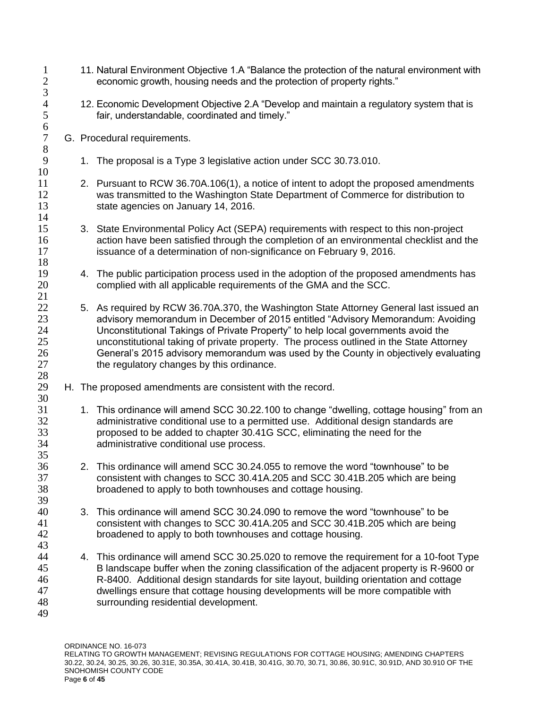1 11. Natural Environment Objective 1.A "Balance the protection of the natural environment with<br>2 economic growth, housing needs and the protection of property rights." economic growth, housing needs and the protection of property rights."  $\frac{3}{4}$ 4 12. Economic Development Objective 2.A "Develop and maintain a regulatory system that is fair. understandable. coordinated and timely." fair, understandable, coordinated and timely." 6<br>7 G. Procedural requirements. 8 9 1. The proposal is a Type 3 legislative action under SCC 30.73.010. 10 11 2. Pursuant to RCW 36.70A.106(1), a notice of intent to adopt the proposed amendments 12 was transmitted to the Washington State Department of Commerce for distribution to 13 state agencies on January 14, 2016. 14 15 3. State Environmental Policy Act (SEPA) requirements with respect to this non-project 16 action have been satisfied through the completion of an environmental checklist and the 17 issuance of a determination of non-significance on February 9, 2016. 18 19 4. The public participation process used in the adoption of the proposed amendments has 20 complied with all applicable requirements of the GMA and the SCC. 21 22 5. As required by RCW 36.70A.370, the Washington State Attorney General last issued an 23 advisory memorandum in December of 2015 entitled "Advisory Memorandum: Avoiding 24 Unconstitutional Takings of Private Property" to help local governments avoid the 25 unconstitutional taking of private property. The process outlined in the State Attorney 26 General's 2015 advisory memorandum was used by the County in objectively evaluating<br>27 the requiatory changes by this ordinance. the regulatory changes by this ordinance. 28 H. The proposed amendments are consistent with the record. 30 31 1. This ordinance will amend SCC 30.22.100 to change "dwelling, cottage housing" from an 32 administrative conditional use to a permitted use. Additional design standards are 33 proposed to be added to chapter 30.41G SCC, eliminating the need for the 34 administrative conditional use process. 35 36 2. This ordinance will amend SCC 30.24.055 to remove the word "townhouse" to be 37 consistent with changes to SCC 30.41A.205 and SCC 30.41B.205 which are being 38 broadened to apply to both townhouses and cottage housing. 39 40 3. This ordinance will amend SCC 30.24.090 to remove the word "townhouse" to be 41 consistent with changes to SCC 30.41A.205 and SCC 30.41B.205 which are being 42 broadened to apply to both townhouses and cottage housing. 43 4. This ordinance will amend SCC 30.25.020 to remove the requirement for a 10-foot Type 45 B landscape buffer when the zoning classification of the adjacent property is R-9600 or 46 R-8400. Additional design standards for site layout, building orientation and cottage<br>47 dwellings ensure that cottage housing developments will be more compatible with dwellings ensure that cottage housing developments will be more compatible with 48 surrounding residential development. 49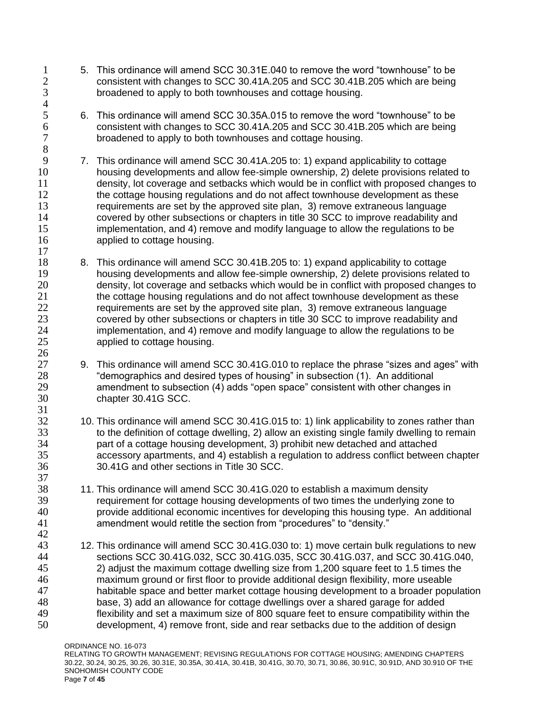- 1 5. This ordinance will amend SCC 30.31E.040 to remove the word "townhouse" to be<br>2 consistent with changes to SCC 30.41A.205 and SCC 30.41B.205 which are being 2 consistent with changes to SCC 30.41A.205 and SCC 30.41B.205 which are being<br>3 broadened to apply to both townhouses and cottage housing. broadened to apply to both townhouses and cottage housing.
- 6. This ordinance will amend SCC 30.35A.015 to remove the word "townhouse" to be consistent with changes to SCC 30.41A.205 and SCC 30.41B.205 which are being broadened to apply to both townhouses and cottage housing.

 $\frac{4}{5}$ 

 $\frac{26}{27}$ 

- 7. This ordinance will amend SCC 30.41A.205 to: 1) expand applicability to cottage housing developments and allow fee-simple ownership, 2) delete provisions related to density, lot coverage and setbacks which would be in conflict with proposed changes to 12 the cottage housing regulations and do not affect townhouse development as these requirements are set by the approved site plan, 3) remove extraneous language covered by other subsections or chapters in title 30 SCC to improve readability and implementation, and 4) remove and modify language to allow the regulations to be applied to cottage housing.
- 8. This ordinance will amend SCC 30.41B.205 to: 1) expand applicability to cottage housing developments and allow fee-simple ownership, 2) delete provisions related to density, lot coverage and setbacks which would be in conflict with proposed changes to the cottage housing regulations and do not affect townhouse development as these requirements are set by the approved site plan, 3) remove extraneous language covered by other subsections or chapters in title 30 SCC to improve readability and implementation, and 4) remove and modify language to allow the regulations to be applied to cottage housing.
- 9. This ordinance will amend SCC 30.41G.010 to replace the phrase "sizes and ages" with "demographics and desired types of housing" in subsection (1). An additional amendment to subsection (4) adds "open space" consistent with other changes in chapter 30.41G SCC.
- 10. This ordinance will amend SCC 30.41G.015 to: 1) link applicability to zones rather than 33 to the definition of cottage dwelling, 2) allow an existing single family dwelling to remain<br>34 part of a cottage housing development. 3) prohibit new detached and attached part of a cottage housing development, 3) prohibit new detached and attached accessory apartments, and 4) establish a regulation to address conflict between chapter 30.41G and other sections in Title 30 SCC.
- 11. This ordinance will amend SCC 30.41G.020 to establish a maximum density requirement for cottage housing developments of two times the underlying zone to provide additional economic incentives for developing this housing type. An additional amendment would retitle the section from "procedures" to "density."
- 12. This ordinance will amend SCC 30.41G.030 to: 1) move certain bulk regulations to new sections SCC 30.41G.032, SCC 30.41G.035, SCC 30.41G.037, and SCC 30.41G.040, 2) adjust the maximum cottage dwelling size from 1,200 square feet to 1.5 times the maximum ground or first floor to provide additional design flexibility, more useable habitable space and better market cottage housing development to a broader population base, 3) add an allowance for cottage dwellings over a shared garage for added flexibility and set a maximum size of 800 square feet to ensure compatibility within the development, 4) remove front, side and rear setbacks due to the addition of design
	- ORDINANCE NO. 16-073 RELATING TO GROWTH MANAGEMENT; REVISING REGULATIONS FOR COTTAGE HOUSING; AMENDING CHAPTERS 30.22, 30.24, 30.25, 30.26, 30.31E, 30.35A, 30.41A, 30.41B, 30.41G, 30.70, 30.71, 30.86, 30.91C, 30.91D, AND 30.910 OF THE SNOHOMISH COUNTY CODE Page **7** of **45**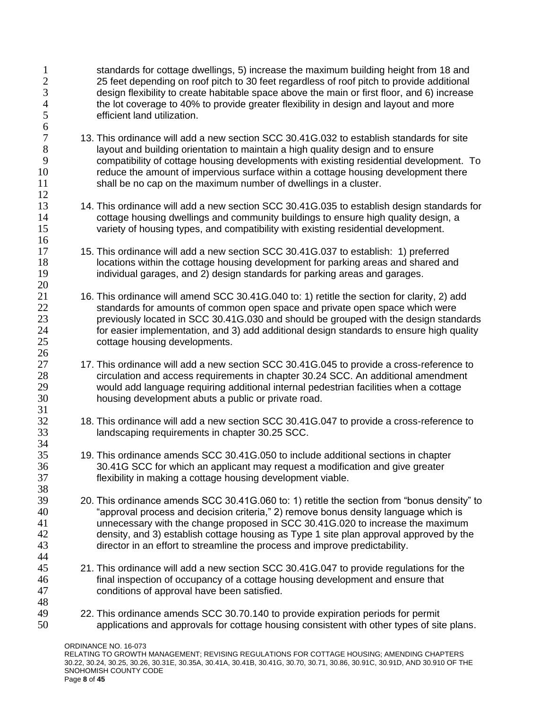ORDINANCE NO. 16-073 RELATING TO GROWTH MANAGEMENT; REVISING REGULATIONS FOR COTTAGE HOUSING; AMENDING CHAPTERS 1 standards for cottage dwellings, 5) increase the maximum building height from 18 and<br>2 25 feet depending on roof pitch to 30 feet regardless of roof pitch to provide additional 2 25 feet depending on roof pitch to 30 feet regardless of roof pitch to provide additional<br>3 design flexibility to create habitable space above the main or first floor, and 6) increase 3 design flexibility to create habitable space above the main or first floor, and 6) increase<br>4 the lot coverage to 40% to provide greater flexibility in design and layout and more 4 the lot coverage to 40% to provide greater flexibility in design and layout and more<br>5 efficient land utilization. efficient land utilization. 13. This ordinance will add a new section SCC 30.41G.032 to establish standards for site **ideology** layout and building orientation to maintain a high quality design and to ensure compatibility of cottage housing developments with existing residential development. To reduce the amount of impervious surface within a cottage housing development there shall be no cap on the maximum number of dwellings in a cluster. 13 14. This ordinance will add a new section SCC 30.41G.035 to establish design standards for cottage housing dwellings and community buildings to ensure high quality design, a variety of housing types, and compatibility with existing residential development. 15. This ordinance will add a new section SCC 30.41G.037 to establish: 1) preferred 18 locations within the cottage housing development for parking areas and shared and individual garages, and 2) design standards for parking areas and garages. 16. This ordinance will amend SCC 30.41G.040 to: 1) retitle the section for clarity, 2) add standards for amounts of common open space and private open space which were previously located in SCC 30.41G.030 and should be grouped with the design standards for easier implementation, and 3) add additional design standards to ensure high quality cottage housing developments.  $\frac{26}{27}$ 17. This ordinance will add a new section SCC 30.41G.045 to provide a cross-reference to circulation and access requirements in chapter 30.24 SCC. An additional amendment would add language requiring additional internal pedestrian facilities when a cottage housing development abuts a public or private road. 18. This ordinance will add a new section SCC 30.41G.047 to provide a cross-reference to landscaping requirements in chapter 30.25 SCC. 19. This ordinance amends SCC 30.41G.050 to include additional sections in chapter 30.41G SCC for which an applicant may request a modification and give greater flexibility in making a cottage housing development viable. 20. This ordinance amends SCC 30.41G.060 to: 1) retitle the section from "bonus density" to "approval process and decision criteria," 2) remove bonus density language which is unnecessary with the change proposed in SCC 30.41G.020 to increase the maximum density, and 3) establish cottage housing as Type 1 site plan approval approved by the director in an effort to streamline the process and improve predictability. 21. This ordinance will add a new section SCC 30.41G.047 to provide regulations for the 46 final inspection of occupancy of a cottage housing development and ensure that<br>47 conditions of approval have been satisfied. conditions of approval have been satisfied. 22. This ordinance amends SCC 30.70.140 to provide expiration periods for permit applications and approvals for cottage housing consistent with other types of site plans.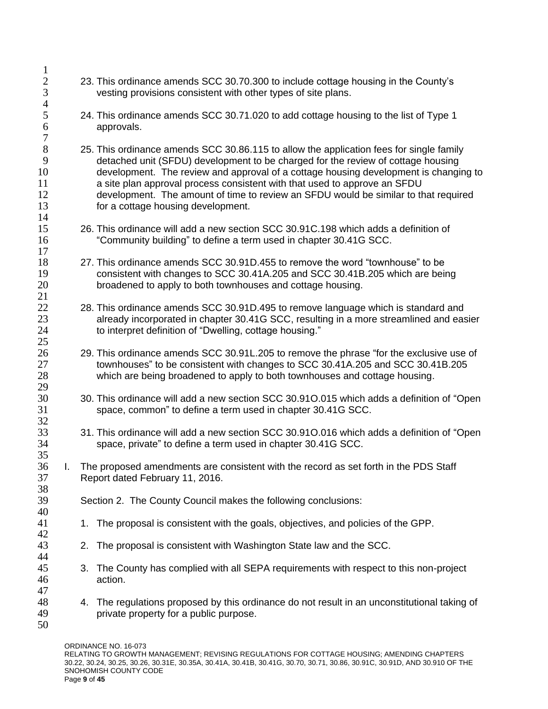- 23. This ordinance amends SCC 30.70.300 to include cottage housing in the County's vesting provisions consistent with other types of site plans.
- 24. This ordinance amends SCC 30.71.020 to add cottage housing to the list of Type 1 approvals.
- 25. This ordinance amends SCC 30.86.115 to allow the application fees for single family detached unit (SFDU) development to be charged for the review of cottage housing development. The review and approval of a cottage housing development is changing to a site plan approval process consistent with that used to approve an SFDU development. The amount of time to review an SFDU would be similar to that required for a cottage housing development.
- 26. This ordinance will add a new section SCC 30.91C.198 which adds a definition of "Community building" to define a term used in chapter 30.41G SCC.
- 27. This ordinance amends SCC 30.91D.455 to remove the word "townhouse" to be consistent with changes to SCC 30.41A.205 and SCC 30.41B.205 which are being broadened to apply to both townhouses and cottage housing.
- 28. This ordinance amends SCC 30.91D.495 to remove language which is standard and already incorporated in chapter 30.41G SCC, resulting in a more streamlined and easier 24 to interpret definition of "Dwelling, cottage housing."
- 29. This ordinance amends SCC 30.91L.205 to remove the phrase "for the exclusive use of townhouses" to be consistent with changes to SCC 30.41A.205 and SCC 30.41B.205 which are being broadened to apply to both townhouses and cottage housing.
- 30. This ordinance will add a new section SCC 30.91O.015 which adds a definition of "Open space, common" to define a term used in chapter 30.41G SCC.
- 33 31. This ordinance will add a new section SCC 30.910.016 which adds a definition of "Open 34 space, private" to define a term used in chapter 30.41G SCC. space, private" to define a term used in chapter 30.41G SCC.
- I. The proposed amendments are consistent with the record as set forth in the PDS Staff Report dated February 11, 2016.
- Section 2. The County Council makes the following conclusions:
- 1. The proposal is consistent with the goals, objectives, and policies of the GPP.
- 2. The proposal is consistent with Washington State law and the SCC.
- 3. The County has complied with all SEPA requirements with respect to this non-project action.
- 4. The regulations proposed by this ordinance do not result in an unconstitutional taking of private property for a public purpose.
- 

 $\frac{1}{2}$ 

 $\frac{4}{5}$ 

29<br>30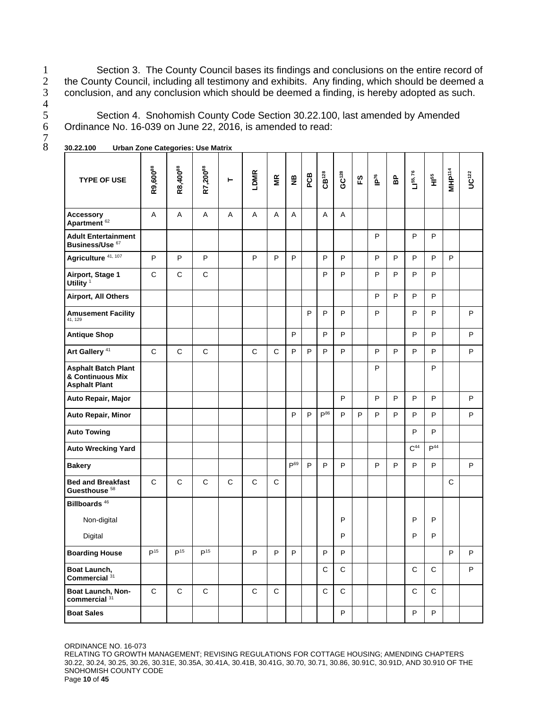1 Section 3. The County Council bases its findings and conclusions on the entire record of<br>2 the County Council, including all testimony and exhibits. Any finding, which should be deemed a 2 the County Council, including all testimony and exhibits. Any finding, which should be deemed a<br>3 conclusion, and any conclusion which should be deemed a finding, is hereby adopted as such. conclusion, and any conclusion which should be deemed a finding, is hereby adopted as such.

5 Section 4. Snohomish County Code Section 30.22.100, last amended by Amended 6 Ordinance No. 16-039 on June 22, 2016, is amended to read: Ordinance No. 16-039 on June 22, 2016, is amended to read:

| <b>TYPE OF USE</b>                                                     | R9,600 <sup>88</sup> | R8,400 <sup>88</sup> | R7,20088        | ۳            | LDMR         | ΓŘ           | $\mathbf{g}$    | PCB | CB <sup>128</sup> | GC <sup>128</sup> | 59 | $\tilde{\mathbf{P}}^{76}$ | BP | $L$   55, 76    | $\frac{55}{11}$ | MHP <sup>114</sup> | UC122   |
|------------------------------------------------------------------------|----------------------|----------------------|-----------------|--------------|--------------|--------------|-----------------|-----|-------------------|-------------------|----|---------------------------|----|-----------------|-----------------|--------------------|---------|
| <b>Accessory</b><br>Apartment <sup>62</sup>                            | A                    | A                    | A               | A            | A            | Α            | A               |     | Α                 | Α                 |    |                           |    |                 |                 |                    |         |
| <b>Adult Entertainment</b><br>Business/Use 67                          |                      |                      |                 |              |              |              |                 |     |                   |                   |    | P                         |    | P               | P               |                    |         |
| Agriculture 41, 107                                                    | P                    | P                    | P               |              | P            | P            | P               |     | P                 | P                 |    | P                         | P  | P               | P               | P                  |         |
| Airport, Stage 1<br>Utility <sup>1</sup>                               | $\mathsf{C}$         | C                    | C               |              |              |              |                 |     | P                 | P                 |    | P                         | P  | P               | P               |                    |         |
| Airport, All Others                                                    |                      |                      |                 |              |              |              |                 |     |                   |                   |    | P                         | P  | P               | P               |                    |         |
| <b>Amusement Facility</b><br>41, 129                                   |                      |                      |                 |              |              |              |                 | P   | P                 | P                 |    | P                         |    | P               | P               |                    | P       |
| <b>Antique Shop</b>                                                    |                      |                      |                 |              |              |              | P               |     | P                 | P                 |    |                           |    | P               | P               |                    | P       |
| Art Gallery <sup>41</sup>                                              | $\mathsf{C}$         | $\mathsf{C}$         | $\mathsf{C}$    |              | $\mathsf{C}$ | C            | P               | P   | P                 | P                 |    | P                         | P  | P               | P               |                    | P       |
| <b>Asphalt Batch Plant</b><br>& Continuous Mix<br><b>Asphalt Plant</b> |                      |                      |                 |              |              |              |                 |     |                   |                   |    | P                         |    |                 | P               |                    |         |
| Auto Repair, Major                                                     |                      |                      |                 |              |              |              |                 |     |                   | P                 |    | P                         | P  | P               | P               |                    | P       |
| Auto Repair, Minor                                                     |                      |                      |                 |              |              |              | P               | P   | P <sup>86</sup>   | P                 | P  | P                         | P  | P               | P               |                    | P       |
| <b>Auto Towing</b>                                                     |                      |                      |                 |              |              |              |                 |     |                   |                   |    |                           |    | P               | P               |                    |         |
| <b>Auto Wrecking Yard</b>                                              |                      |                      |                 |              |              |              |                 |     |                   |                   |    |                           |    | C <sup>44</sup> | P <sup>44</sup> |                    |         |
| <b>Bakery</b>                                                          |                      |                      |                 |              |              |              | P <sup>69</sup> | P   | P                 | P                 |    | P                         | P  | P               | P               |                    | P       |
| <b>Bed and Breakfast</b><br>Guesthouse <sup>58</sup>                   | $\mathsf C$          | $\mathsf C$          | $\mathsf{C}$    | $\mathsf{C}$ | $\mathsf C$  | $\mathsf{C}$ |                 |     |                   |                   |    |                           |    |                 |                 | $\mathsf C$        |         |
| Billboards <sup>46</sup>                                               |                      |                      |                 |              |              |              |                 |     |                   |                   |    |                           |    |                 |                 |                    |         |
| Non-digital                                                            |                      |                      |                 |              |              |              |                 |     |                   | P                 |    |                           |    | P               | P               |                    |         |
| Digital                                                                |                      |                      |                 |              |              |              |                 |     |                   | P                 |    |                           |    | P               | P               |                    |         |
| <b>Boarding House</b>                                                  | $\mathsf{P}^{15}$    | $\mathsf{P}^{15}$    | D <sup>15</sup> |              | P            | P            | P               |     | $\sf P$           | P                 |    |                           |    |                 |                 | P                  | $\sf P$ |
| Boat Launch,<br>Commercial 31                                          |                      |                      |                 |              |              |              |                 |     | $\mathsf C$       | $\mathbf C$       |    |                           |    | $\mathbf C$     | $\mathbf C$     |                    | P       |
| Boat Launch, Non-<br>commercial <sup>31</sup>                          | $\mathbf C$          | $\mathbf C$          | $\mathbf C$     |              | $\mathbf C$  | C            |                 |     | C                 | C                 |    |                           |    | C               | C               |                    |         |
| <b>Boat Sales</b>                                                      |                      |                      |                 |              |              |              |                 |     |                   | P                 |    |                           |    | P               | P.              |                    |         |

8 **30.22.100 Urban Zone Categories: Use Matrix**

ORDINANCE NO. 16-073

RELATING TO GROWTH MANAGEMENT; REVISING REGULATIONS FOR COTTAGE HOUSING; AMENDING CHAPTERS 30.22, 30.24, 30.25, 30.26, 30.31E, 30.35A, 30.41A, 30.41B, 30.41G, 30.70, 30.71, 30.86, 30.91C, 30.91D, AND 30.910 OF THE SNOHOMISH COUNTY CODE Page **10** of **45**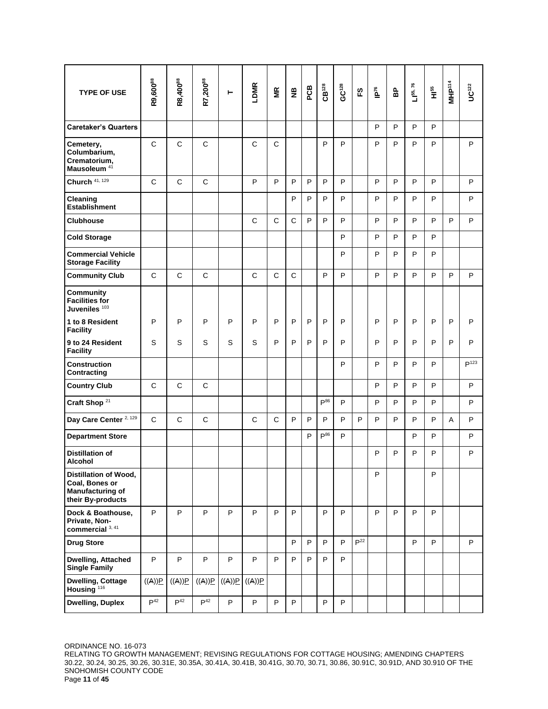| <b>TYPE OF USE</b>                                                                      | R9,600 <sup>88</sup> | R8,400 <sup>88</sup> | R7,200 <sup>88</sup> | ۳      | LDMR         | $\tilde{\mathbf{z}}$ | $\frac{10}{2}$ | PCB | $CB^{128}$   | GC <sup>128</sup> | က္       | $\tilde{\mathbf{P}}$ | 웁 | $L1^{55, 76}$ | ыя<br>Ні | MHP <sup>114</sup> | $UC^{122}$       |
|-----------------------------------------------------------------------------------------|----------------------|----------------------|----------------------|--------|--------------|----------------------|----------------|-----|--------------|-------------------|----------|----------------------|---|---------------|----------|--------------------|------------------|
| <b>Caretaker's Quarters</b>                                                             |                      |                      |                      |        |              |                      |                |     |              |                   |          | P                    | P | P             | P        |                    |                  |
| Cemetery,<br>Columbarium,<br>Crematorium,<br>Mausoleum <sup>41</sup>                    | $\mathsf{C}$         | $\mathsf{C}$         | $\mathsf{C}$         |        | $\mathsf{C}$ | $\mathsf{C}$         |                |     | P            | P                 |          | P                    | P | P             | P        |                    | P                |
| Church 41, 129                                                                          | C                    | C                    | C                    |        | P            | P                    | P              | P   | P            | P                 |          | P                    | P | P             | P        |                    | P                |
| Cleaning<br><b>Establishment</b>                                                        |                      |                      |                      |        |              |                      | P              | P   | P            | P                 |          | P                    | P | P             | P        |                    | P                |
| <b>Clubhouse</b>                                                                        |                      |                      |                      |        | $\mathsf{C}$ | $\mathsf{C}$         | C              | P   | P            | P                 |          | P                    | P | P             | P        | P                  | P                |
| <b>Cold Storage</b>                                                                     |                      |                      |                      |        |              |                      |                |     |              | P                 |          | P                    | P | P             | P        |                    |                  |
| <b>Commercial Vehicle</b><br><b>Storage Facility</b>                                    |                      |                      |                      |        |              |                      |                |     |              | P                 |          | P                    | P | P             | P        |                    |                  |
| <b>Community Club</b>                                                                   | $\mathsf{C}$         | $\mathsf{C}$         | $\mathsf{C}$         |        | $\mathsf{C}$ | $\mathsf{C}$         | $\mathsf{C}$   |     | P            | P                 |          | P                    | P | P             | P        | P                  | P                |
| Community<br><b>Facilities for</b><br>Juveniles <sup>103</sup>                          |                      |                      |                      |        |              |                      |                |     |              |                   |          |                      |   |               |          |                    |                  |
| 1 to 8 Resident<br><b>Facility</b>                                                      | P                    | P                    | P                    | P      | P            | P                    | P              | P   | P            | P                 |          | P                    | P | P             | P        | P                  | P                |
| 9 to 24 Resident<br><b>Facility</b>                                                     | S                    | S                    | S                    | S      | S            | P                    | P              | P   | P            | P                 |          | P                    | P | $\mathsf{P}$  | P        | P                  | P                |
| <b>Construction</b><br>Contracting                                                      |                      |                      |                      |        |              |                      |                |     |              | P                 |          | P                    | P | P             | P        |                    | P <sup>123</sup> |
| <b>Country Club</b>                                                                     | $\mathsf{C}$         | $\mathsf{C}$         | $\mathsf{C}$         |        |              |                      |                |     |              |                   |          | P                    | P | P             | P        |                    | P                |
| Craft Shop <sup>21</sup>                                                                |                      |                      |                      |        |              |                      |                |     | $P^{86}$     | P                 |          | P                    | P | P             | P        |                    | P                |
| Day Care Center <sup>2, 129</sup>                                                       | $\mathsf{C}$         | $\mathsf{C}$         | $\mathsf{C}$         |        | $\mathsf{C}$ | $\mathsf{C}$         | P              | P   | P            | P                 | P        | P                    | P | P             | P        | A                  | P                |
| <b>Department Store</b>                                                                 |                      |                      |                      |        |              |                      |                | P   | $P^{86}$     | P                 |          |                      |   | P             | P        |                    | P                |
| <b>Distillation of</b><br>Alcohol                                                       |                      |                      |                      |        |              |                      |                |     |              |                   |          | P                    | P | P             | P        |                    | P                |
| Distillation of Wood,<br>Coal, Bones or<br><b>Manufacturing of</b><br>their By-products |                      |                      |                      |        |              |                      |                |     |              |                   |          | P                    |   |               | P        |                    |                  |
| Dock & Boathouse,<br>Private, Non-<br>commercial $3, 41$                                | P                    | P                    | P                    | P      | P            | P                    | P              |     | P            | P                 |          | P                    | P | P             | P        |                    |                  |
| <b>Drug Store</b>                                                                       |                      |                      |                      |        |              |                      | P              | P   | P            | P                 | $P^{22}$ |                      |   | P             | P        |                    | P                |
| <b>Dwelling, Attached</b><br><b>Single Family</b>                                       | P                    | $\mathsf P$          | P                    | P      | P            | P                    | P              | P   | P            | P                 |          |                      |   |               |          |                    |                  |
| <b>Dwelling, Cottage</b><br>Housing <sup>116</sup>                                      | ((A))P               | ((A))P               | $\underline{P}((A))$ | ((A))P | ((A))P       |                      |                |     |              |                   |          |                      |   |               |          |                    |                  |
| <b>Dwelling, Duplex</b>                                                                 | P <sup>42</sup>      | P <sup>42</sup>      | P <sup>42</sup>      | P      | P            | P                    | P              |     | $\mathsf{P}$ | P                 |          |                      |   |               |          |                    |                  |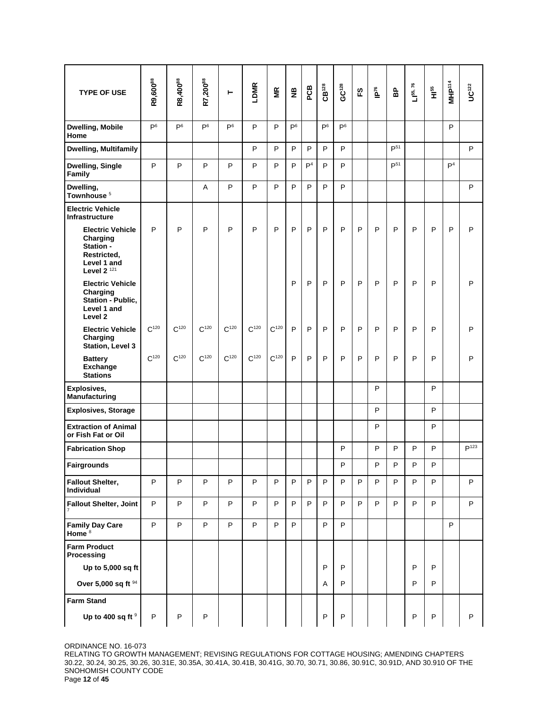| <b>TYPE OF USE</b>                                                                                | R9,600 <sup>88</sup> | R8,400 <sup>88</sup> | R7,200 <sup>88</sup> | ۳              | LDMR      | MR        | $\mathbf{g}$   | PCB            | CB <sup>128</sup> | $GC^{128}$     | က္ | ib <sub>16</sub> | 웁               | $L$   55, 76 | че<br>Т     | MHP <sup>114</sup> | UC <sup>122</sup> |
|---------------------------------------------------------------------------------------------------|----------------------|----------------------|----------------------|----------------|-----------|-----------|----------------|----------------|-------------------|----------------|----|------------------|-----------------|--------------|-------------|--------------------|-------------------|
| <b>Dwelling, Mobile</b><br>Home                                                                   | P <sup>6</sup>       | P <sup>6</sup>       | P <sup>6</sup>       | P <sup>6</sup> | P         | P         | P <sup>6</sup> |                | P <sup>6</sup>    | P <sup>6</sup> |    |                  |                 |              |             | P                  |                   |
| Dwelling, Multifamily                                                                             |                      |                      |                      |                | P         | P         | P              | P              | P                 | P              |    |                  | P <sup>51</sup> |              |             |                    | P                 |
| <b>Dwelling, Single</b><br><b>Family</b>                                                          | P                    | P                    | P                    | P              | P         | P         | P              | $\mathsf{P}^4$ | P                 | P              |    |                  | P <sup>51</sup> |              |             | $\mathsf{P}^4$     |                   |
| Dwelling,<br>Townhouse <sup>5</sup>                                                               |                      |                      | Α                    | P              | P         | P         | P              | P              | P                 | P              |    |                  |                 |              |             |                    | P                 |
| <b>Electric Vehicle</b><br>Infrastructure                                                         |                      |                      |                      |                |           |           |                |                |                   |                |    |                  |                 |              |             |                    |                   |
| <b>Electric Vehicle</b><br>Charging<br>Station -<br>Restricted,<br>Level 1 and<br>Level $2^{121}$ | P                    | P                    | P                    | P              | P         | P         | P              | P              | P                 | P              | P  | P                | P               | P            | P           | P                  | P                 |
| <b>Electric Vehicle</b><br>Charging<br>Station - Public,<br>Level 1 and<br>Level <sub>2</sub>     |                      |                      |                      |                |           |           | P              | P              | P                 | P              | P  | P                | P               | P            | P           |                    | P                 |
| <b>Electric Vehicle</b><br>Charging<br><b>Station, Level 3</b>                                    | $C^{120}$            | $C^{120}$            | $C^{120}$            | $C^{120}$      | $C^{120}$ | $C^{120}$ | P              | P              | P                 | P              | P  | P                | P               | P            | P           |                    | $\sf P$           |
| <b>Battery</b><br><b>Exchange</b><br><b>Stations</b>                                              | $C^{120}$            | $C^{120}$            | $C^{120}$            | $C^{120}$      | $C^{120}$ | $C^{120}$ | P              | P              | P                 | P              | P  | P                | P               | P            | P           |                    | P                 |
| Explosives,<br>Manufacturing                                                                      |                      |                      |                      |                |           |           |                |                |                   |                |    | P                |                 |              | P           |                    |                   |
| <b>Explosives, Storage</b>                                                                        |                      |                      |                      |                |           |           |                |                |                   |                |    | P                |                 |              | P           |                    |                   |
| <b>Extraction of Animal</b><br>or Fish Fat or Oil                                                 |                      |                      |                      |                |           |           |                |                |                   |                |    | P                |                 |              | P           |                    |                   |
| <b>Fabrication Shop</b>                                                                           |                      |                      |                      |                |           |           |                |                |                   | P              |    | P                | P               | P            | P           |                    | P <sup>123</sup>  |
| <b>Fairgrounds</b>                                                                                |                      |                      |                      |                |           |           |                |                |                   | $\sf P$        |    | P                | $\sf P$         | $\mathsf P$  | $\mathsf P$ |                    |                   |
| <b>Fallout Shelter,</b><br><b>Individual</b>                                                      | $\sf P$              | P                    | P                    | P              | P         | P         | P              | P              | P                 | P              | P  | P                | P               | P            | P           |                    | P                 |
| <b>Fallout Shelter, Joint</b>                                                                     | $\sf P$              | P                    | P                    | P              | P         | P         | P              | P              | P                 | P              | P  | P                | P               | P            | P           |                    | P                 |
| <b>Family Day Care</b><br>Home <sup>8</sup>                                                       | P                    | P                    | P                    | P              | P         | P         | P              |                | P                 | P              |    |                  |                 |              |             | P                  |                   |
| <b>Farm Product</b><br>Processing                                                                 |                      |                      |                      |                |           |           |                |                |                   |                |    |                  |                 |              |             |                    |                   |
| Up to 5,000 sq ft                                                                                 |                      |                      |                      |                |           |           |                |                | P                 | P              |    |                  |                 | P            | P           |                    |                   |
| Over 5,000 sq ft 94                                                                               |                      |                      |                      |                |           |           |                |                | Α                 | P              |    |                  |                 | P            | P           |                    |                   |
| <b>Farm Stand</b><br>Up to 400 sq ft 9                                                            | P                    | P                    | P                    |                |           |           |                |                | $\mathsf{P}$      | P              |    |                  |                 | P            | P           |                    | P                 |

RELATING TO GROWTH MANAGEMENT; REVISING REGULATIONS FOR COTTAGE HOUSING; AMENDING CHAPTERS 30.22, 30.24, 30.25, 30.26, 30.31E, 30.35A, 30.41A, 30.41B, 30.41G, 30.70, 30.71, 30.86, 30.91C, 30.91D, AND 30.910 OF THE SNOHOMISH COUNTY CODE Page **12** of **45**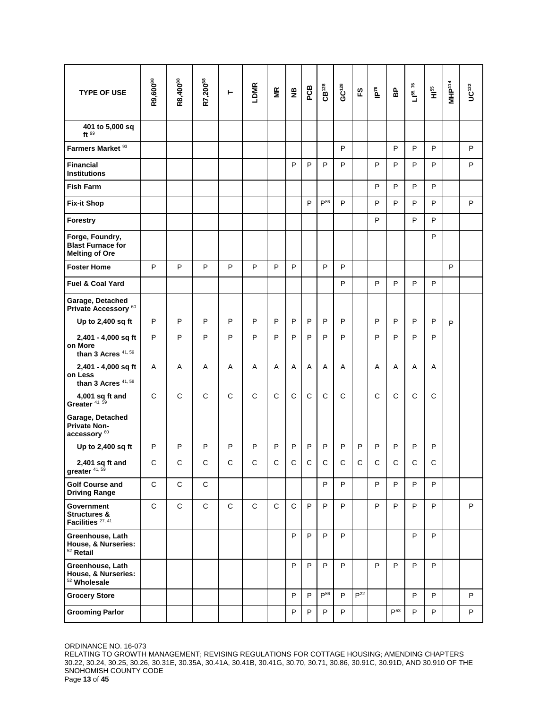| <b>TYPE OF USE</b>                                                   | R9,600 <sup>88</sup> | R8,400 <sup>88</sup> | R7,20088     | ۳  | LDMR         | ΜŘ           | $\frac{a}{2}$ | PCB          | CB <sup>128</sup> | $GC^{128}$   | က္           | $\tilde{\mathbf{P}}$ | 웁               | $L$ <sup>55</sup> , 76 | н <sup>55</sup> | MHP <sup>14</sup> | $UC^{122}$ |
|----------------------------------------------------------------------|----------------------|----------------------|--------------|----|--------------|--------------|---------------|--------------|-------------------|--------------|--------------|----------------------|-----------------|------------------------|-----------------|-------------------|------------|
|                                                                      |                      |                      |              |    |              |              |               |              |                   |              |              |                      |                 |                        |                 |                   |            |
| 401 to 5,000 sq<br>ft <sup>99</sup>                                  |                      |                      |              |    |              |              |               |              |                   |              |              |                      |                 |                        |                 |                   |            |
| Farmers Market <sup>93</sup>                                         |                      |                      |              |    |              |              |               |              |                   | P            |              |                      | P               | P                      | P               |                   | P          |
| <b>Financial</b><br><b>Institutions</b>                              |                      |                      |              |    |              |              | P             | P            | P                 | P            |              | P                    | P               | P                      | P               |                   | P          |
| <b>Fish Farm</b>                                                     |                      |                      |              |    |              |              |               |              |                   |              |              | P                    | P               | P                      | P               |                   |            |
| <b>Fix-it Shop</b>                                                   |                      |                      |              |    |              |              |               | P            | $P^{86}$          | P            |              | P                    | P               | P                      | P               |                   | P          |
| <b>Forestry</b>                                                      |                      |                      |              |    |              |              |               |              |                   |              |              | P                    |                 | P                      | P               |                   |            |
| Forge, Foundry,<br><b>Blast Furnace for</b><br><b>Melting of Ore</b> |                      |                      |              |    |              |              |               |              |                   |              |              |                      |                 |                        | P               |                   |            |
| <b>Foster Home</b>                                                   | P                    | P                    | P            | P  | P            | P            | P             |              | P                 | P            |              |                      |                 |                        |                 | P                 |            |
| Fuel & Coal Yard                                                     |                      |                      |              |    |              |              |               |              |                   | P            |              | P                    | P               | P                      | P               |                   |            |
| Garage, Detached<br>Private Accessory <sup>60</sup>                  |                      |                      |              |    |              |              |               |              |                   |              |              |                      |                 |                        |                 |                   |            |
| Up to 2,400 sq ft                                                    | P                    | P                    | P            | P  | P            | P            | P             | P            | P                 | P            |              | P                    | P               | P                      | P               | P                 |            |
| 2,401 - 4,000 sq ft<br>on More<br>than 3 Acres $41,59$               | P                    | P                    | P            | P  | P            | P            | P             | P            | P                 | P            |              | P                    | P               | P                      | P               |                   |            |
| 2,401 - 4,000 sq ft<br>on Less<br>than 3 Acres $41,59$               | Α                    | Α                    | Α            | Α  | Α            | Α            | Α             | Α            | Α                 | Α            |              | Α                    | Α               | Α                      | Α               |                   |            |
| 4,001 sq ft and<br>Greater <sup>41,59</sup>                          | C                    | C                    | $\mathsf{C}$ | C  | $\mathsf{C}$ | $\mathsf{C}$ | $\mathsf{C}$  | $\mathsf{C}$ | $\mathsf{C}$      | C            |              | C                    | $\mathsf{C}$    | C                      | $\mathsf{C}$    |                   |            |
| Garage, Detached<br><b>Private Non-</b><br>accessory <sup>60</sup>   |                      |                      |              |    |              |              |               |              |                   |              |              |                      |                 |                        |                 |                   |            |
| Up to 2,400 sq ft                                                    | P                    | P                    | P            | P  | P            | P            | P             | P            | P                 | P            | P            | P                    | P               | P                      | P               |                   |            |
| $2,401$ sq ft and<br>greater 41, 59                                  | С                    | C.                   | C            | C. | C.           | $\mathbf{C}$ | $\mathsf{C}$  | $\mathsf{C}$ | $\mathbf{C}$      | $\mathbf{C}$ | $\mathsf{C}$ | $\mathbf{C}$         | $\mathbf{C}$    | $\mathsf{C}$           | C.              |                   |            |
| <b>Golf Course and</b><br><b>Driving Range</b>                       | $\mathsf{C}$         | $\mathbf C$          | $\mathsf{C}$ |    |              |              |               |              | P                 | P            |              | P                    | P               | P                      | P               |                   |            |
| Government<br><b>Structures &amp;</b><br>Facilities <sup>27,41</sup> | $\mathbf C$          | $\mathbf C$          | C            | C  | C            | C            | $\mathbf C$   | P            | P                 | P            |              | P                    | P               | P                      | P               |                   | P          |
| Greenhouse, Lath<br>House, & Nurseries:<br>$52$ Retail               |                      |                      |              |    |              |              | P             | P            | P                 | P            |              |                      |                 | P                      | P               |                   |            |
| Greenhouse, Lath<br>House, & Nurseries:<br><sup>52</sup> Wholesale   |                      |                      |              |    |              |              | P             | P            | P                 | P            |              | P                    | P               | P                      | P               |                   |            |
| <b>Grocery Store</b>                                                 |                      |                      |              |    |              |              | P             | P            | $P^{86}$          | P            | $P^{22}$     |                      |                 | P                      | P               |                   | P          |
| <b>Grooming Parlor</b>                                               |                      |                      |              |    |              |              | P             | P            | P                 | P            |              |                      | P <sup>53</sup> | P                      | P               |                   | P          |

RELATING TO GROWTH MANAGEMENT; REVISING REGULATIONS FOR COTTAGE HOUSING; AMENDING CHAPTERS 30.22, 30.24, 30.25, 30.26, 30.31E, 30.35A, 30.41A, 30.41B, 30.41G, 30.70, 30.71, 30.86, 30.91C, 30.91D, AND 30.910 OF THE SNOHOMISH COUNTY CODE Page **13** of **45**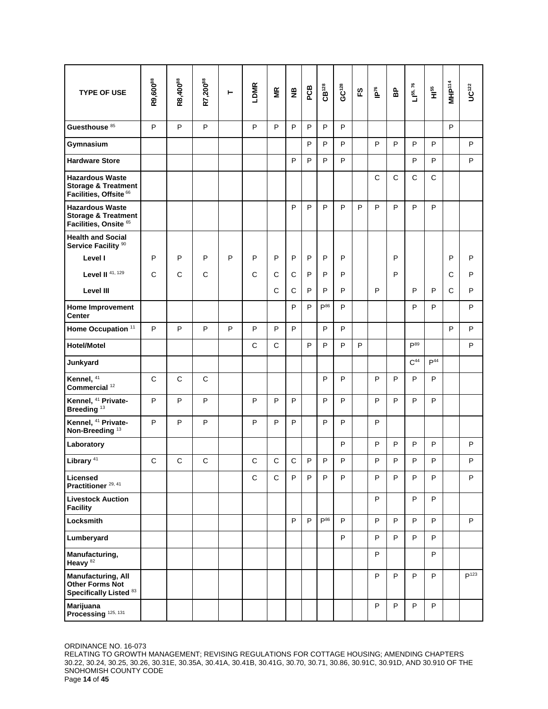| <b>TYPE OF USE</b>                                                                            | R9,600 <sup>88</sup> | R8,400 <sup>88</sup> | R7,200 <sup>88</sup> | Н | LDMR         | MR           | $\frac{a}{Z}$ | PCB | $CB^{128}$ | $GC^{128}$ | 53 | $\tilde{\mathbf{P}}$ | 웁            | $L$ 1 <sup>55</sup> , 76 | н <sup>55</sup> | MHP <sup>114</sup> | $UC^{122}$       |
|-----------------------------------------------------------------------------------------------|----------------------|----------------------|----------------------|---|--------------|--------------|---------------|-----|------------|------------|----|----------------------|--------------|--------------------------|-----------------|--------------------|------------------|
| Guesthouse <sup>85</sup>                                                                      | P                    | P                    | P                    |   | P            | P            | P             | P   | P          | P          |    |                      |              |                          |                 | P                  |                  |
| Gymnasium                                                                                     |                      |                      |                      |   |              |              |               | P   | P          | P          |    | P                    | P            | P                        | P               |                    | P                |
| <b>Hardware Store</b>                                                                         |                      |                      |                      |   |              |              | P             | P   | P          | P          |    |                      |              | P                        | P               |                    | P                |
| <b>Hazardous Waste</b><br><b>Storage &amp; Treatment</b><br>Facilities, Offsite <sup>66</sup> |                      |                      |                      |   |              |              |               |     |            |            |    | $\mathsf{C}$         | $\mathsf{C}$ | C                        | $\mathsf{C}$    |                    |                  |
| <b>Hazardous Waste</b><br><b>Storage &amp; Treatment</b><br>Facilities, Onsite 65             |                      |                      |                      |   |              |              | P             | P   | P          | P          | P  | P                    | P            | P                        | P               |                    |                  |
| <b>Health and Social</b><br>Service Facility <sup>90</sup>                                    |                      |                      |                      |   |              |              |               |     |            |            |    |                      |              |                          |                 |                    |                  |
| Level I                                                                                       | P                    | P                    | P                    | P | P            | P            | P             | P   | P          | P          |    |                      | P            |                          |                 | P                  | P                |
| Level II $41, 129$                                                                            | $\mathsf C$          | C                    | C                    |   | $\mathsf C$  | $\mathsf C$  | $\mathsf C$   | P   | P          | P          |    |                      | P            |                          |                 | С                  | P                |
| Level III                                                                                     |                      |                      |                      |   |              | $\mathsf{C}$ | C             | P   | P          | P          |    | P                    |              | P                        | P               | C                  | P                |
| <b>Home Improvement</b><br><b>Center</b>                                                      |                      |                      |                      |   |              |              | P             | P   | $P^{86}$   | P          |    |                      |              | P                        | P               |                    | P                |
| Home Occupation <sup>11</sup>                                                                 | P                    | P                    | P                    | P | P            | P            | P             |     | P          | P          |    |                      |              |                          |                 | P                  | P                |
| <b>Hotel/Motel</b>                                                                            |                      |                      |                      |   | $\mathsf{C}$ | $\mathsf{C}$ |               | P   | P          | P          | P  |                      |              | P <sup>89</sup>          |                 |                    | P                |
| Junkyard                                                                                      |                      |                      |                      |   |              |              |               |     |            |            |    |                      |              | C <sup>44</sup>          | P <sup>44</sup> |                    |                  |
| Kennel, 41<br>Commercial <sup>12</sup>                                                        | $\mathsf{C}$         | $\mathsf{C}$         | C                    |   |              |              |               |     | P          | P          |    | P                    | P            | P                        | P               |                    |                  |
| Kennel, <sup>41</sup> Private-<br>Breeding <sup>13</sup>                                      | P                    | P                    | P                    |   | P            | P            | P             |     | P          | P          |    | P                    | P            | P                        | P               |                    |                  |
| Kennel, <sup>41</sup> Private-<br>Non-Breeding <sup>13</sup>                                  | P                    | P                    | P                    |   | P            | P            | P             |     | P          | P          |    | P                    |              |                          |                 |                    |                  |
| Laboratory                                                                                    |                      |                      |                      |   |              |              |               |     |            | P          |    | P                    | P            | P                        | P               |                    | P                |
| Library <sup>41</sup>                                                                         | $\mathsf C$          | $\mathsf{C}$         | C                    |   | $\mathsf C$  | $\mathsf C$  | $\mathsf C$   | P   | P          | P          |    | P                    | P            | P                        | P               |                    | P                |
| Licensed<br>Practitioner <sup>29, 41</sup>                                                    |                      |                      |                      |   | C            | C            | P             | P   | P          | P          |    | P                    | P            | P                        | P               |                    | P                |
| <b>Livestock Auction</b><br><b>Facility</b>                                                   |                      |                      |                      |   |              |              |               |     |            |            |    | P                    |              | P                        | P               |                    |                  |
| Locksmith                                                                                     |                      |                      |                      |   |              |              | P             | P   | $P^{86}$   | P          |    | P                    | P            | P                        | P               |                    | P                |
| Lumberyard                                                                                    |                      |                      |                      |   |              |              |               |     |            | P          |    | P                    | P            | P                        | P               |                    |                  |
| Manufacturing,<br>Heavy <sup>82</sup>                                                         |                      |                      |                      |   |              |              |               |     |            |            |    | P                    |              |                          | P               |                    |                  |
| <b>Manufacturing, All</b><br><b>Other Forms Not</b><br>Specifically Listed 83                 |                      |                      |                      |   |              |              |               |     |            |            |    | P                    | P            | P                        | P               |                    | P <sup>123</sup> |
| Marijuana<br>Processing 125, 131                                                              |                      |                      |                      |   |              |              |               |     |            |            |    | P                    | P            | P                        | P               |                    |                  |

RELATING TO GROWTH MANAGEMENT; REVISING REGULATIONS FOR COTTAGE HOUSING; AMENDING CHAPTERS 30.22, 30.24, 30.25, 30.26, 30.31E, 30.35A, 30.41A, 30.41B, 30.41G, 30.70, 30.71, 30.86, 30.91C, 30.91D, AND 30.910 OF THE SNOHOMISH COUNTY CODE Page **14** of **45**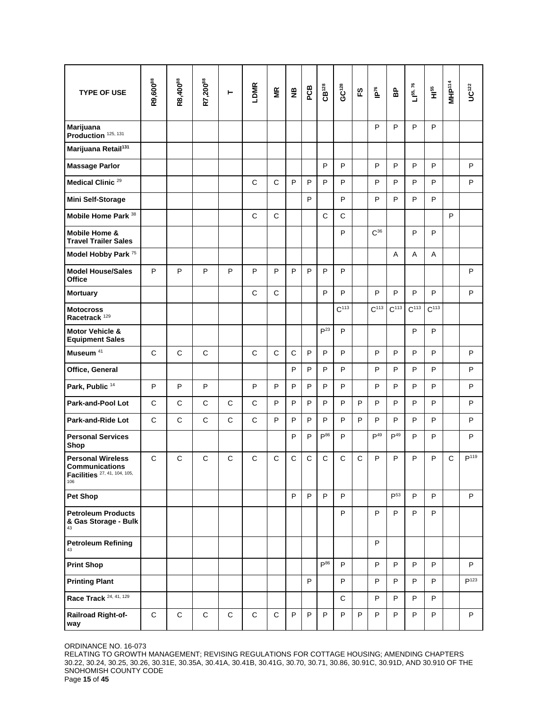| <b>TYPE OF USE</b>                                                                       | R9,600 <sup>88</sup> | R8,400 <sup>88</sup> | R7,200 <sup>88</sup> | Н            | LDMR         | МR           | $\frac{a}{Z}$ | PCB | $CB^{128}$      | $GC^{128}$       | က္ | ible             | 웁               | $L$   55, 76     | н <sup>55</sup>  | MHP <sup>114</sup> | UC <sup>122</sup> |
|------------------------------------------------------------------------------------------|----------------------|----------------------|----------------------|--------------|--------------|--------------|---------------|-----|-----------------|------------------|----|------------------|-----------------|------------------|------------------|--------------------|-------------------|
| Marijuana<br>Production 125, 131                                                         |                      |                      |                      |              |              |              |               |     |                 |                  |    | P                | P               | P                | P                |                    |                   |
| Marijuana Retail <sup>131</sup>                                                          |                      |                      |                      |              |              |              |               |     |                 |                  |    |                  |                 |                  |                  |                    |                   |
| <b>Massage Parlor</b>                                                                    |                      |                      |                      |              |              |              |               |     | P               | P                |    | P                | P               | P                | P                |                    | P                 |
| Medical Clinic <sup>29</sup>                                                             |                      |                      |                      |              | C            | C            | P             | P   | P               | P                |    | P                | P               | P                | P                |                    | P                 |
| <b>Mini Self-Storage</b>                                                                 |                      |                      |                      |              |              |              |               | P   |                 | P                |    | P                | P               | P                | P                |                    |                   |
| Mobile Home Park <sup>38</sup>                                                           |                      |                      |                      |              | $\mathsf C$  | $\mathsf{C}$ |               |     | $\mathsf{C}$    | $\mathsf{C}$     |    |                  |                 |                  |                  | P                  |                   |
| Mobile Home &<br><b>Travel Trailer Sales</b>                                             |                      |                      |                      |              |              |              |               |     |                 | P                |    | $C^{36}$         |                 | P                | P                |                    |                   |
| Model Hobby Park <sup>75</sup>                                                           |                      |                      |                      |              |              |              |               |     |                 |                  |    |                  | Α               | Α                | Α                |                    |                   |
| <b>Model House/Sales</b><br>Office                                                       | P                    | P                    | P                    | P            | P            | P            | P             | P   | P               | P                |    |                  |                 |                  |                  |                    | P                 |
| <b>Mortuary</b>                                                                          |                      |                      |                      |              | C            | C            |               |     | P               | P                |    | P                | P               | P                | P                |                    | P                 |
| <b>Motocross</b><br>Racetrack <sup>129</sup>                                             |                      |                      |                      |              |              |              |               |     |                 | C <sup>113</sup> |    | C <sup>113</sup> | $C^{113}$       | C <sup>113</sup> | C <sup>113</sup> |                    |                   |
| Motor Vehicle &<br><b>Equipment Sales</b>                                                |                      |                      |                      |              |              |              |               |     | P <sup>23</sup> | P                |    |                  |                 | P                | P                |                    |                   |
| Museum <sup>41</sup>                                                                     | $\mathsf C$          | $\mathbf C$          | C                    |              | $\mathbf C$  | $\mathsf{C}$ | $\mathbf C$   | P   | P               | P                |    | P                | P               | P                | P                |                    | P                 |
| Office, General                                                                          |                      |                      |                      |              |              |              | P             | P   | P               | P                |    | P                | P               | P                | P                |                    | P                 |
| Park, Public <sup>14</sup>                                                               | P                    | P                    | P                    |              | P            | P            | P             | P   | P               | P                |    | P                | P               | P                | P                |                    | P                 |
| Park-and-Pool Lot                                                                        | C                    | C                    | C                    | C            | C            | P            | P             | P   | P               | P                | P  | P                | P               | P                | P                |                    | P                 |
| Park-and-Ride Lot                                                                        | $\mathsf{C}$         | $\mathsf{C}$         | C                    | $\mathsf{C}$ | $\mathsf{C}$ | P            | P             | P   | P               | P                | P  | P                | P               | P                | P                |                    | P                 |
| <b>Personal Services</b><br>Shop                                                         |                      |                      |                      |              |              |              | P             | P   | $P^{86}$        | P                |    | P <sup>49</sup>  | P <sup>49</sup> | P                | P                |                    | P                 |
| <b>Personal Wireless</b><br><b>Communications</b><br>Facilities 27, 41, 104, 105,<br>106 | C                    | C                    | C                    | C            | C            | C            | C             | C   | C               | C                | C  | P                | P               | P                | P                | C                  | P <sup>119</sup>  |
| Pet Shop                                                                                 |                      |                      |                      |              |              |              | P             | P   | P               | P                |    |                  | P <sup>53</sup> | P                | P                |                    | P                 |
| <b>Petroleum Products</b><br>& Gas Storage - Bulk<br>43                                  |                      |                      |                      |              |              |              |               |     |                 | P                |    | P                | P               | P                | P                |                    |                   |
| <b>Petroleum Refining</b>                                                                |                      |                      |                      |              |              |              |               |     |                 |                  |    | P                |                 |                  |                  |                    |                   |
| <b>Print Shop</b>                                                                        |                      |                      |                      |              |              |              |               |     | $P^{86}$        | P                |    | P                | P               | P                | P                |                    | P                 |
| <b>Printing Plant</b>                                                                    |                      |                      |                      |              |              |              |               | P   |                 | P                |    | P                | P               | P                | P                |                    | P <sup>123</sup>  |
| Race Track 24, 41, 129                                                                   |                      |                      |                      |              |              |              |               |     |                 | $\mathsf C$      |    | P                | P               | P                | P                |                    |                   |
| Railroad Right-of-<br>way                                                                | $\mathbf C$          | $\mathbf C$          | C                    | $\mathbf C$  | $\mathbf C$  | $\mathbf C$  | P             | P   | P               | P                | P  | P                | P               | P                | P                |                    | P                 |

RELATING TO GROWTH MANAGEMENT; REVISING REGULATIONS FOR COTTAGE HOUSING; AMENDING CHAPTERS 30.22, 30.24, 30.25, 30.26, 30.31E, 30.35A, 30.41A, 30.41B, 30.41G, 30.70, 30.71, 30.86, 30.91C, 30.91D, AND 30.910 OF THE SNOHOMISH COUNTY CODE Page **15** of **45**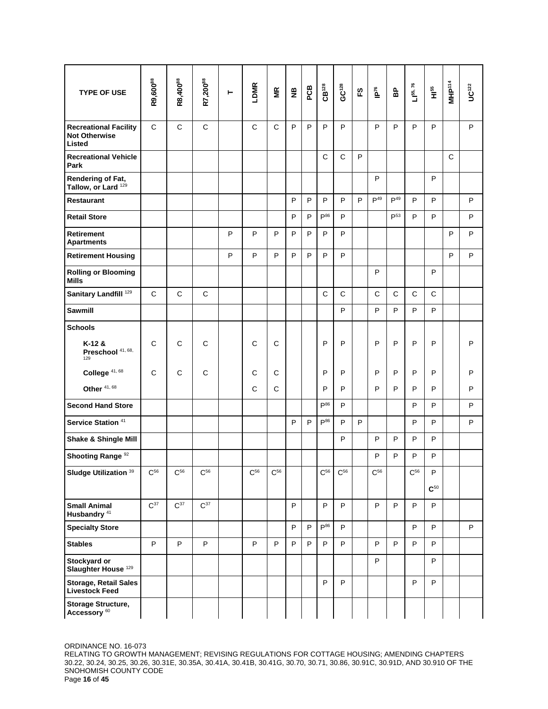| <b>TYPE OF USE</b>                                             | R9,600 <sup>88</sup> | R8,400 <sup>88</sup> | R7,200 <sup>88</sup> | н | LDMR         | ξ            | $\frac{a}{Z}$ | PCB | $CB^{128}$      | GC <sup>128</sup> | 53 | $\tilde{\mathbf{P}}_{\mathbf{c}}$ | 웁                 | $1^{55, 76}$ | Hi <sup>55</sup> | MHP <sup>114</sup> | $UC^{122}$ |
|----------------------------------------------------------------|----------------------|----------------------|----------------------|---|--------------|--------------|---------------|-----|-----------------|-------------------|----|-----------------------------------|-------------------|--------------|------------------|--------------------|------------|
| <b>Recreational Facility</b><br><b>Not Otherwise</b><br>Listed | $\mathsf{C}$         | $\mathbf C$          | $\mathsf{C}$         |   | $\mathbf C$  | $\mathsf{C}$ | P             | P   | P               | P                 |    | P                                 | P                 | P            | P                |                    | P          |
| <b>Recreational Vehicle</b><br>Park                            |                      |                      |                      |   |              |              |               |     | C               | C                 | P  |                                   |                   |              |                  | C                  |            |
| Rendering of Fat,<br>Tallow, or Lard <sup>129</sup>            |                      |                      |                      |   |              |              |               |     |                 |                   |    | P                                 |                   |              | P                |                    |            |
| <b>Restaurant</b>                                              |                      |                      |                      |   |              |              | P             | P   | P               | P                 | P  | P <sup>49</sup>                   | P <sup>49</sup>   | P            | P                |                    | P          |
| <b>Retail Store</b>                                            |                      |                      |                      |   |              |              | P             | P   | P <sup>86</sup> | P                 |    |                                   | $\mathsf{P}^{53}$ | P            | P                |                    | P          |
| <b>Retirement</b><br><b>Apartments</b>                         |                      |                      |                      | P | P            | P            | P             | P   | P               | P                 |    |                                   |                   |              |                  | P                  | P          |
| <b>Retirement Housing</b>                                      |                      |                      |                      | P | P            | P            | P             | P   | P               | P                 |    |                                   |                   |              |                  | P                  | P          |
| <b>Rolling or Blooming</b><br><b>Mills</b>                     |                      |                      |                      |   |              |              |               |     |                 |                   |    | P                                 |                   |              | P                |                    |            |
| Sanitary Landfill <sup>129</sup>                               | $\mathsf{C}$         | $\mathbf C$          | $\mathsf{C}$         |   |              |              |               |     | $\mathbf C$     | C                 |    | $\mathbf C$                       | $\mathbf C$       | $\mathsf{C}$ | $\mathsf{C}$     |                    |            |
| <b>Sawmill</b>                                                 |                      |                      |                      |   |              |              |               |     |                 | P                 |    | P                                 | P                 | P            | P                |                    |            |
| <b>Schools</b>                                                 |                      |                      |                      |   |              |              |               |     |                 |                   |    |                                   |                   |              |                  |                    |            |
| $K-12$ &<br>Preschool 41, 68,<br>129                           | $\mathsf{C}$         | C                    | C                    |   | $\mathsf{C}$ | C            |               |     | P               | P                 |    | P                                 | P                 | P            | P                |                    | P          |
| College <sup>41,68</sup>                                       | $\mathsf{C}$         | $\mathsf{C}$         | C                    |   | C            | C            |               |     | P               | P                 |    | P                                 | P                 | P            | P                |                    | P          |
| Other <sup>41,68</sup>                                         |                      |                      |                      |   | $\mathsf{C}$ | $\mathsf{C}$ |               |     | P               | P                 |    | P                                 | P                 | P            | P                |                    | P          |
| <b>Second Hand Store</b>                                       |                      |                      |                      |   |              |              |               |     | P <sup>86</sup> | P                 |    |                                   |                   | P            | P                |                    | P          |
| Service Station <sup>41</sup>                                  |                      |                      |                      |   |              |              | P             | P   | P <sup>86</sup> | P                 | P  |                                   |                   | P            | P                |                    | P          |
| <b>Shake &amp; Shingle Mill</b>                                |                      |                      |                      |   |              |              |               |     |                 | P                 |    | P                                 | P                 | P            | P                |                    |            |
| Shooting Range <sup>92</sup>                                   |                      |                      |                      |   |              |              |               |     |                 |                   |    | P                                 | P                 | P            | P                |                    |            |
| Sludge Utilization <sup>39</sup>                               | $C^{56}$             | $\rm C^{56}$         | $C^{56}$             |   | $C^{56}$     | $C^{56}$     |               |     | $\rm C^{56}$    | $\rm C^{56}$      |    | $\rm C^{56}$                      |                   | $C^{56}$     | P<br>$C^{50}$    |                    |            |
| <b>Small Animal</b><br>Husbandry <sup>41</sup>                 | $C^{37}$             | $\mathbf{C}^{37}$    | $C^{37}$             |   |              |              | P             |     | P               | P                 |    | P                                 | P                 | P            | P                |                    |            |
| <b>Specialty Store</b>                                         |                      |                      |                      |   |              |              | P             | P   | $P^{86}$        | P                 |    |                                   |                   | P            | P                |                    | P          |
| <b>Stables</b>                                                 | P                    | P                    | P                    |   | P            | P            | P             | P   | P               | P                 |    | P                                 | P                 | P            | P                |                    |            |
| Stockyard or<br>Slaughter House <sup>129</sup>                 |                      |                      |                      |   |              |              |               |     |                 |                   |    | P                                 |                   |              | P                |                    |            |
| <b>Storage, Retail Sales</b><br><b>Livestock Feed</b>          |                      |                      |                      |   |              |              |               |     | P               | P                 |    |                                   |                   | P            | P                |                    |            |
| Storage Structure,<br>Accessory <sup>60</sup>                  |                      |                      |                      |   |              |              |               |     |                 |                   |    |                                   |                   |              |                  |                    |            |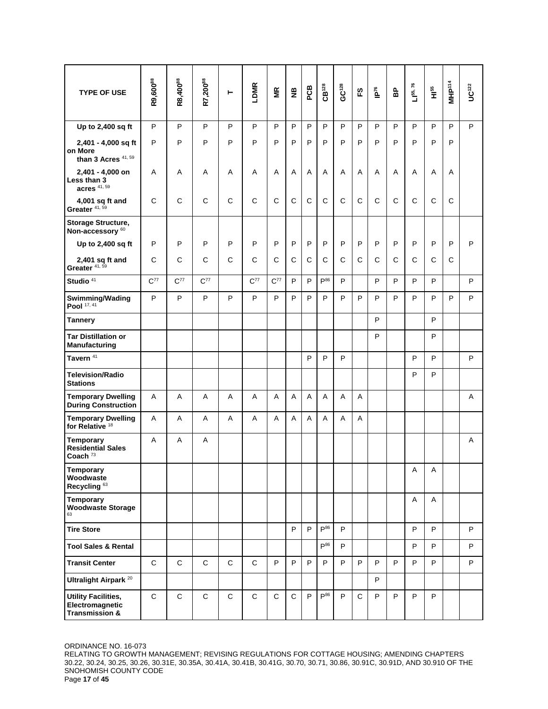| <b>TYPE OF USE</b>                                                         | R9,600 <sup>88</sup> | R8,400 <sup>88</sup> | R7,200 <sup>88</sup> | ۳            | LDMR         | ΓŘ           | $\frac{a}{Z}$ | PCB | $CB^{128}$      | යෙන | 53           | $\tilde{\mathbf{h}}$ | 웁 | 76<br>$L^{55}$ | а<br>Т       | MHP <sup>114</sup> | $UC^{122}$ |
|----------------------------------------------------------------------------|----------------------|----------------------|----------------------|--------------|--------------|--------------|---------------|-----|-----------------|-----|--------------|----------------------|---|----------------|--------------|--------------------|------------|
| Up to 2,400 sq ft                                                          | P                    | P                    | P                    | P            | P            | P            | P             | P   | P               | P   | P            | P                    | P | P              | P            | P                  | P          |
| 2,401 - 4,000 sq ft<br>on More<br>than 3 Acres $41,59$                     | P                    | P                    | P                    | P            | P            | P            | P             | P   | P               | P   | P            | P                    | P | P              | P            | P                  |            |
| 2,401 - 4,000 on<br>Less than 3<br>acres $41,59$                           | Α                    | Α                    | A                    | A            | Α            | A            | A             | A   | A               | A   | Α            | A                    | A | Α              | A            | Α                  |            |
| 4,001 sq ft and<br>Greater <sup>41,59</sup>                                | C                    | C                    | C                    | C            | C            | $\mathsf{C}$ | $\mathsf{C}$  | C   | C               | C   | C            | C                    | C | C              | $\mathsf{C}$ | C                  |            |
| Storage Structure,<br>Non-accessory <sup>60</sup>                          |                      |                      |                      |              |              |              |               |     |                 |     |              |                      |   |                |              |                    |            |
| Up to 2,400 sq ft                                                          | P                    | P                    | P                    | P            | P            | P            | $\mathsf{P}$  | P   | P               | P   | P            | P                    | P | P              | P            | P                  | P          |
| $2,401$ sq ft and<br>Greater <sup>41,59</sup>                              | C                    | C                    | C                    | C            | $\mathsf{C}$ | $\mathsf{C}$ | $\mathsf{C}$  | C   | C               | C   | C            | C                    | C | C              | $\mathsf{C}$ | C                  |            |
| Studio <sup>41</sup>                                                       | $C^{77}$             | $C^{77}$             | $C^{77}$             |              | $C^{77}$     | $C^{77}$     | P             | P   | P <sup>86</sup> | P   |              | P                    | P | P              | P            |                    | P          |
| Swimming/Wading<br>Pool 17, 41                                             | P                    | P                    | P                    | P            | P            | P            | P             | P   | P               | P   | P            | P                    | P | P              | P            | P                  | P          |
| <b>Tannery</b>                                                             |                      |                      |                      |              |              |              |               |     |                 |     |              | P                    |   |                | P            |                    |            |
| <b>Tar Distillation or</b><br><b>Manufacturing</b>                         |                      |                      |                      |              |              |              |               |     |                 |     |              | P                    |   |                | P            |                    |            |
| Tavern <sup>41</sup>                                                       |                      |                      |                      |              |              |              |               | P   | P               | P   |              |                      |   | P              | P            |                    | P          |
| <b>Television/Radio</b><br><b>Stations</b>                                 |                      |                      |                      |              |              |              |               |     |                 |     |              |                      |   | P              | P            |                    |            |
| <b>Temporary Dwelling</b><br><b>During Construction</b>                    | Α                    | Α                    | Α                    | Α            | Α            | Α            | Α             | Α   | Α               | A   | Α            |                      |   |                |              |                    | Α          |
| <b>Temporary Dwelling</b><br>for Relative <sup>18</sup>                    | Α                    | A                    | A                    | A            | A            | A            | A             | A   | A               | A   | A            |                      |   |                |              |                    |            |
| <b>Temporary</b><br><b>Residential Sales</b><br>Coach $73$                 | A                    | A                    | Α                    |              |              |              |               |     |                 |     |              |                      |   |                |              |                    | A          |
| Temporary<br>Woodwaste<br>Recycling <sup>63</sup>                          |                      |                      |                      |              |              |              |               |     |                 |     |              |                      |   | Α              | Α            |                    |            |
| Temporary<br><b>Woodwaste Storage</b><br>63                                |                      |                      |                      |              |              |              |               |     |                 |     |              |                      |   | Α              | A            |                    |            |
| <b>Tire Store</b>                                                          |                      |                      |                      |              |              |              | P             | P   | $P^{86}$        | P   |              |                      |   | P              | P            |                    | P          |
| <b>Tool Sales &amp; Rental</b>                                             |                      |                      |                      |              |              |              |               |     | $P^{86}$        | P   |              |                      |   | P              | P            |                    | P          |
| <b>Transit Center</b>                                                      | $\mathbf C$          | $\mathsf{C}$         | $\mathsf{C}$         | $\mathsf{C}$ | $\mathsf{C}$ | P            | P             | P   | P               | P   | P            | P                    | P | P              | P.           |                    | P          |
| Ultralight Airpark <sup>20</sup>                                           |                      |                      |                      |              |              |              |               |     |                 |     |              | P                    |   |                |              |                    |            |
| <b>Utility Facilities,</b><br>Electromagnetic<br><b>Transmission &amp;</b> | $\mathbf C$          | $\mathbf C$          | $\mathsf C$          | C            | $\mathbf C$  | C            | $\mathsf{C}$  | P   | $P^{86}$        | P   | $\mathsf{C}$ | P                    | P | P              | P            |                    |            |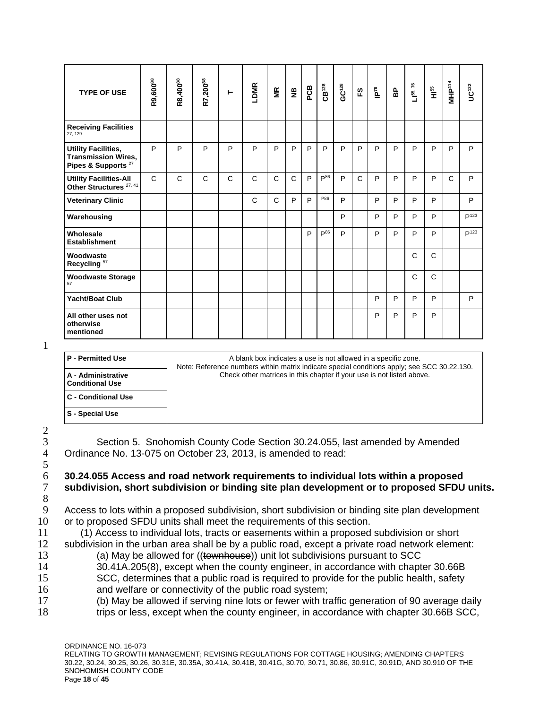| <b>TYPE OF USE</b>                                                                         | R9,600 <sup>88</sup> | R8,400 <sup>88</sup> | R7,200 <sup>88</sup> | ⊢            | LDMR         | Έ            | $\tilde{\mathbf{z}}$ | PCB | $CB^{128}$ | GC <sup>128</sup> | 5a           | ie <sub>ze</sub> | 웁 | $L1^{55, 76}$ | $\frac{45}{11}$ | MHP <sup>114</sup> | $UC^{122}$       |
|--------------------------------------------------------------------------------------------|----------------------|----------------------|----------------------|--------------|--------------|--------------|----------------------|-----|------------|-------------------|--------------|------------------|---|---------------|-----------------|--------------------|------------------|
| <b>Receiving Facilities</b><br>27.129                                                      |                      |                      |                      |              |              |              |                      |     |            |                   |              |                  |   |               |                 |                    |                  |
| <b>Utility Facilities,</b><br><b>Transmission Wires,</b><br>Pipes & Supports <sup>27</sup> | P                    | P                    | P                    | P            | P            | P            | P                    | P   | P          | P                 | P            | P                | P | P             | P               | P                  | P                |
| <b>Utility Facilities-All</b><br>Other Structures <sup>27, 41</sup>                        | $\mathsf{C}$         | $\mathsf{C}$         | C                    | $\mathsf{C}$ | $\mathsf{C}$ | $\mathsf{C}$ | C                    | P   | $P^{86}$   | P                 | $\mathsf{C}$ | P                | P | P             | P               | $\mathsf{C}$       | P                |
| <b>Veterinary Clinic</b>                                                                   |                      |                      |                      |              | $\mathsf{C}$ | $\mathsf{C}$ | P                    | P   | P86        | P                 |              | P                | P | P             | P               |                    | P                |
| Warehousing                                                                                |                      |                      |                      |              |              |              |                      |     |            | P                 |              | P                | P | P             | P               |                    | P <sup>123</sup> |
| Wholesale<br><b>Establishment</b>                                                          |                      |                      |                      |              |              |              |                      | P   | $P^{86}$   | P                 |              | P                | P | P             | P               |                    | P <sup>123</sup> |
| Woodwaste<br>Recycling <sup>57</sup>                                                       |                      |                      |                      |              |              |              |                      |     |            |                   |              |                  |   | C             | $\mathsf{C}$    |                    |                  |
| <b>Woodwaste Storage</b><br>57                                                             |                      |                      |                      |              |              |              |                      |     |            |                   |              |                  |   | $\mathsf{C}$  | $\mathsf{C}$    |                    |                  |
| <b>Yacht/Boat Club</b>                                                                     |                      |                      |                      |              |              |              |                      |     |            |                   |              | P                | P | P             | P               |                    | P                |
| All other uses not<br>otherwise<br>mentioned                                               |                      |                      |                      |              |              |              |                      |     |            |                   |              | P                | P | P             | P               |                    |                  |

1

| <b>P</b> - Permitted Use                     | A blank box indicates a use is not allowed in a specific zone.<br>Note: Reference numbers within matrix indicate special conditions apply; see SCC 30.22.130. |
|----------------------------------------------|---------------------------------------------------------------------------------------------------------------------------------------------------------------|
| A - Administrative<br><b>Conditional Use</b> | Check other matrices in this chapter if your use is not listed above.                                                                                         |
| <b>C</b> - Conditional Use                   |                                                                                                                                                               |
| S - Special Use                              |                                                                                                                                                               |
|                                              |                                                                                                                                                               |

2 5 8<br>9

3 Section 5. Snohomish County Code Section 30.24.055, last amended by Amended 4 Ordinance No. 13-075 on October 23, 2013, is amended to read: Ordinance No. 13-075 on October 23, 2013, is amended to read:

## 6 **30.24.055 Access and road network requirements to individual lots within a proposed**  7 **subdivision, short subdivision or binding site plan development or to proposed SFDU units.**

Access to lots within a proposed subdivision, short subdivision or binding site plan development 10 or to proposed SFDU units shall meet the requirements of this section.

11 (1) Access to individual lots, tracts or easements within a proposed subdivision or short

- 12 subdivision in the urban area shall be by a public road, except a private road network element: 13 (a) May be allowed for ((townhouse)) unit lot subdivisions pursuant to SCC
- 14 30.41A.205(8), except when the county engineer, in accordance with chapter 30.66B
- 15 SCC, determines that a public road is required to provide for the public health, safety 16 and welfare or connectivity of the public road system;
- 17 (b) May be allowed if serving nine lots or fewer with traffic generation of 90 average daily
- 18 trips or less, except when the county engineer, in accordance with chapter 30.66B SCC,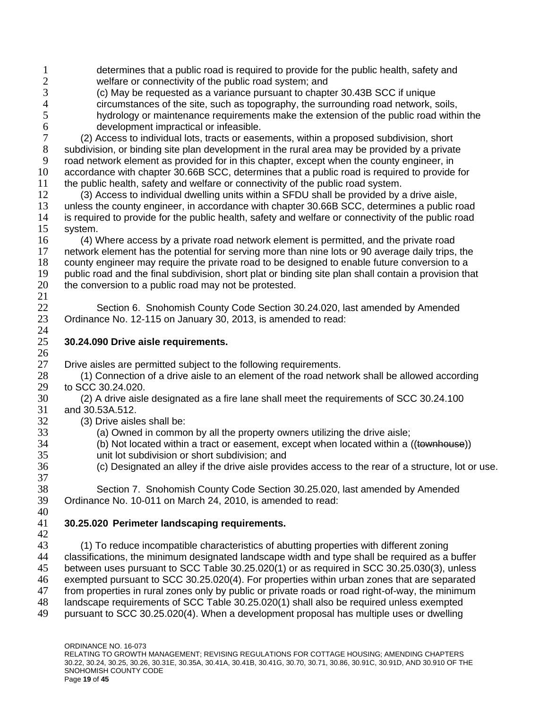- 1 determines that a public road is required to provide for the public health, safety and<br>2 welfare or connectivity of the public road system: and 2 welfare or connectivity of the public road system; and<br>3 (c) May be requested as a variance pursuant to chapt
- (c) May be requested as a variance pursuant to chapter 30.43B SCC if unique 4 circumstances of the site, such as topography, the surrounding road network, soils,<br>5 hydrology or maintenance requirements make the extension of the public road withi hydrology or maintenance requirements make the extension of the public road within the 6 development impractical or infeasible.<br>
7 (2) Access to individual lots, tracts or ease
- (2) Access to individual lots, tracts or easements, within a proposed subdivision, short subdivision, or binding site plan development in the rural area may be provided by a private road network element as provided for in this chapter, except when the county engineer, in accordance with chapter 30.66B SCC, determines that a public road is required to provide for the public health, safety and welfare or connectivity of the public road system.
- (3) Access to individual dwelling units within a SFDU shall be provided by a drive aisle, unless the county engineer, in accordance with chapter 30.66B SCC, determines a public road is required to provide for the public health, safety and welfare or connectivity of the public road system.
- (4) Where access by a private road network element is permitted, and the private road network element has the potential for serving more than nine lots or 90 average daily trips, the county engineer may require the private road to be designed to enable future conversion to a public road and the final subdivision, short plat or binding site plan shall contain a provision that 20 the conversion to a public road may not be protested.
- Section 6. Snohomish County Code Section 30.24.020, last amended by Amended Ordinance No. 12-115 on January 30, 2013, is amended to read:

# **30.24.090 Drive aisle requirements.**

27 Drive aisles are permitted subject to the following requirements.<br>28 (1) Connection of a drive aisle to an element of the road netw

- (1) Connection of a drive aisle to an element of the road network shall be allowed according 29 to SCC 30.24.020.<br>30 (2) A drive aisle
- (2) A drive aisle designated as a fire lane shall meet the requirements of SCC 30.24.100 and 30.53A.512.
- (3) Drive aisles shall be:

 $\frac{26}{27}$ 

- (a) Owned in common by all the property owners utilizing the drive aisle;
	- $(6)$  Not located within a tract or easement, except when located within a  $((t^{\alpha})^{\alpha})$
- unit lot subdivision or short subdivision; and
- (c) Designated an alley if the drive aisle provides access to the rear of a structure, lot or use.
- Section 7. Snohomish County Code Section 30.25.020, last amended by Amended Ordinance No. 10-011 on March 24, 2010, is amended to read:

## **30.25.020 Perimeter landscaping requirements.**

 43 (1) To reduce incompatible characteristics of abutting properties with different zoning<br>44 classifications, the minimum designated landscape width and type shall be required as a classifications, the minimum designated landscape width and type shall be required as a buffer between uses pursuant to SCC Table 30.25.020(1) or as required in SCC 30.25.030(3), unless exempted pursuant to SCC 30.25.020(4). For properties within urban zones that are separated from properties in rural zones only by public or private roads or road right-of-way, the minimum landscape requirements of SCC Table 30.25.020(1) shall also be required unless exempted pursuant to SCC 30.25.020(4). When a development proposal has multiple uses or dwelling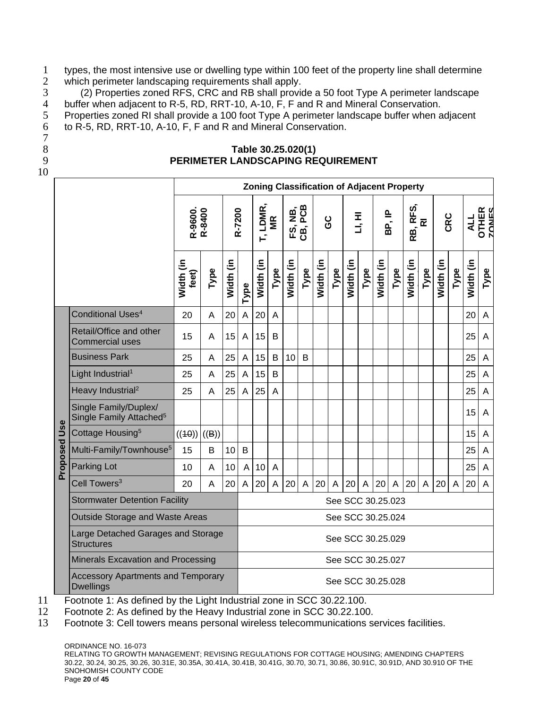1 types, the most intensive use or dwelling type within 100 feet of the property line shall determine<br>2 which perimeter landscaping requirements shall apply. 2 which perimeter landscaping requirements shall apply.<br>3 (2) Properties zoned RFS, CRC and RB shall provide

3 (2) Properties zoned RFS, CRC and RB shall provide a 50 foot Type A perimeter landscape 4 buffer when adjacent to R-5, RD, RRT-10, A-10, F, F and R and Mineral Conservation.<br>5 Properties zoned RI shall provide a 100 foot Type A perimeter landscape buffer when a

Properties zoned RI shall provide a 100 foot Type A perimeter landscape buffer when adjacent 6 to R-5, RD, RRT-10, A-10, F, F and R and Mineral Conservation.

- 7
- 
- 10

## 8 **Table 30.25.020(1)** 9 **PERIMETER LANDSCAPING REQUIREMENT**

|          |                                                              |                                           |       |           |                |                       |             |           |                    |                   |      | <b>Zoning Classification of Adjacent Property</b> |              |           |        |           |              |           |                |               |                       |
|----------|--------------------------------------------------------------|-------------------------------------------|-------|-----------|----------------|-----------------------|-------------|-----------|--------------------|-------------------|------|---------------------------------------------------|--------------|-----------|--------|-----------|--------------|-----------|----------------|---------------|-----------------------|
|          |                                                              | R-9600.<br>R-8400                         |       | R-7200    |                | LDMR,<br>$\mathbf{r}$ | MR          |           | FS, NB,<br>CB, PCB | ပ္ပ               |      |                                                   | H, HI        |           | BP, IP | RB, RFS,  | ᅙ            | CRC       |                | $\frac{1}{2}$ | <b>OTHER</b><br>ZONES |
|          |                                                              | Width (in<br>feet)                        | Type  | Width (in | Type           | Width (in             | Type        | Width (in | Type               | Width (in         | Type | Width (in                                         | Type         | Width (in | Type   | Width (in | Type         | Width (in | Type           | Width (in     | Type                  |
|          | Conditional Uses <sup>4</sup>                                | 20                                        | A     | 20        | $\mathsf{A}$   | 20                    | A           |           |                    |                   |      |                                                   |              |           |        |           |              |           |                | 20            | A                     |
|          | Retail/Office and other<br><b>Commercial uses</b>            | 15                                        | A     | 15        | A              | 15                    | B           |           |                    |                   |      |                                                   |              |           |        |           |              |           |                | 25            | A                     |
|          | <b>Business Park</b>                                         | 25                                        | A     | 25        | $\mathsf A$    | 15                    | B           | 10        | B                  |                   |      |                                                   |              |           |        |           |              |           |                | 25            | A                     |
|          | Light Industrial <sup>1</sup>                                | 25                                        | A     | 25        | $\mathsf{A}$   | 15                    | B           |           |                    |                   |      |                                                   |              |           |        |           |              |           |                | 25            | A                     |
|          | Heavy Industrial <sup>2</sup>                                | 25                                        | A     | 25        | $\overline{A}$ | 25                    | A           |           |                    |                   |      |                                                   |              |           |        |           |              |           |                | 25            | A                     |
|          | Single Family/Duplex/<br>Single Family Attached <sup>5</sup> |                                           |       |           |                |                       |             |           |                    |                   |      |                                                   |              |           |        |           |              |           |                | 15            | A                     |
| Use      | Cottage Housing <sup>5</sup>                                 | ((40))                                    | ((B)) |           |                |                       |             |           |                    |                   |      |                                                   |              |           |        |           |              |           |                | 15            | A                     |
| Proposed | Multi-Family/Townhouse <sup>5</sup>                          | 15                                        | B     | 10        | B              |                       |             |           |                    |                   |      |                                                   |              |           |        |           |              |           |                | 25            | A                     |
|          | <b>Parking Lot</b>                                           | 10                                        | A     | 10        | $\overline{A}$ | 10                    | A           |           |                    |                   |      |                                                   |              |           |        |           |              |           |                | 25            | $\overline{A}$        |
|          | Cell Towers <sup>3</sup>                                     | 20                                        | A     | 20        | $\mathsf A$    | 20                    | $\mathsf A$ | 20        | $\overline{A}$     | 20                | A    | 20                                                | $\mathsf{A}$ | 20        | A      | 20        | $\mathsf{A}$ | 20        | $\overline{A}$ | 20            | $\overline{A}$        |
|          | <b>Stormwater Detention Facility</b>                         |                                           |       |           |                |                       |             |           |                    |                   |      | See SCC 30.25.023                                 |              |           |        |           |              |           |                |               |                       |
|          | <b>Outside Storage and Waste Areas</b>                       |                                           |       |           |                |                       |             |           |                    | See SCC 30.25.024 |      |                                                   |              |           |        |           |              |           |                |               |                       |
|          | Large Detached Garages and Storage<br><b>Structures</b>      |                                           |       |           |                |                       |             |           |                    | See SCC 30.25.029 |      |                                                   |              |           |        |           |              |           |                |               |                       |
|          | Minerals Excavation and Processing                           |                                           |       |           |                |                       |             |           |                    | See SCC 30.25.027 |      |                                                   |              |           |        |           |              |           |                |               |                       |
|          | <b>Dwellings</b>                                             | <b>Accessory Apartments and Temporary</b> |       |           |                |                       |             |           |                    |                   |      | See SCC 30.25.028                                 |              |           |        |           |              |           |                |               |                       |

11 Footnote 1: As defined by the Light Industrial zone in SCC 30.22.100.

12 Footnote 2: As defined by the Heavy Industrial zone in SCC 30.22.100.

13 Footnote 3: Cell towers means personal wireless telecommunications services facilities.

ORDINANCE NO. 16-073 RELATING TO GROWTH MANAGEMENT; REVISING REGULATIONS FOR COTTAGE HOUSING; AMENDING CHAPTERS 30.22, 30.24, 30.25, 30.26, 30.31E, 30.35A, 30.41A, 30.41B, 30.41G, 30.70, 30.71, 30.86, 30.91C, 30.91D, AND 30.910 OF THE SNOHOMISH COUNTY CODE Page **20** of **45**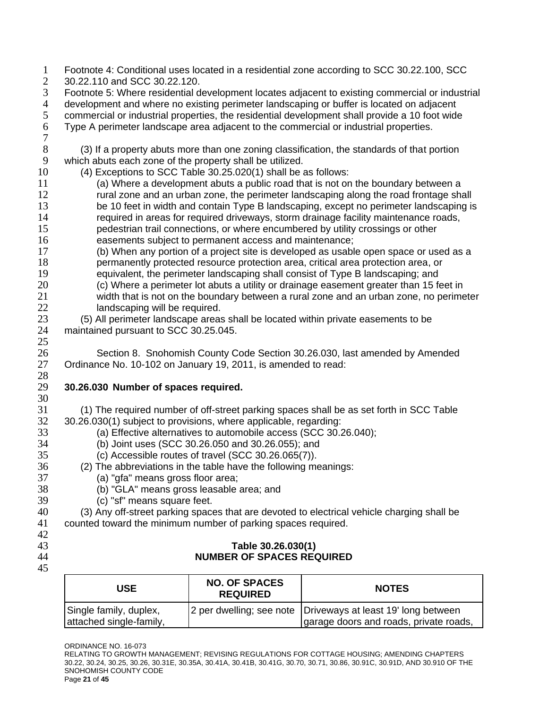Footnote 4: Conditional uses located in a residential zone according to SCC 30.22.100, SCC 30.22.110 and SCC 30.22.120. Footnote 5: Where residential development locates adjacent to existing commercial or industrial 4 development and where no existing perimeter landscaping or buffer is located on adjacent<br>5 commercial or industrial properties, the residential development shall provide a 10 foot wide commercial or industrial properties, the residential development shall provide a 10 foot wide Type A perimeter landscape area adjacent to the commercial or industrial properties. (3) If a property abuts more than one zoning classification, the standards of that portion which abuts each zone of the property shall be utilized. (4) Exceptions to SCC Table 30.25.020(1) shall be as follows: (a) Where a development abuts a public road that is not on the boundary between a rural zone and an urban zone, the perimeter landscaping along the road frontage shall 13 be 10 feet in width and contain Type B landscaping, except no perimeter landscaping is required in areas for required driveways, storm drainage facility maintenance roads, pedestrian trail connections, or where encumbered by utility crossings or other easements subject to permanent access and maintenance; (b) When any portion of a project site is developed as usable open space or used as a permanently protected resource protection area, critical area protection area, or equivalent, the perimeter landscaping shall consist of Type B landscaping; and (c) Where a perimeter lot abuts a utility or drainage easement greater than 15 feet in width that is not on the boundary between a rural zone and an urban zone, no perimeter landscaping will be required. (5) All perimeter landscape areas shall be located within private easements to be maintained pursuant to SCC 30.25.045. 26 Section 8. Snohomish County Code Section 30.26.030, last amended by Amended<br>27 Ordinance No. 10-102 on January 19, 2011, is amended to read: Ordinance No. 10-102 on January 19, 2011, is amended to read: **30.26.030 Number of spaces required.** (1) The required number of off-street parking spaces shall be as set forth in SCC Table 30.26.030(1) subject to provisions, where applicable, regarding: 33 (a) Effective alternatives to automobile access (SCC 30.26.040);<br>34 (b) Joint uses (SCC 30.26.050 and 30.26.055); and (b) Joint uses (SCC 30.26.050 and 30.26.055); and (c) Accessible routes of travel (SCC 30.26.065(7)). (2) The abbreviations in the table have the following meanings: (a) "gfa" means gross floor area; (b) "GLA" means gross leasable area; and (c) "sf" means square feet. (3) Any off-street parking spaces that are devoted to electrical vehicle charging shall be counted toward the minimum number of parking spaces required. **Table 30.26.030(1) NUMBER OF SPACES REQUIRED** 

| USE                                               | <b>NO. OF SPACES</b><br><b>REQUIRED</b> | <b>NOTES</b>                                                                                           |
|---------------------------------------------------|-----------------------------------------|--------------------------------------------------------------------------------------------------------|
| Single family, duplex,<br>attached single-family, |                                         | 2 per dwelling; see note Driveways at least 19' long between<br>garage doors and roads, private roads, |

RELATING TO GROWTH MANAGEMENT; REVISING REGULATIONS FOR COTTAGE HOUSING; AMENDING CHAPTERS 30.22, 30.24, 30.25, 30.26, 30.31E, 30.35A, 30.41A, 30.41B, 30.41G, 30.70, 30.71, 30.86, 30.91C, 30.91D, AND 30.910 OF THE SNOHOMISH COUNTY CODE Page **21** of **45**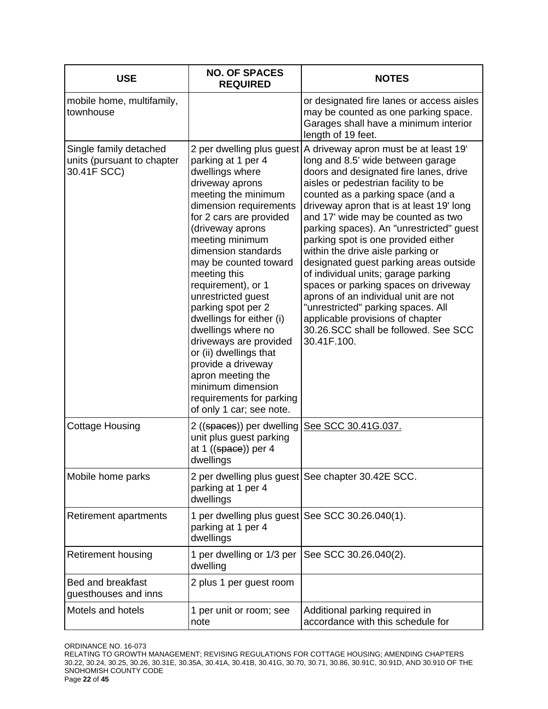| <b>USE</b>                                                          | <b>NO. OF SPACES</b><br><b>REQUIRED</b>                                                                                                                                                                                                                                                                                                                                                                                                                                                                                                                                  | <b>NOTES</b>                                                                                                                                                                                                                                                                                                                                                                                                                                                                                                                                                                                                                                                                                                 |
|---------------------------------------------------------------------|--------------------------------------------------------------------------------------------------------------------------------------------------------------------------------------------------------------------------------------------------------------------------------------------------------------------------------------------------------------------------------------------------------------------------------------------------------------------------------------------------------------------------------------------------------------------------|--------------------------------------------------------------------------------------------------------------------------------------------------------------------------------------------------------------------------------------------------------------------------------------------------------------------------------------------------------------------------------------------------------------------------------------------------------------------------------------------------------------------------------------------------------------------------------------------------------------------------------------------------------------------------------------------------------------|
| mobile home, multifamily,<br>townhouse                              |                                                                                                                                                                                                                                                                                                                                                                                                                                                                                                                                                                          | or designated fire lanes or access aisles<br>may be counted as one parking space.<br>Garages shall have a minimum interior<br>length of 19 feet.                                                                                                                                                                                                                                                                                                                                                                                                                                                                                                                                                             |
| Single family detached<br>units (pursuant to chapter<br>30.41F SCC) | 2 per dwelling plus guest<br>parking at 1 per 4<br>dwellings where<br>driveway aprons<br>meeting the minimum<br>dimension requirements<br>for 2 cars are provided<br>(driveway aprons<br>meeting minimum<br>dimension standards<br>may be counted toward<br>meeting this<br>requirement), or 1<br>unrestricted guest<br>parking spot per 2<br>dwellings for either (i)<br>dwellings where no<br>driveways are provided<br>or (ii) dwellings that<br>provide a driveway<br>apron meeting the<br>minimum dimension<br>requirements for parking<br>of only 1 car; see note. | A driveway apron must be at least 19'<br>long and 8.5' wide between garage<br>doors and designated fire lanes, drive<br>aisles or pedestrian facility to be<br>counted as a parking space (and a<br>driveway apron that is at least 19' long<br>and 17' wide may be counted as two<br>parking spaces). An "unrestricted" guest<br>parking spot is one provided either<br>within the drive aisle parking or<br>designated guest parking areas outside<br>of individual units; garage parking<br>spaces or parking spaces on driveway<br>aprons of an individual unit are not<br>"unrestricted" parking spaces. All<br>applicable provisions of chapter<br>30.26.SCC shall be followed. See SCC<br>30.41F.100. |
| <b>Cottage Housing</b>                                              | 2 ((spaces)) per dwelling<br>unit plus guest parking<br>at 1 $((\text{space}))$ per 4<br>dwellings                                                                                                                                                                                                                                                                                                                                                                                                                                                                       | See SCC 30.41G.037.                                                                                                                                                                                                                                                                                                                                                                                                                                                                                                                                                                                                                                                                                          |
| Mobile home parks                                                   | parking at 1 per 4<br>dwellings                                                                                                                                                                                                                                                                                                                                                                                                                                                                                                                                          | 2 per dwelling plus guest See chapter 30.42E SCC.                                                                                                                                                                                                                                                                                                                                                                                                                                                                                                                                                                                                                                                            |
| Retirement apartments                                               | 1 per dwelling plus guest See SCC 30.26.040(1).<br>parking at 1 per 4<br>dwellings                                                                                                                                                                                                                                                                                                                                                                                                                                                                                       |                                                                                                                                                                                                                                                                                                                                                                                                                                                                                                                                                                                                                                                                                                              |
| <b>Retirement housing</b>                                           | 1 per dwelling or 1/3 per<br>dwelling                                                                                                                                                                                                                                                                                                                                                                                                                                                                                                                                    | See SCC 30.26.040(2).                                                                                                                                                                                                                                                                                                                                                                                                                                                                                                                                                                                                                                                                                        |
| <b>Bed and breakfast</b><br>guesthouses and inns                    | 2 plus 1 per guest room                                                                                                                                                                                                                                                                                                                                                                                                                                                                                                                                                  |                                                                                                                                                                                                                                                                                                                                                                                                                                                                                                                                                                                                                                                                                                              |
| Motels and hotels                                                   | 1 per unit or room; see<br>note                                                                                                                                                                                                                                                                                                                                                                                                                                                                                                                                          | Additional parking required in<br>accordance with this schedule for                                                                                                                                                                                                                                                                                                                                                                                                                                                                                                                                                                                                                                          |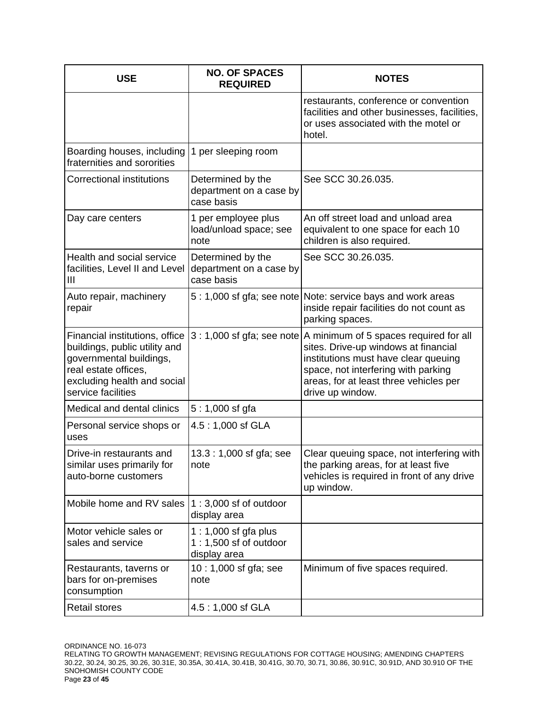| <b>USE</b>                                                                                                                                                              | <b>NO. OF SPACES</b><br><b>REQUIRED</b>                        | <b>NOTES</b>                                                                                                                                                                                                                |
|-------------------------------------------------------------------------------------------------------------------------------------------------------------------------|----------------------------------------------------------------|-----------------------------------------------------------------------------------------------------------------------------------------------------------------------------------------------------------------------------|
|                                                                                                                                                                         |                                                                | restaurants, conference or convention<br>facilities and other businesses, facilities,<br>or uses associated with the motel or<br>hotel.                                                                                     |
| Boarding houses, including<br>fraternities and sororities                                                                                                               | 1 per sleeping room                                            |                                                                                                                                                                                                                             |
| <b>Correctional institutions</b>                                                                                                                                        | Determined by the<br>department on a case by<br>case basis     | See SCC 30.26.035.                                                                                                                                                                                                          |
| Day care centers                                                                                                                                                        | 1 per employee plus<br>load/unload space; see<br>note          | An off street load and unload area<br>equivalent to one space for each 10<br>children is also required.                                                                                                                     |
| Health and social service<br>facilities, Level II and Level<br>Ш                                                                                                        | Determined by the<br>department on a case by<br>case basis     | See SCC 30.26.035.                                                                                                                                                                                                          |
| Auto repair, machinery<br>repair                                                                                                                                        |                                                                | 5: 1,000 sf gfa; see note Note: service bays and work areas<br>inside repair facilities do not count as<br>parking spaces.                                                                                                  |
| Financial institutions, office<br>buildings, public utility and<br>governmental buildings,<br>real estate offices,<br>excluding health and social<br>service facilities | $3:1,000$ sf gfa; see note                                     | A minimum of 5 spaces required for all<br>sites. Drive-up windows at financial<br>institutions must have clear queuing<br>space, not interfering with parking<br>areas, for at least three vehicles per<br>drive up window. |
| Medical and dental clinics                                                                                                                                              | 5:1,000 sf gfa                                                 |                                                                                                                                                                                                                             |
| Personal service shops or<br>uses                                                                                                                                       | 4.5: 1,000 sf GLA                                              |                                                                                                                                                                                                                             |
| Drive-in restaurants and<br>similar uses primarily for<br>auto-borne customers                                                                                          | 13.3: 1,000 sf gfa; see<br>note                                | Clear queuing space, not interfering with<br>the parking areas, for at least five<br>vehicles is required in front of any drive<br>up window.                                                                               |
| Mobile home and RV sales                                                                                                                                                | $1:3,000$ sf of outdoor<br>display area                        |                                                                                                                                                                                                                             |
| Motor vehicle sales or<br>sales and service                                                                                                                             | 1 : 1,000 sf gfa plus<br>1:1,500 sf of outdoor<br>display area |                                                                                                                                                                                                                             |
| Restaurants, taverns or<br>bars for on-premises<br>consumption                                                                                                          | 10:1,000 sf gfa; see<br>note                                   | Minimum of five spaces required.                                                                                                                                                                                            |
| <b>Retail stores</b>                                                                                                                                                    | 4.5:1,000 sf GLA                                               |                                                                                                                                                                                                                             |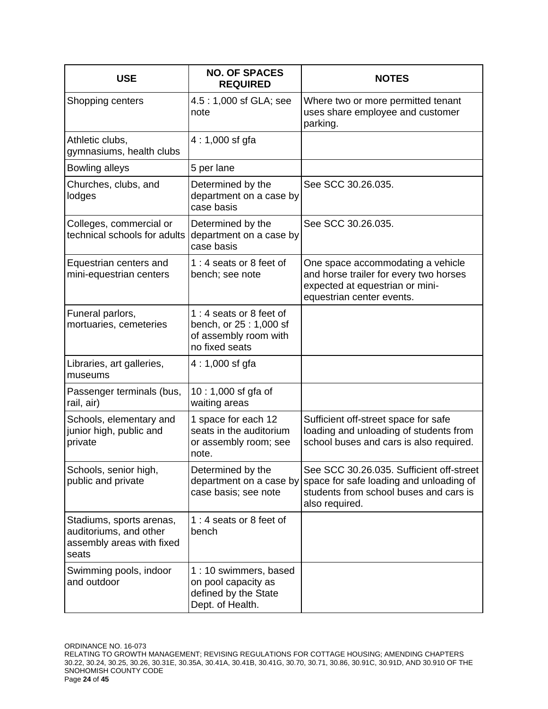| <b>USE</b>                                                                               | <b>NO. OF SPACES</b><br><b>REQUIRED</b>                                                      | <b>NOTES</b>                                                                                                                                    |
|------------------------------------------------------------------------------------------|----------------------------------------------------------------------------------------------|-------------------------------------------------------------------------------------------------------------------------------------------------|
| Shopping centers                                                                         | 4.5:1,000 sf GLA; see<br>note                                                                | Where two or more permitted tenant<br>uses share employee and customer<br>parking.                                                              |
| Athletic clubs,<br>gymnasiums, health clubs                                              | $4:1,000$ sf gfa                                                                             |                                                                                                                                                 |
| Bowling alleys                                                                           | 5 per lane                                                                                   |                                                                                                                                                 |
| Churches, clubs, and<br>lodges                                                           | Determined by the<br>department on a case by<br>case basis                                   | See SCC 30.26.035.                                                                                                                              |
| Colleges, commercial or<br>technical schools for adults                                  | Determined by the<br>department on a case by<br>case basis                                   | See SCC 30.26.035.                                                                                                                              |
| Equestrian centers and<br>mini-equestrian centers                                        | 1:4 seats or 8 feet of<br>bench; see note                                                    | One space accommodating a vehicle<br>and horse trailer for every two horses<br>expected at equestrian or mini-<br>equestrian center events.     |
| Funeral parlors,<br>mortuaries, cemeteries                                               | 1:4 seats or 8 feet of<br>bench, or 25 : 1,000 sf<br>of assembly room with<br>no fixed seats |                                                                                                                                                 |
| Libraries, art galleries,<br>museums                                                     | $4:1,000$ sf gfa                                                                             |                                                                                                                                                 |
| Passenger terminals (bus,<br>rail, air)                                                  | 10 : 1,000 sf gfa of<br>waiting areas                                                        |                                                                                                                                                 |
| Schools, elementary and<br>junior high, public and<br>private                            | 1 space for each 12<br>seats in the auditorium<br>or assembly room; see<br>note.             | Sufficient off-street space for safe<br>loading and unloading of students from<br>school buses and cars is also required.                       |
| Schools, senior high,<br>public and private                                              | Determined by the<br>department on a case by<br>case basis; see note                         | See SCC 30.26.035. Sufficient off-street<br>space for safe loading and unloading of<br>students from school buses and cars is<br>also required. |
| Stadiums, sports arenas,<br>auditoriums, and other<br>assembly areas with fixed<br>seats | 1:4 seats or 8 feet of<br>bench                                                              |                                                                                                                                                 |
| Swimming pools, indoor<br>and outdoor                                                    | 1:10 swimmers, based<br>on pool capacity as<br>defined by the State<br>Dept. of Health.      |                                                                                                                                                 |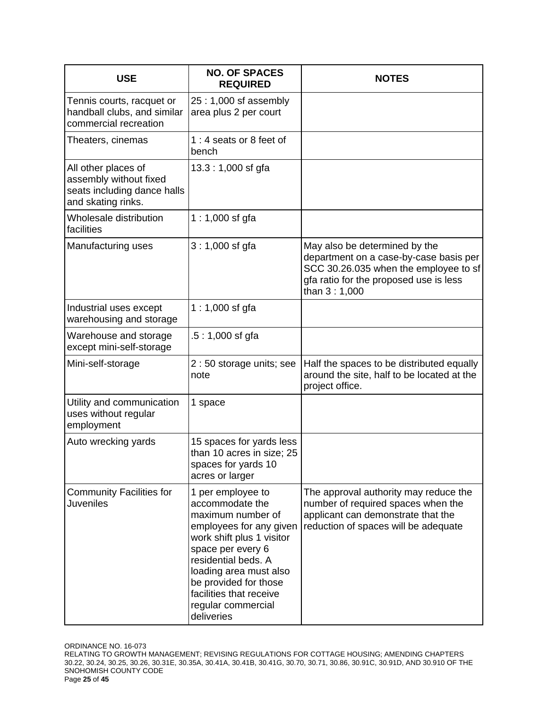| <b>USE</b>                                                                                         | <b>NO. OF SPACES</b><br><b>REQUIRED</b>                                                                                                                                                                                                                                         | <b>NOTES</b>                                                                                                                                                               |
|----------------------------------------------------------------------------------------------------|---------------------------------------------------------------------------------------------------------------------------------------------------------------------------------------------------------------------------------------------------------------------------------|----------------------------------------------------------------------------------------------------------------------------------------------------------------------------|
| Tennis courts, racquet or<br>handball clubs, and similar<br>commercial recreation                  | 25:1,000 sf assembly<br>area plus 2 per court                                                                                                                                                                                                                                   |                                                                                                                                                                            |
| Theaters, cinemas                                                                                  | 1:4 seats or 8 feet of<br>bench                                                                                                                                                                                                                                                 |                                                                                                                                                                            |
| All other places of<br>assembly without fixed<br>seats including dance halls<br>and skating rinks. | $13.3:1,000$ sf gfa                                                                                                                                                                                                                                                             |                                                                                                                                                                            |
| Wholesale distribution<br>facilities                                                               | $1:1,000$ sf gfa                                                                                                                                                                                                                                                                |                                                                                                                                                                            |
| Manufacturing uses                                                                                 | 3:1,000 sf gfa                                                                                                                                                                                                                                                                  | May also be determined by the<br>department on a case-by-case basis per<br>SCC 30.26.035 when the employee to sf<br>gfa ratio for the proposed use is less<br>than 3:1,000 |
| Industrial uses except<br>warehousing and storage                                                  | 1 : 1,000 sf gfa                                                                                                                                                                                                                                                                |                                                                                                                                                                            |
| Warehouse and storage<br>except mini-self-storage                                                  | $.5:1,000$ sf gfa                                                                                                                                                                                                                                                               |                                                                                                                                                                            |
| Mini-self-storage                                                                                  | 2 : 50 storage units; see<br>note                                                                                                                                                                                                                                               | Half the spaces to be distributed equally<br>around the site, half to be located at the<br>project office.                                                                 |
| Utility and communication<br>uses without regular<br>employment                                    | 1 space                                                                                                                                                                                                                                                                         |                                                                                                                                                                            |
| Auto wrecking yards                                                                                | 15 spaces for yards less<br>than 10 acres in size; 25<br>spaces for yards 10<br>acres or larger                                                                                                                                                                                 |                                                                                                                                                                            |
| <b>Community Facilities for</b><br><b>Juveniles</b>                                                | 1 per employee to<br>accommodate the<br>maximum number of<br>employees for any given<br>work shift plus 1 visitor<br>space per every 6<br>residential beds. A<br>loading area must also<br>be provided for those<br>facilities that receive<br>regular commercial<br>deliveries | The approval authority may reduce the<br>number of required spaces when the<br>applicant can demonstrate that the<br>reduction of spaces will be adequate                  |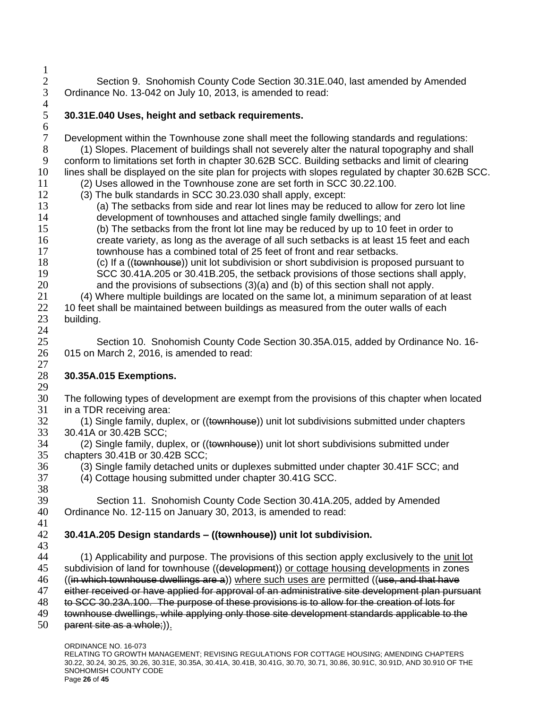2 Section 9. Snohomish County Code Section 30.31E.040, last amended by Amended 3 Ordinance No. 13-042 on July 10, 2013, is amended to read: Ordinance No. 13-042 on July 10, 2013, is amended to read:

 $\frac{4}{5}$ 

 $\frac{1}{2}$ 

# 5 **30.31E.040 Uses, height and setback requirements.**

6 Development within the Townhouse zone shall meet the following standards and regulations: 8 (1) Slopes. Placement of buildings shall not severely alter the natural topography and shall 9 conform to limitations set forth in chapter 30.62B SCC. Building setbacks and limit of clearing 10 lines shall be displayed on the site plan for projects with slopes regulated by chapter 30.62B SCC.

- 11 (2) Uses allowed in the Townhouse zone are set forth in SCC 30.22.100.
- 12 (3) The bulk standards in SCC 30.23.030 shall apply, except: 13 (a) The setbacks from side and rear lot lines may be reduced to allow for zero lot line
- 14 development of townhouses and attached single family dwellings; and

15 (b) The setbacks from the front lot line may be reduced by up to 10 feet in order to 16 create variety, as long as the average of all such setbacks is at least 15 feet and each 17 townhouse has a combined total of 25 feet of front and rear setbacks.

18 (c) If a ((townhouse)) unit lot subdivision or short subdivision is proposed pursuant to 19 SCC 30.41A.205 or 30.41B.205, the setback provisions of those sections shall apply, 20 and the provisions of subsections (3)(a) and (b) of this section shall not apply.

 (4) Where multiple buildings are located on the same lot, a minimum separation of at least 10 feet shall be maintained between buildings as measured from the outer walls of each building. 24

25 Section 10. Snohomish County Code Section 30.35A.015, added by Ordinance No. 16- 26 015 on March 2, 2016, is amended to read:

## $\frac{27}{28}$ 28 **30.35A.015 Exemptions.**

- 29<br>30 The following types of development are exempt from the provisions of this chapter when located 31 in a TDR receiving area:
- 32 (1) Single family, duplex, or ((townhouse)) unit lot subdivisions submitted under chapters 33 30.41A or 30.42B SCC;<br>34 (2) Single family, dup
	- (2) Single family, duplex, or ((townhouse)) unit lot short subdivisions submitted under
- 35 chapters 30.41B or 30.42B SCC;<br>36 (3) Single family detached uni 36 (3) Single family detached units or duplexes submitted under chapter 30.41F SCC; and<br>37 (4) Cottage housing submitted under chapter 30.41G SCC.
	- 37 (4) Cottage housing submitted under chapter 30.41G SCC.

38 39 Section 11. Snohomish County Code Section 30.41A.205, added by Amended 40 Ordinance No. 12-115 on January 30, 2013, is amended to read: 41

# 42 **30.41A.205 Design standards – ((townhouse)) unit lot subdivision.**

43

44 (1) Applicability and purpose. The provisions of this section apply exclusively to the unit lot

45 subdivision of land for townhouse ((development)) or cottage housing developments in zones

46 ((in which townhouse dwellings are a)) where such uses are permitted ((use, and that have 47 either received or have applied for approval of an administrative site development plan purs either received or have applied for approval of an administrative site development plan pursuant

48 to SCC 30.23A.100. The purpose of these provisions is to allow for the creation of lots for

- 49 townhouse dwellings, while applying only those site development standards applicable to the
- 50 parent site as a whole;)).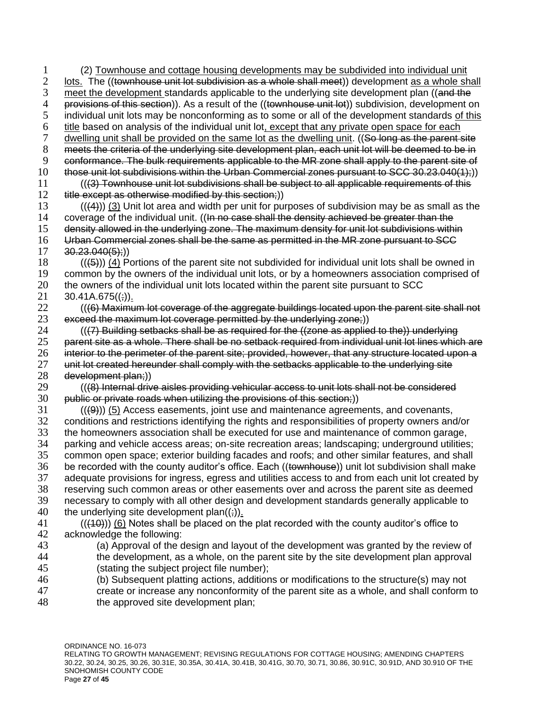1 (2) Townhouse and cottage housing developments may be subdivided into individual unit 2 (townhouse unit lot subdivision as a whole shall meet) development as a whole shall lots. The ((townhouse unit lot subdivision as a whole shall meet)) development as a whole shall 3 meet the development standards applicable to the underlying site development plan ((and the 4 meta) of this section)). As a result of the *((townhouse unit lot)*) subdivision, development of the *the section*)). As a res 4 provisions of this section)). As a result of the ((townhouse unit lot)) subdivision, development on<br>5 individual unit lots may be nonconforming as to some or all of the development standards of this individual unit lots may be nonconforming as to some or all of the development standards of this  $\frac{6}{7}$  title based on analysis of the individual unit lot, except that any private open space for each discussed on the same lot as the parent state parent state parent state parent state parent state parent state pare dwelling unit shall be provided on the same lot as the dwelling unit. ((So long as the parent site 8 meets the criteria of the underlying site development plan, each unit lot will be deemed to be in 9 conformance. The bulk requirements applicable to the MR zone shall apply to the parent site of 10 those unit lot subdivisions within the Urban Commercial zones pursuant to SCC 30.23.040(1);)) 11 (((3) Townhouse unit lot subdivisions shall be subject to all applicable requirements of this 12 title except as otherwise modified by this section;)  $(13$  (((4))) (3) Unit lot area and width per unit for purposes of subdivision may be as small as the 14 coverage of the individual unit. ((In no case shall the density achieved be greater than the coverage of the individual unit. ((In no case shall the density achieved be greater than the 15 density allowed in the underlying zone. The maximum density for unit lot subdivisions within 16 Urban Commercial zones shall be the same as permitted in the MR zone pursuant to SCC  $17 \quad 30.23.040(5)$ ;) 18  $((\left\langle 5\right\rangle))$  (4) Portions of the parent site not subdivided for individual unit lots shall be owned in 19 common by the owners of the individual unit lots, or by a homeowners association comprised of 20 the owners of the individual unit lots located within the parent site pursuant to SCC 21  $30.41A.675((\frac{1}{2}))$ . 22 (((6) Maximum lot coverage of the aggregate buildings located upon the parent site shall not  $23$  exceed the maximum lot coverage permitted by the underlying zone;)  $24$  (( $(7)$  Building setbacks shall be as required for the ((zone as applied to the)) underlying 25 parent site as a whole. There shall be no setback required from individual unit lot lines which are 26 interior to the perimeter of the parent site; provided, however, that any structure located upon a 27 unit lot created hereunder shall comply with the setbacks applicable to the underlying site 27 unit lot created hereunder shall comply with the setbacks applicable to the underlying site<br>28 development plan:))  $28$  development plan;))<br> $29$   $((68)$  Internal driv 29 (((8) Internal drive aisles providing vehicular access to unit lots shall not be considered<br>30 **public or private roads when utilizing the provisions of this section**:)) public or private roads when utilizing the provisions of this section;))  $31$  (( $(9)$ )) (5) Access easements, joint use and maintenance agreements, and covenants, 32 conditions and restrictions identifying the rights and responsibilities of property owners and/or 33 the homeowners association shall be executed for use and maintenance of common garage,<br>34 parking and vehicle access areas: on-site recreation areas: landscaping: underground utilities parking and vehicle access areas; on-site recreation areas; landscaping; underground utilities; 35 common open space; exterior building facades and roofs; and other similar features, and shall 36 be recorded with the county auditor's office. Each ((townhouse)) unit lot subdivision shall make 37 adequate provisions for ingress, egress and utilities access to and from each unit lot created by 38 reserving such common areas or other easements over and across the parent site as deemed 39 necessary to comply with all other design and development standards generally applicable to 40 the underlying site development plan $((\frac{1}{2}))_1$ . 41 (((10))) (6) Notes shall be placed on the plat recorded with the county auditor's office to 42 acknowledge the following: 43 (a) Approval of the design and layout of the development was granted by the review of 44 (4) the development, as a whole, on the parent site by the site development plan approval the development, as a whole, on the parent site by the site development plan approval 45 (stating the subject project file number); 46 (b) Subsequent platting actions, additions or modifications to the structure(s) may not 47 (a) create or increase any nonconformity of the parent site as a whole, and shall conform create or increase any nonconformity of the parent site as a whole, and shall conform to

48 the approved site development plan;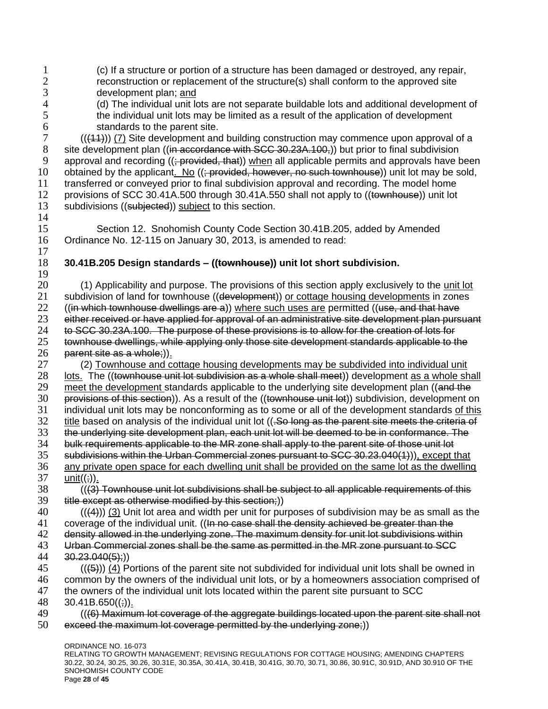ORDINANCE NO. 16-073 1 (c) If a structure or portion of a structure has been damaged or destroyed, any repair,<br>2 reconstruction or replacement of the structure(s) shall conform to the approved site 2 reconstruction or replacement of the structure(s) shall conform to the approved site<br>3 development plan; and 3 development plan; <u>and</u><br>4 (d) The individual unit lo 4 (d) The individual unit lots are not separate buildable lots and additional development of 4 the individual unit lots may be limited as a result of the application of development the individual unit lots may be limited as a result of the application of development 6 standards to the parent site.<br>  $7$   $((44))$   $(7)$  Site development and  $(((11))$  (7) Site development and building construction may commence upon approval of a 8 site development plan ((in accordance with SCC 30.23A.100,)) but prior to final subdivision 9 approval and recording ((; provided, that)) when all applicable permits and approvals have been 10 obtained by the applicant. No  $($ ; provided, however, no such townhouse)) unit lot may be sold, 11 transferred or conveyed prior to final subdivision approval and recording. The model home 12 provisions of SCC 30.41A.500 through 30.41A.550 shall not apply to ((townhouse)) unit lot 13 subdivisions ((subjected)) subject to this section. 14 15 Section 12. Snohomish County Code Section 30.41B.205, added by Amended 16 Ordinance No. 12-115 on January 30, 2013, is amended to read: 17 18 **30.41B.205 Design standards – ((townhouse)) unit lot short subdivision.** 19 20 (1) Applicability and purpose. The provisions of this section apply exclusively to the unit lot 21 subdivision of land for townhouse ((development)) or cottage housing developments in zones 22 (*(in which townhouse dwellings are a)*) where such uses are permitted (*(use, and that have* 23 either received or have applied for approval of an administrative site development plan pursuant 24 to SCC 30.23A.100. The purpose of these provisions is to allow for the creation of lots for 25 townhouse dwellings, while applying only those site development standards applicable to the  $26$  parent site as a whole;)).<br> $27$  (2) Townhouse and co 27 (2) Townhouse and cottage housing developments may be subdivided into individual unit 28 (2) Journal cottage housing development of the (townhouse unit lot subdivision as a whole shall meet) development as a whole sh lots. The ((townhouse unit lot subdivision as a whole shall meet)) development as a whole shall 29 meet the development standards applicable to the underlying site development plan ((and the 30<br>30 **provisions of this section**)). As a result of the ((townhouse unit lot)) subdivision, development o provisions of this section)). As a result of the ((townhouse unit lot)) subdivision, development on 31 individual unit lots may be nonconforming as to some or all of the development standards of this 32 title based on analysis of the individual unit lot ((.So long as the parent site meets the criteria of 33 the underlying site development plan, each unit lot will be deemed to be in conformance. The 34 to built be<br>34 bulk requirements applicable to the MR zone shall apply to the parent site of those unit lot bulk requirements applicable to the MR zone shall apply to the parent site of those unit lot 35 subdivisions within the Urban Commercial zones pursuant to SCC 30.23.040(1)), except that  $36$  any private open space for each dwelling unit shall be provided on the same lot as the dwelling  $37$  unit(( $\div$ )). unit $((;))$ . 38 (((3) Townhouse unit lot subdivisions shall be subject to all applicable requirements of this 39 title except as otherwise modified by this section;))  $40$  (((4))) (3) Unit lot area and width per unit for purposes of subdivision may be as small as the 41 coverage of the individual unit. ( $\theta$  and case shall the density achieved be greater than the 42 density allowed in the underlying zone. The maximum density for unit lot subdivisions within 43 Urban Commercial zones shall be the same as permitted in the MR zone pursuant to SCC<br>44 30.23.040(5):))  $30.23.040(5);)$  $(45)$  (( $(4)$ )) (4) Portions of the parent site not subdivided for individual unit lots shall be owned in 46 common by the owners of the individual unit lots, or by a homeowners association comprised of 47 the owners of the individual unit lots located within the parent site pursuant to SCC 48  $30.41B.650((\frac{1}{2}))$ . 49 (((6) Maximum lot coverage of the aggregate buildings located upon the parent site shall not 50 exceed the maximum lot coverage permitted by the underlying zone;))

RELATING TO GROWTH MANAGEMENT; REVISING REGULATIONS FOR COTTAGE HOUSING; AMENDING CHAPTERS 30.22, 30.24, 30.25, 30.26, 30.31E, 30.35A, 30.41A, 30.41B, 30.41G, 30.70, 30.71, 30.86, 30.91C, 30.91D, AND 30.910 OF THE SNOHOMISH COUNTY CODE Page **28** of **45**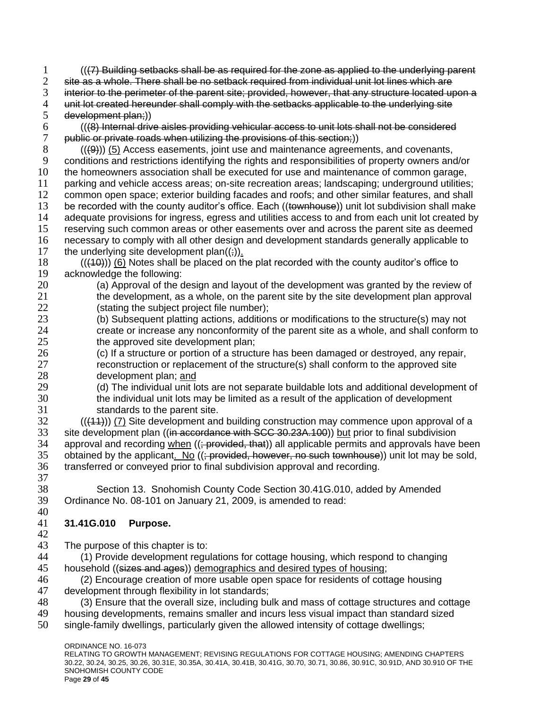$1$  (( $\left(7\right)$  Building setbacks shall be as required for the zone as applied to the underlying parent  $2$  site as a whole. There shall be no setback required from individual unit lot lines which are site as a whole. There shall be no setback required from individual unit lot lines which are 3 interior to the perimeter of the parent site; provided, however, that any structure located upon a<br>4 unit lot created hereunder shall comply with the setbacks applicable to the underlying site 4 unit lot created hereunder shall comply with the setbacks applicable to the underlying site<br>5 development plan:)) development plan;))  $(48)$  Internal drive aisles providing vehicular access to unit lots shall not be considered  $7$  public or private roads when utilizing the provisions of this section:) public or private roads when utilizing the provisions of this section;)) 8 (((9))) (5) Access easements, joint use and maintenance agreements, and covenants, 9 conditions and restrictions identifying the rights and responsibilities of property owners and/or 10 the homeowners association shall be executed for use and maintenance of common garage,

 parking and vehicle access areas; on-site recreation areas; landscaping; underground utilities; common open space; exterior building facades and roofs; and other similar features, and shall 13 be recorded with the county auditor's office. Each ((townhouse)) unit lot subdivision shall make adequate provisions for ingress, egress and utilities access to and from each unit lot created by reserving such common areas or other easements over and across the parent site as deemed

16 necessary to comply with all other design and development standards generally applicable to 17 the underlying site development plan $((\frac{1}{2}))$ .

- 18 (((10))) (6) Notes shall be placed on the plat recorded with the county auditor's office to 19 acknowledge the following:
- 20 (a) Approval of the design and layout of the development was granted by the review of 21 the development, as a whole, on the parent site by the site development plan approval 22 (stating the subject project file number);
- 23 (b) Subsequent platting actions, additions or modifications to the structure(s) may not 24 create or increase any nonconformity of the parent site as a whole, and shall conform to 25 the approved site development plan;
- 26 (c) If a structure or portion of a structure has been damaged or destroyed, any repair, 27 reconstruction or replacement of the structure(s) shall conform to the approved site 28 development plan; and
- 29 (d) The individual unit lots are not separate buildable lots and additional development of 20<br>30 the individual unit lots may be limited as a result of the application of development the individual unit lots may be limited as a result of the application of development 31 standards to the parent site.
- 32 (((11))) (7) Site development and building construction may commence upon approval of a 33 site development plan ((in accordance with SCC 30.23A.100)) but prior to final subdivision<br>34 approval and recording when ((: provided, that)) all applicable permits and approvals have approval and recording when  $((\div\text{provided}, \text{that}))$  all applicable permits and approvals have been 35 obtained by the applicant. No  $((\frac{1}{2} + \frac{1}{2})$  bowever, no such townhouse)) unit lot may be sold, 36 transferred or conveyed prior to final subdivision approval and recording.
- 37

38 Section 13. Snohomish County Code Section 30.41G.010, added by Amended 39 Ordinance No. 08-101 on January 21, 2009, is amended to read:

## 40 41 **31.41G.010 Purpose.**

42

43 The purpose of this chapter is to:<br>44 (1) Provide development requ

- 44 (1) Provide development regulations for cottage housing, which respond to changing 45 household ((sizes and ages)) demographics and desired types of housing;
- 46 (2) Encourage creation of more usable open space for residents of cottage housing<br>47 development through flexibility in lot standards: development through flexibility in lot standards;
- 48 (3) Ensure that the overall size, including bulk and mass of cottage structures and cottage
- 49 housing developments, remains smaller and incurs less visual impact than standard sized
- 50 single-family dwellings, particularly given the allowed intensity of cottage dwellings;

ORDINANCE NO. 16-073 RELATING TO GROWTH MANAGEMENT; REVISING REGULATIONS FOR COTTAGE HOUSING; AMENDING CHAPTERS 30.22, 30.24, 30.25, 30.26, 30.31E, 30.35A, 30.41A, 30.41B, 30.41G, 30.70, 30.71, 30.86, 30.91C, 30.91D, AND 30.910 OF THE SNOHOMISH COUNTY CODE Page **29** of **45**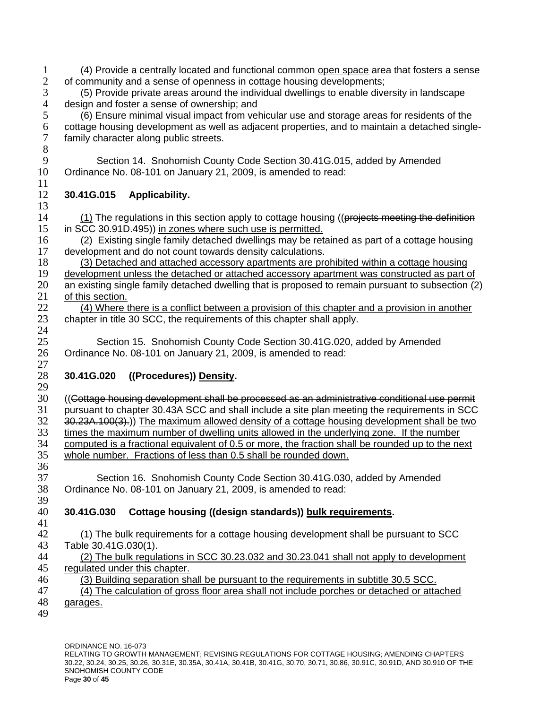- 1 (4) Provide a centrally located and functional common open space area that fosters a sense<br>2 of community and a sense of openness in cottage housing developments: of community and a sense of openness in cottage housing developments;
- 3 (5) Provide private areas around the individual dwellings to enable diversity in landscape 4 design and foster a sense of ownership; and<br>5 (6) Ensure minimal visual impact from veh

5 (6) Ensure minimal visual impact from vehicular use and storage areas for residents of the 6 cottage housing development as well as adjacent properties, and to maintain a detached single-<br>7 family character along public streets. family character along public streets. 8

9 Section 14. Snohomish County Code Section 30.41G.015, added by Amended 10 Ordinance No. 08-101 on January 21, 2009, is amended to read: 11

# 12 **30.41G.015 Applicability.**

- $\frac{13}{14}$  $(1)$  The regulations in this section apply to cottage housing ((projects meeting the definition 15 in SCC 30.91D.495) in zones where such use is permitted.
- 16 (2) Existing single family detached dwellings may be retained as part of a cottage housing<br>17 development and do not count towards density calculations. development and do not count towards density calculations.
- 18 (3) Detached and attached accessory apartments are prohibited within a cottage housing

19 development unless the detached or attached accessory apartment was constructed as part of 20 an existing single family detached dwelling that is proposed to remain pursuant to subsection (2)

21 of this section.

22 (4) Where there is a conflict between a provision of this chapter and a provision in another 23 chapter in title 30 SCC, the requirements of this chapter shall apply.

25 Section 15. Snohomish County Code Section 30.41G.020, added by Amended 26 Ordinance No. 08-101 on January 21, 2009, is amended to read:

## $\frac{27}{28}$ 28 **30.41G.020 ((Procedures)) Density.**

- 29<br>30 30 ((Cottage housing development shall be processed as an administrative conditional use permit 31 pursuant to chapter 30.43A SCC and shall include a site plan meeting the requirements in SCC 32 30.23A.100(3).)) The maximum allowed density of a cottage housing development shall be two 33 times the maximum number of dwelling units allowed in the underlying zone. If the number<br>34 computed is a fractional equivalent of 0.5 or more, the fraction shall be rounded up to the ne computed is a fractional equivalent of  $0.5$  or more, the fraction shall be rounded up to the next 35 whole number. Fractions of less than 0.5 shall be rounded down.
- 36<br>37 Section 16. Snohomish County Code Section 30.41G.030, added by Amended 38 Ordinance No. 08-101 on January 21, 2009, is amended to read: 39

# 40 **30.41G.030 Cottage housing ((design standards)) bulk requirements.**

41

- 42 (1) The bulk requirements for a cottage housing development shall be pursuant to SCC
- 43 Table 30.41G.030(1).<br>44 (2) The bulk regula 44 (2) The bulk regulations in SCC 30.23.032 and 30.23.041 shall not apply to development 45 regulated under this chapter.
- 46 (3) Building separation shall be pursuant to the requirements in subtitle 30.5 SCC.<br>47 (4) The calculation of gross floor area shall not include porches or detached or atta
	- 47 (4) The calculation of gross floor area shall not include porches or detached or attached
- 48 garages.
- 49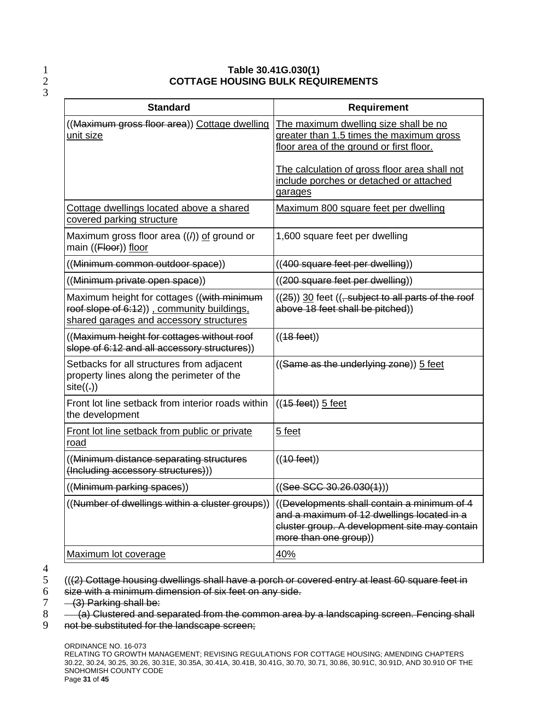## 1 **Table 30.41G.030(1)** 2 **COTTAGE HOUSING BULK REQUIREMENTS**

| <b>Standard</b>                                                                                                                      | <b>Requirement</b>                                                                                                                                                  |
|--------------------------------------------------------------------------------------------------------------------------------------|---------------------------------------------------------------------------------------------------------------------------------------------------------------------|
| ((Maximum gross floor area)) Cottage dwelling<br>unit size                                                                           | The maximum dwelling size shall be no<br>greater than 1.5 times the maximum gross<br>floor area of the ground or first floor.                                       |
|                                                                                                                                      | The calculation of gross floor area shall not<br>include porches or detached or attached<br>garages                                                                 |
| Cottage dwellings located above a shared<br>covered parking structure                                                                | Maximum 800 square feet per dwelling                                                                                                                                |
| Maximum gross floor area $((4))$ of ground or<br>main ((Floor)) floor                                                                | 1,600 square feet per dwelling                                                                                                                                      |
| ((Minimum common outdoor space))                                                                                                     | ((400 square feet per dwelling))                                                                                                                                    |
| ((Minimum private open space))                                                                                                       | ((200 square feet per dwelling))                                                                                                                                    |
| Maximum height for cottages ((with minimum<br>roof slope of 6:12)) . community buildings.<br>shared garages and accessory structures | $((25))$ 30 feet $((, subject to all parts of the roof)$<br>above 18 feet shall be pitched))                                                                        |
| ((Maximum height for cottages without roof<br>slope of 6:12 and all accessory structures))                                           | $((48 \text{ feet}))$                                                                                                                                               |
| Setbacks for all structures from adjacent<br>property lines along the perimeter of the<br>site((.))                                  | ((Same as the underlying zone)) 5 feet                                                                                                                              |
| Front lot line setback from interior roads within<br>the development                                                                 | $((15 \text{ feet}))$ 5 feet                                                                                                                                        |
| Front lot line setback from public or private<br>road                                                                                | 5 feet                                                                                                                                                              |
| (Minimum distance separating structures<br>(Including accessory structures)))                                                        | $((40 \text{ feet}))$                                                                                                                                               |
| ((Minimum parking spaces))                                                                                                           | ((See <b>SCC</b> 30.26.030(1)))                                                                                                                                     |
| ((Number of dwellings within a cluster groups))                                                                                      | ((Developments shall contain a minimum of 4<br>and a maximum of 12 dwellings located in a<br>cluster group. A development site may contain<br>more than one group)) |
| Maximum lot coverage                                                                                                                 | 40%                                                                                                                                                                 |

 $\frac{4}{5}$ 

- 6 size with a minimum dimension of six feet on any side.<br> $7 (3)$  Parking shall be:
- $7 (3)$  Parking shall be:<br> $8 (a)$  Clustered and s
- (a) Clustered and separated from the common area by a landscaping screen. Fencing shall
- 9 not be substituted for the landscape screen;

<sup>3</sup>

 $5$  (( $(2)$  Cottage housing dwellings shall have a porch or covered entry at least 60 square feet in 6<br>6 size with a minimum dimension of six feet on any side.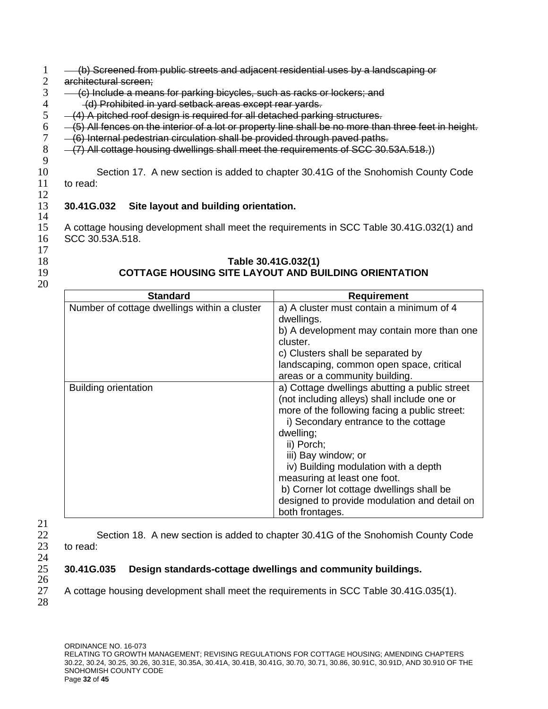- 1 (b) Screened from public streets and adjacent residential uses by a landscaping or <br>2 architectural screen:
- $2$  architectural screen;<br> $3 (c)$  include a mear
- $3 \left( c \right)$  Include a means for parking bicycles, such as racks or lockers; and  $4 \left( d \right)$  Prohibited in vard setback areas except rear vards.
- 4 (d) Prohibited in yard setback areas except rear yards.<br>5  $-(4)$  A pitched roof design is required for all detached parki
- $-$  (4) A pitched roof design is required for all detached parking structures.
- $6 -$  (5) All fences on the interior of a lot or property line shall be no more than three feet in height.<br>7 (6) Internal pedestrian circulation shall be provided through paved paths.
- 7 (6) Internal pedestrian circulation shall be provided through paved paths.
- 8 (7) All cottage housing dwellings shall meet the requirements of SCC 30.53A.518.) 9

10 Section 17. A new section is added to chapter 30.41G of the Snohomish County Code 11 to read:

#### 13 **30.41G.032 Site layout and building orientation.** 14

15 A cottage housing development shall meet the requirements in SCC Table 30.41G.032(1) and 16 SCC 30.53A.518.

17

12

- 
- 20

# 18 **Table 30.41G.032(1)** 19 **COTTAGE HOUSING SITE LAYOUT AND BUILDING ORIENTATION**

| <b>Standard</b>                              | <b>Requirement</b>                                                                                                                                                                                                                                                                                                                                                                                                             |
|----------------------------------------------|--------------------------------------------------------------------------------------------------------------------------------------------------------------------------------------------------------------------------------------------------------------------------------------------------------------------------------------------------------------------------------------------------------------------------------|
| Number of cottage dwellings within a cluster | a) A cluster must contain a minimum of 4<br>dwellings.                                                                                                                                                                                                                                                                                                                                                                         |
|                                              | b) A development may contain more than one<br>cluster.                                                                                                                                                                                                                                                                                                                                                                         |
|                                              | c) Clusters shall be separated by                                                                                                                                                                                                                                                                                                                                                                                              |
|                                              | landscaping, common open space, critical<br>areas or a community building.                                                                                                                                                                                                                                                                                                                                                     |
| <b>Building orientation</b>                  | a) Cottage dwellings abutting a public street<br>(not including alleys) shall include one or<br>more of the following facing a public street:<br>i) Secondary entrance to the cottage<br>dwelling;<br>ii) Porch;<br>iii) Bay window; or<br>iv) Building modulation with a depth<br>measuring at least one foot.<br>b) Corner lot cottage dwellings shall be<br>designed to provide modulation and detail on<br>both frontages. |

21 24  $\frac{26}{27}$ 

28

22 Section 18. A new section is added to chapter 30.41G of the Snohomish County Code 23 to read:

# 25 **30.41G.035 Design standards-cottage dwellings and community buildings.**

27 A cottage housing development shall meet the requirements in SCC Table 30.41G.035(1).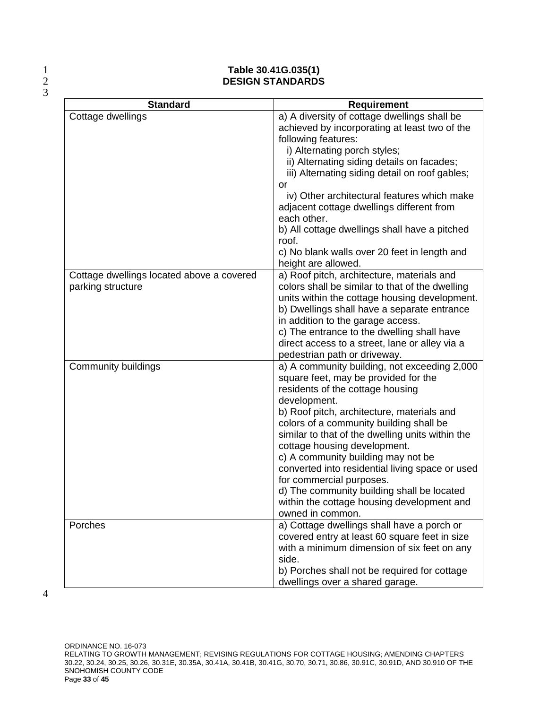$\frac{2}{3}$ 

### 1 **Table 30.41G.035(1)** 2 **DESIGN STANDARDS**

| <b>Standard</b>                                                | <b>Requirement</b>                                                                                                                                                                                                                                                                                                                                                                                                                                                                                                                                         |
|----------------------------------------------------------------|------------------------------------------------------------------------------------------------------------------------------------------------------------------------------------------------------------------------------------------------------------------------------------------------------------------------------------------------------------------------------------------------------------------------------------------------------------------------------------------------------------------------------------------------------------|
| Cottage dwellings                                              | a) A diversity of cottage dwellings shall be<br>achieved by incorporating at least two of the<br>following features:<br>i) Alternating porch styles;<br>ii) Alternating siding details on facades;<br>iii) Alternating siding detail on roof gables;<br>or<br>iv) Other architectural features which make<br>adjacent cottage dwellings different from<br>each other.<br>b) All cottage dwellings shall have a pitched<br>roof.<br>c) No blank walls over 20 feet in length and<br>height are allowed.                                                     |
| Cottage dwellings located above a covered<br>parking structure | a) Roof pitch, architecture, materials and<br>colors shall be similar to that of the dwelling<br>units within the cottage housing development.<br>b) Dwellings shall have a separate entrance<br>in addition to the garage access.<br>c) The entrance to the dwelling shall have<br>direct access to a street, lane or alley via a<br>pedestrian path or driveway.                                                                                                                                                                                         |
| <b>Community buildings</b>                                     | a) A community building, not exceeding 2,000<br>square feet, may be provided for the<br>residents of the cottage housing<br>development.<br>b) Roof pitch, architecture, materials and<br>colors of a community building shall be<br>similar to that of the dwelling units within the<br>cottage housing development.<br>c) A community building may not be<br>converted into residential living space or used<br>for commercial purposes.<br>d) The community building shall be located<br>within the cottage housing development and<br>owned in common. |
| Porches                                                        | a) Cottage dwellings shall have a porch or<br>covered entry at least 60 square feet in size<br>with a minimum dimension of six feet on any<br>side.<br>b) Porches shall not be required for cottage<br>dwellings over a shared garage.                                                                                                                                                                                                                                                                                                                     |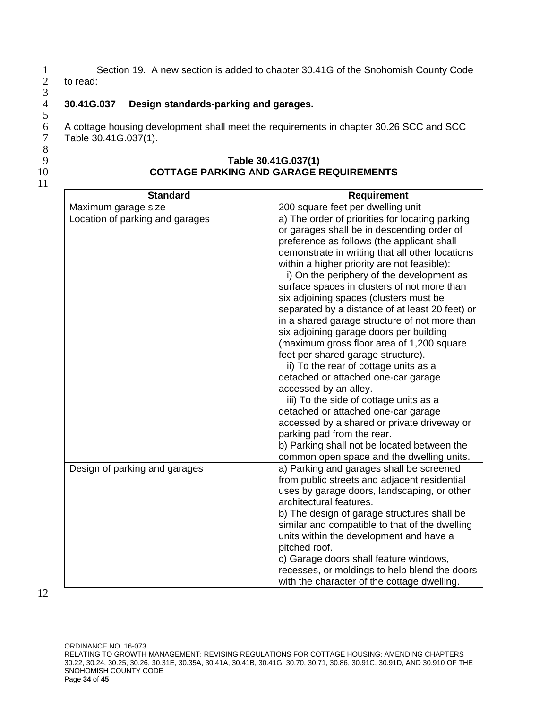1 Section 19. A new section is added to chapter 30.41G of the Snohomish County Code<br>2 to read: to read:

# 4 **30.41G.037 Design standards-parking and garages.**

6 A cottage housing development shall meet the requirements in chapter 30.26 SCC and SCC 7 Table 30.41G.037(1).

8

11

 $\frac{3}{4}$ 

 $\frac{5}{6}$ 

#### 9 **Table 30.41G.037(1)** 10 **COTTAGE PARKING AND GARAGE REQUIREMENTS**

| <b>Standard</b>                 | <b>Requirement</b>                                                                                                                                                                                                                                                                                                                                                                                                                                                                                                                                                                                                                                                                                                                                                                                                                                                                                                                                                                       |
|---------------------------------|------------------------------------------------------------------------------------------------------------------------------------------------------------------------------------------------------------------------------------------------------------------------------------------------------------------------------------------------------------------------------------------------------------------------------------------------------------------------------------------------------------------------------------------------------------------------------------------------------------------------------------------------------------------------------------------------------------------------------------------------------------------------------------------------------------------------------------------------------------------------------------------------------------------------------------------------------------------------------------------|
| Maximum garage size             | 200 square feet per dwelling unit                                                                                                                                                                                                                                                                                                                                                                                                                                                                                                                                                                                                                                                                                                                                                                                                                                                                                                                                                        |
| Location of parking and garages | a) The order of priorities for locating parking<br>or garages shall be in descending order of<br>preference as follows (the applicant shall<br>demonstrate in writing that all other locations<br>within a higher priority are not feasible):<br>i) On the periphery of the development as<br>surface spaces in clusters of not more than<br>six adjoining spaces (clusters must be<br>separated by a distance of at least 20 feet) or<br>in a shared garage structure of not more than<br>six adjoining garage doors per building<br>(maximum gross floor area of 1,200 square<br>feet per shared garage structure).<br>ii) To the rear of cottage units as a<br>detached or attached one-car garage<br>accessed by an alley.<br>iii) To the side of cottage units as a<br>detached or attached one-car garage<br>accessed by a shared or private driveway or<br>parking pad from the rear.<br>b) Parking shall not be located between the<br>common open space and the dwelling units. |
| Design of parking and garages   | a) Parking and garages shall be screened<br>from public streets and adjacent residential<br>uses by garage doors, landscaping, or other<br>architectural features.<br>b) The design of garage structures shall be<br>similar and compatible to that of the dwelling<br>units within the development and have a<br>pitched roof.<br>c) Garage doors shall feature windows,<br>recesses, or moldings to help blend the doors<br>with the character of the cottage dwelling.                                                                                                                                                                                                                                                                                                                                                                                                                                                                                                                |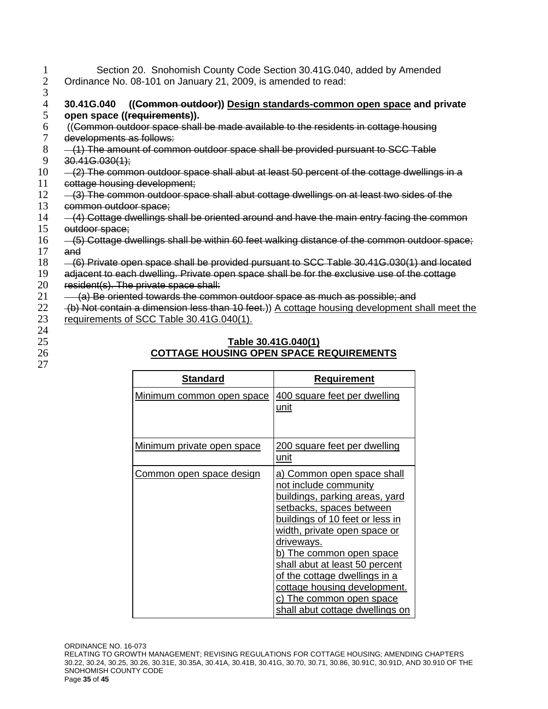- 1 Section 20. Snohomish County Code Section 30.41G.040, added by Amended<br>2 Ordinance No. 08-101 on January 21, 2009, is amended to read: 2 Ordinance No. 08-101 on January 21, 2009, is amended to read:
- $\frac{3}{4}$

## 4 **30.41G.040 ((Common outdoor)) Design standards-common open space and private**  open space ((requirements)).

- $6$  ((Common outdoor space shall be made available to the residents in cottage housing developments as follows: developments as follows:
- 8 (1) The amount of common outdoor space shall be provided pursuant to SCC Table 9 30.41G.030(1);
- $10 (2)$  The common outdoor space shall abut at least 50 percent of the cottage dwellings in a
- 11 cottage housing development;
- 12 (3) The common outdoor space shall abut cottage dwellings on at least two sides of the 13 common outdoor space;
- 14 (4) Cottage dwellings shall be oriented around and have the main entry facing the common 15 outdoor space;
- 16 (5) Cottage dwellings shall be within 60 feet walking distance of the common outdoor space; 17 and
- 18 (6) Private open space shall be provided pursuant to SCC Table 30.41G.030(1) and located
- 19 adjacent to each dwelling. Private open space shall be for the exclusive use of the cottage
- 20 resident(s). The private space shall:
- $21 -$  (a) Be oriented towards the common outdoor space as much as possible; and
- $22$  (b) Not contain a dimension less than 10 feet.)) A cottage housing development shall meet the
- 23 requirements of SCC Table 30.41G.040(1).
- 24
- 
- 27

### 25 **Table 30.41G.040(1)** 26 **COTTAGE HOUSING OPEN SPACE REQUIREMENTS**

| <b>Standard</b>                  | <b>Requirement</b>                                                                                                                                                                                                                                                                                                                                                                                                                  |
|----------------------------------|-------------------------------------------------------------------------------------------------------------------------------------------------------------------------------------------------------------------------------------------------------------------------------------------------------------------------------------------------------------------------------------------------------------------------------------|
| <u>Minimum common open space</u> | <u>400 square feet per dwelling</u><br><u>unit</u>                                                                                                                                                                                                                                                                                                                                                                                  |
| Minimum private open space       | <u>200 square feet per dwelling</u><br><u>unit</u>                                                                                                                                                                                                                                                                                                                                                                                  |
| <u>Common open space design</u>  | <u>a) Common open space shall</u><br>not include community<br><u>buildings, parking areas, yard</u><br>setbacks, spaces between<br>buildings of 10 feet or less in<br><u>width, private open space or</u><br>driveways.<br><u>b) The common open space</u><br>shall abut at least 50 percent<br>of the cottage dwellings in a<br>cottage housing development.<br><u>c) The common open space</u><br>shall abut cottage dwellings on |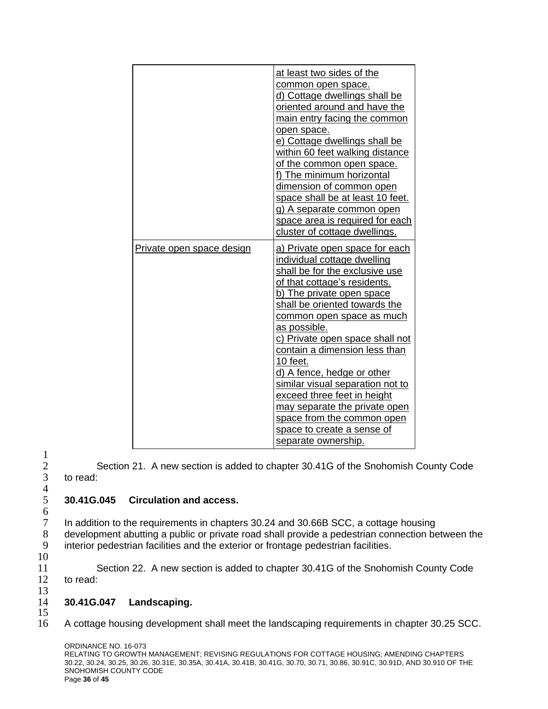|                           | at least two sides of the<br>common open space.<br>d) Cottage dwellings shall be<br>oriented around and have the<br>main entry facing the common<br>open space.<br>e) Cottage dwellings shall be<br>within 60 feet walking distance<br>of the common open space.<br>f) The minimum horizontal<br>dimension of common open<br>space shall be at least 10 feet.<br>g) A separate common open<br>space area is required for each<br>cluster of cottage dwellings.                                                                                         |
|---------------------------|--------------------------------------------------------------------------------------------------------------------------------------------------------------------------------------------------------------------------------------------------------------------------------------------------------------------------------------------------------------------------------------------------------------------------------------------------------------------------------------------------------------------------------------------------------|
| Private open space design | <u>a) Private open space for each</u><br>individual cottage dwelling<br>shall be for the exclusive use<br>of that cottage's residents.<br>b) The private open space<br>shall be oriented towards the<br>common open space as much<br>as possible.<br>c) Private open space shall not<br>contain a dimension less than<br>10 feet.<br>d) A fence, hedge or other<br>similar visual separation not to<br>exceed three feet in height<br>may separate the private open<br>space from the common open<br>space to create a sense of<br>separate ownership. |

 $\frac{1}{2}$  $\frac{4}{5}$  $rac{6}{7}$ 

# 5 **30.41G.045 Circulation and access.**

In addition to the requirements in chapters 30.24 and 30.66B SCC, a cottage housing 8 development abutting a public or private road shall provide a pedestrian connection between the<br>9 interior pedestrian facilities and the exterior or frontage pedestrian facilities. interior pedestrian facilities and the exterior or frontage pedestrian facilities.

Section 21. A new section is added to chapter 30.41G of the Snohomish County Code

10

11 Section 22. A new section is added to chapter 30.41G of the Snohomish County Code 12 to read:

### 13 14 **30.41G.047 Landscaping.**

15

to read:

16 A cottage housing development shall meet the landscaping requirements in chapter 30.25 SCC.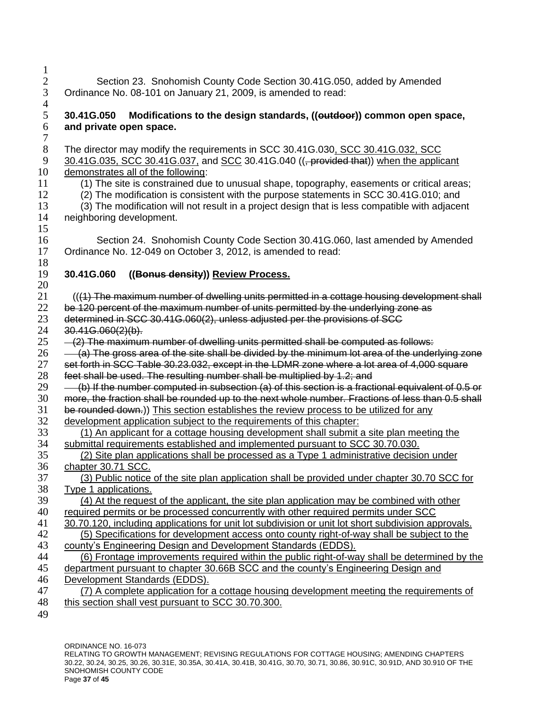| 5<br>6<br>7    | 30.41G.050 Modifications to the design standards, ((eutdoor)) common open space,<br>and private open space.                                                                                                                                                                                |
|----------------|--------------------------------------------------------------------------------------------------------------------------------------------------------------------------------------------------------------------------------------------------------------------------------------------|
| 8              | The director may modify the requirements in SCC 30.41G.030, SCC 30.41G.032, SCC                                                                                                                                                                                                            |
| 9              | 30.41G.035, SCC 30.41G.037, and SCC 30.41G.040 ((, provided that)) when the applicant                                                                                                                                                                                                      |
| 10             | demonstrates all of the following:                                                                                                                                                                                                                                                         |
| 11             | (1) The site is constrained due to unusual shape, topography, easements or critical areas;                                                                                                                                                                                                 |
| 12             | (2) The modification is consistent with the purpose statements in SCC 30.41G.010; and                                                                                                                                                                                                      |
| 13             | (3) The modification will not result in a project design that is less compatible with adjacent                                                                                                                                                                                             |
| 14<br>15       | neighboring development.                                                                                                                                                                                                                                                                   |
| 16<br>17<br>18 | Section 24. Snohomish County Code Section 30.41G.060, last amended by Amended<br>Ordinance No. 12-049 on October 3, 2012, is amended to read:                                                                                                                                              |
| 19             | 30.41G.060                                                                                                                                                                                                                                                                                 |
| 20             | ((Bonus density)) Review Process.                                                                                                                                                                                                                                                          |
| 21             | (((1) The maximum number of dwelling units permitted in a cottage housing development shall                                                                                                                                                                                                |
| 22             | be 120 percent of the maximum number of units permitted by the underlying zone as                                                                                                                                                                                                          |
| 23             | determined in SCC 30.41G.060(2), unless adjusted per the provisions of SCC                                                                                                                                                                                                                 |
| 24             | 30.41G.060(2)(b).                                                                                                                                                                                                                                                                          |
| 25             | -(2) The maximum number of dwelling units permitted shall be computed as follows:                                                                                                                                                                                                          |
| 26             | (a) The gross area of the site shall be divided by the minimum lot area of the underlying zone                                                                                                                                                                                             |
| 27             | set forth in SCC Table 30.23.032, except in the LDMR zone where a lot area of 4,000 square                                                                                                                                                                                                 |
| 28             | feet shall be used. The resulting number shall be multiplied by 1.2; and                                                                                                                                                                                                                   |
| 29             | (b) If the number computed in subsection (a) of this section is a fractional equivalent of 0.5 or                                                                                                                                                                                          |
| 30             | more, the fraction shall be rounded up to the next whole number. Fractions of less than 0.5 shall                                                                                                                                                                                          |
| 31             | be rounded down.) This section establishes the review process to be utilized for any                                                                                                                                                                                                       |
| 32             | development application subject to the requirements of this chapter:                                                                                                                                                                                                                       |
| 33             | (1) An applicant for a cottage housing development shall submit a site plan meeting the                                                                                                                                                                                                    |
| 34             | submittal requirements established and implemented pursuant to SCC 30.70.030.                                                                                                                                                                                                              |
| 35             | (2) Site plan applications shall be processed as a Type 1 administrative decision under                                                                                                                                                                                                    |
| 36             | chapter 30.71 SCC.                                                                                                                                                                                                                                                                         |
| 37             | (3) Public notice of the site plan application shall be provided under chapter 30.70 SCC for                                                                                                                                                                                               |
| 38             | Type 1 applications.                                                                                                                                                                                                                                                                       |
| 39             | (4) At the request of the applicant, the site plan application may be combined with other                                                                                                                                                                                                  |
| 40             | <u>required permits or be processed concurrently with other required permits under SCC</u>                                                                                                                                                                                                 |
| 41             | 30.70.120, including applications for unit lot subdivision or unit lot short subdivision approvals.                                                                                                                                                                                        |
| 42             | (5) Specifications for development access onto county right-of-way shall be subject to the                                                                                                                                                                                                 |
| 43             | county's Engineering Design and Development Standards (EDDS).                                                                                                                                                                                                                              |
| 44             | (6) Frontage improvements required within the public right-of-way shall be determined by the                                                                                                                                                                                               |
| 45             | department pursuant to chapter 30.66B SCC and the county's Engineering Design and                                                                                                                                                                                                          |
| 46             | Development Standards (EDDS).                                                                                                                                                                                                                                                              |
| 47<br>48<br>49 | (7) A complete application for a cottage housing development meeting the requirements of<br>this section shall vest pursuant to SCC 30.70.300.                                                                                                                                             |
|                | ORDINANCE NO. 16-073<br>RELATING TO GROWTH MANAGEMENT; REVISING REGULATIONS FOR COTTAGE HOUSING; AMENDING CHAPTERS<br>30.22, 30.24, 30.25, 30.26, 30.31E, 30.35A, 30.41A, 30.41B, 30.41G, 30.70, 30.71, 30.86, 30.91C, 30.91D, AND 30.910 OF THE<br>SNOHOMISH COUNTY CODE<br>Page 37 of 45 |
|                |                                                                                                                                                                                                                                                                                            |

2 Section 23. Snohomish County Code Section 30.41G.050, added by Amended

3 Ordinance No. 08-101 on January 21, 2009, is amended to read:

1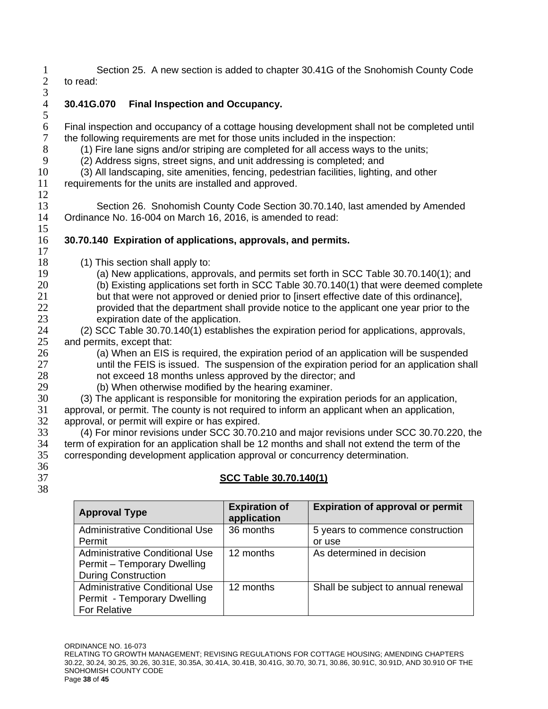1 Section 25. A new section is added to chapter 30.41G of the Snohomish County Code<br>2 to read: to read:

 $\frac{3}{4}$ 

5

12

15

4 **30.41G.070 Final Inspection and Occupancy.**

6 Final inspection and occupancy of a cottage housing development shall not be completed until the following requirements are met for those units included in the inspection:

- 8 (1) Fire lane signs and/or striping are completed for all access ways to the units;
- 9 (2) Address signs, street signs, and unit addressing is completed; and
- 10 (3) All landscaping, site amenities, fencing, pedestrian facilities, lighting, and other

11 requirements for the units are installed and approved.

13 Section 26. Snohomish County Code Section 30.70.140, last amended by Amended<br>14 Ordinance No. 16-004 on March 16. 2016. is amended to read: Ordinance No. 16-004 on March 16, 2016, is amended to read:

#### 16 **30.70.140 Expiration of applications, approvals, and permits.** 17

- 18 (1) This section shall apply to:
- 19 (a) New applications, approvals, and permits set forth in SCC Table 30.70.140(1); and
- 20 (b) Existing applications set forth in SCC Table 30.70.140(1) that were deemed complete 21 but that were not approved or denied prior to [insert effective date of this ordinance], 22 provided that the department shall provide notice to the applicant one year prior to the
- 23 expiration date of the application.
- 24 (2) SCC Table 30.70.140(1) establishes the expiration period for applications, approvals, 25 and permits, except that:
- 26 (a) When an EIS is required, the expiration period of an application will be suspended<br>27 **In the STA is a state of the suspension** of the expiration period for an application sha until the FEIS is issued. The suspension of the expiration period for an application shall
- 28 not exceed 18 months unless approved by the director; and
- 29 (b) When otherwise modified by the hearing examiner.<br>30 (3) The applicant is responsible for monitoring the expiration
	- 30 (3) The applicant is responsible for monitoring the expiration periods for an application,
- 31 approval, or permit. The county is not required to inform an applicant when an application, 32 approval, or permit will expire or has expired.
- 33 (4) For minor revisions under SCC 30.70.210 and major revisions under SCC 30.70.220, the<br>34 term of expiration for an application shall be 12 months and shall not extend the term of the term of expiration for an application shall be 12 months and shall not extend the term of the 35 corresponding development application approval or concurrency determination.
- 36
- 38

# 37 **SCC Table 30.70.140(1)**

| <b>Approval Type</b>                  | <b>Expiration of</b><br>application | <b>Expiration of approval or permit</b> |
|---------------------------------------|-------------------------------------|-----------------------------------------|
| Administrative Conditional Use        | 36 months                           | 5 years to commence construction        |
| Permit                                |                                     | or use                                  |
| Administrative Conditional Use        | 12 months                           | As determined in decision               |
| Permit - Temporary Dwelling           |                                     |                                         |
| <b>During Construction</b>            |                                     |                                         |
| <b>Administrative Conditional Use</b> | 12 months                           | Shall be subject to annual renewal      |
| Permit - Temporary Dwelling           |                                     |                                         |
| <b>For Relative</b>                   |                                     |                                         |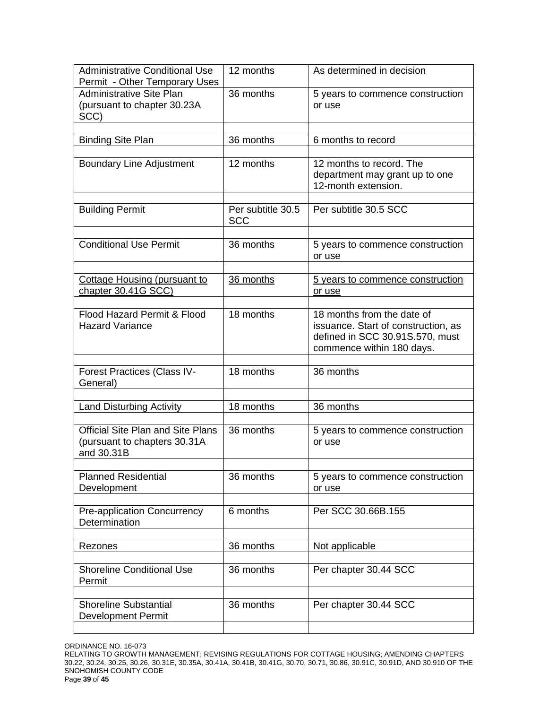| <b>Administrative Conditional Use</b><br>Permit - Other Temporary Uses                 | 12 months                       | As determined in decision                                                                                                         |
|----------------------------------------------------------------------------------------|---------------------------------|-----------------------------------------------------------------------------------------------------------------------------------|
| Administrative Site Plan<br>(pursuant to chapter 30.23A<br>SCC)                        | 36 months                       | 5 years to commence construction<br>or use                                                                                        |
| <b>Binding Site Plan</b>                                                               | 36 months                       | 6 months to record                                                                                                                |
| <b>Boundary Line Adjustment</b>                                                        | 12 months                       | 12 months to record. The<br>department may grant up to one<br>12-month extension.                                                 |
| <b>Building Permit</b>                                                                 | Per subtitle 30.5<br><b>SCC</b> | Per subtitle 30.5 SCC                                                                                                             |
| Conditional Use Permit                                                                 | 36 months                       | 5 years to commence construction<br>or use                                                                                        |
| <b>Cottage Housing (pursuant to</b><br>chapter 30.41G SCC)                             | 36 months                       | <u>5 years to commence construction</u><br>or use                                                                                 |
| Flood Hazard Permit & Flood<br><b>Hazard Variance</b>                                  | 18 months                       | 18 months from the date of<br>issuance. Start of construction, as<br>defined in SCC 30.91S.570, must<br>commence within 180 days. |
| <b>Forest Practices (Class IV-</b><br>General)                                         | 18 months                       | 36 months                                                                                                                         |
| <b>Land Disturbing Activity</b>                                                        | 18 months                       | 36 months                                                                                                                         |
| <b>Official Site Plan and Site Plans</b><br>(pursuant to chapters 30.31A<br>and 30.31B | 36 months                       | 5 years to commence construction<br>or use                                                                                        |
| <b>Planned Residential</b><br>Development                                              | 36 months                       | 5 years to commence construction<br>or use                                                                                        |
| <b>Pre-application Concurrency</b><br>Determination                                    | 6 months                        | Per SCC 30.66B.155                                                                                                                |
| Rezones                                                                                | 36 months                       | Not applicable                                                                                                                    |
| <b>Shoreline Conditional Use</b><br>Permit                                             | 36 months                       | Per chapter 30.44 SCC                                                                                                             |
| <b>Shoreline Substantial</b><br><b>Development Permit</b>                              | 36 months                       | Per chapter 30.44 SCC                                                                                                             |

RELATING TO GROWTH MANAGEMENT; REVISING REGULATIONS FOR COTTAGE HOUSING; AMENDING CHAPTERS 30.22, 30.24, 30.25, 30.26, 30.31E, 30.35A, 30.41A, 30.41B, 30.41G, 30.70, 30.71, 30.86, 30.91C, 30.91D, AND 30.910 OF THE SNOHOMISH COUNTY CODE Page **39** of **45**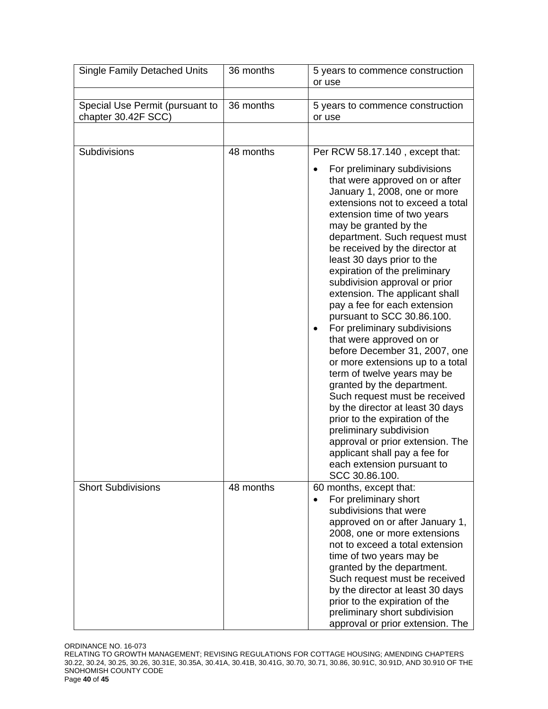| <b>Single Family Detached Units</b>                    | 36 months | 5 years to commence construction<br>or use                                                                                                                                                                                                                                                                                                                                                                                                                                                                                                                                                                                                                                                                                                                                                                                                                                                                                                                 |  |
|--------------------------------------------------------|-----------|------------------------------------------------------------------------------------------------------------------------------------------------------------------------------------------------------------------------------------------------------------------------------------------------------------------------------------------------------------------------------------------------------------------------------------------------------------------------------------------------------------------------------------------------------------------------------------------------------------------------------------------------------------------------------------------------------------------------------------------------------------------------------------------------------------------------------------------------------------------------------------------------------------------------------------------------------------|--|
| Special Use Permit (pursuant to<br>chapter 30.42F SCC) | 36 months | 5 years to commence construction<br>or use                                                                                                                                                                                                                                                                                                                                                                                                                                                                                                                                                                                                                                                                                                                                                                                                                                                                                                                 |  |
|                                                        |           |                                                                                                                                                                                                                                                                                                                                                                                                                                                                                                                                                                                                                                                                                                                                                                                                                                                                                                                                                            |  |
| Subdivisions                                           | 48 months | Per RCW 58.17.140, except that:<br>For preliminary subdivisions<br>that were approved on or after<br>January 1, 2008, one or more<br>extensions not to exceed a total<br>extension time of two years<br>may be granted by the<br>department. Such request must<br>be received by the director at<br>least 30 days prior to the<br>expiration of the preliminary<br>subdivision approval or prior<br>extension. The applicant shall<br>pay a fee for each extension<br>pursuant to SCC 30.86.100.<br>For preliminary subdivisions<br>٠<br>that were approved on or<br>before December 31, 2007, one<br>or more extensions up to a total<br>term of twelve years may be<br>granted by the department.<br>Such request must be received<br>by the director at least 30 days<br>prior to the expiration of the<br>preliminary subdivision<br>approval or prior extension. The<br>applicant shall pay a fee for<br>each extension pursuant to<br>SCC 30.86.100. |  |
| <b>Short Subdivisions</b>                              | 48 months | 60 months, except that:<br>For preliminary short<br>$\bullet$<br>subdivisions that were<br>approved on or after January 1,<br>2008, one or more extensions<br>not to exceed a total extension<br>time of two years may be<br>granted by the department.<br>Such request must be received<br>by the director at least 30 days<br>prior to the expiration of the<br>preliminary short subdivision<br>approval or prior extension. The                                                                                                                                                                                                                                                                                                                                                                                                                                                                                                                        |  |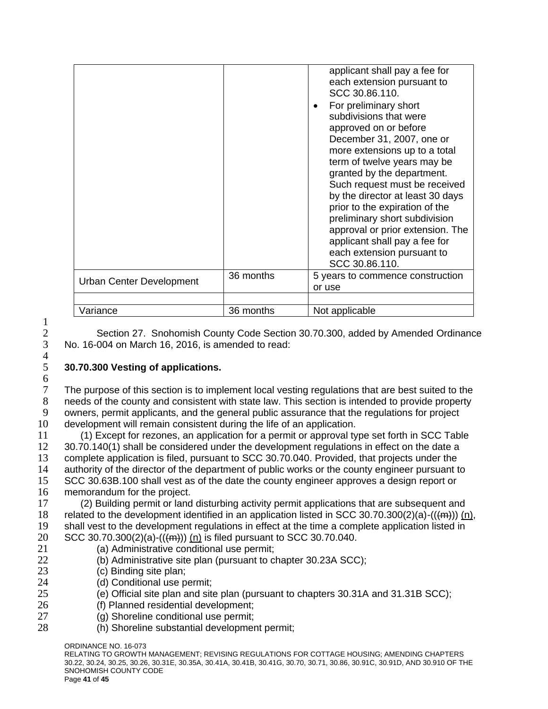|                                 |           | applicant shall pay a fee for<br>each extension pursuant to<br>SCC 30.86.110.<br>For preliminary short<br>subdivisions that were<br>approved on or before<br>December 31, 2007, one or<br>more extensions up to a total<br>term of twelve years may be<br>granted by the department.<br>Such request must be received<br>by the director at least 30 days<br>prior to the expiration of the<br>preliminary short subdivision<br>approval or prior extension. The<br>applicant shall pay a fee for<br>each extension pursuant to<br>SCC 30.86.110. |
|---------------------------------|-----------|---------------------------------------------------------------------------------------------------------------------------------------------------------------------------------------------------------------------------------------------------------------------------------------------------------------------------------------------------------------------------------------------------------------------------------------------------------------------------------------------------------------------------------------------------|
| <b>Urban Center Development</b> | 36 months | 5 years to commence construction<br>or use                                                                                                                                                                                                                                                                                                                                                                                                                                                                                                        |
|                                 |           |                                                                                                                                                                                                                                                                                                                                                                                                                                                                                                                                                   |
| Variance                        | 36 months | Not applicable                                                                                                                                                                                                                                                                                                                                                                                                                                                                                                                                    |

2 Section 27. Snohomish County Code Section 30.70.300, added by Amended Ordinance<br>3 No. 16-004 on March 16, 2016, is amended to read: 3 No. 16-004 on March 16, 2016, is amended to read:

## 5 **30.70.300 Vesting of applications.**

The purpose of this section is to implement local vesting regulations that are best suited to the needs of the county and consistent with state law. This section is intended to provide property owners, permit applicants, and the general public assurance that the regulations for project development will remain consistent during the life of an application.

 (1) Except for rezones, an application for a permit or approval type set forth in SCC Table 12 30.70.140(1) shall be considered under the development regulations in effect on the date a<br>13 complete application is filed, pursuant to SCC 30.70.040. Provided, that projects under the complete application is filed, pursuant to SCC 30.70.040. Provided, that projects under the authority of the director of the department of public works or the county engineer pursuant to SCC 30.63B.100 shall vest as of the date the county engineer approves a design report or memorandum for the project.

 (2) Building permit or land disturbing activity permit applications that are subsequent and related to the development identified in an application listed in SCC 30.70.300(2)(a)-(((m))) (n), shall vest to the development regulations in effect at the time a complete application listed in 20 SCC 30.70.300(2)(a)-(( $(m)$ )) (n) is filed pursuant to SCC 30.70.040.

- 21 (a) Administrative conditional use permit;
- 22 (b) Administrative site plan (pursuant to chapter 30.23A SCC);<br>23 (c) Binding site plan:
	- (c) Binding site plan;
- 24 (d) Conditional use permit;
- 25 (e) Official site plan and site plan (pursuant to chapters 30.31A and 31.31B SCC);
- 26 (f) Planned residential development;
- 27 (g) Shoreline conditional use permit;
- 28 (h) Shoreline substantial development permit;

ORDINANCE NO. 16-073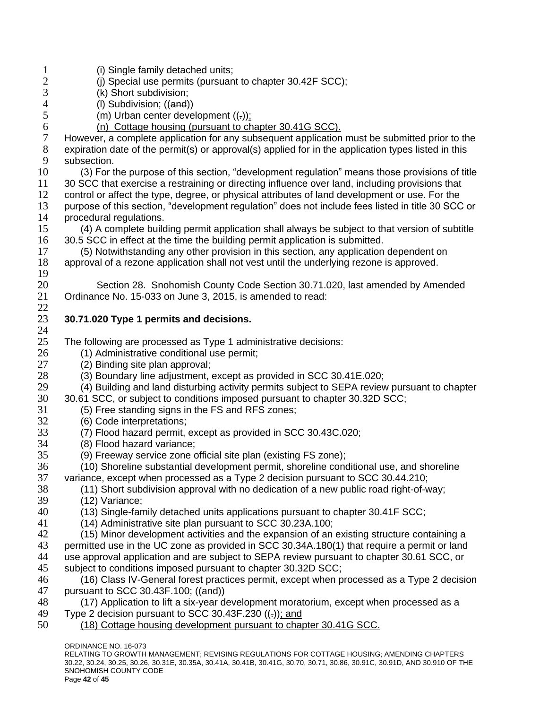1 (i) Single family detached units;<br>2 (i) Special use permits (pursuan 2 (j) Special use permits (pursuant to chapter 30.42F SCC);<br>3 (k) Short subdivision; 3 (k) Short subdivision;<br>4 (I) Subdivision: ((and) 4 (I) Subdivision; ((and))<br>5 (m) Urban center deve (m) Urban center development  $((.)$ ; (n) Cottage housing (pursuant to chapter 30.41G SCC). However, a complete application for any subsequent application must be submitted prior to the expiration date of the permit(s) or approval(s) applied for in the application types listed in this subsection. (3) For the purpose of this section, "development regulation" means those provisions of title 30 SCC that exercise a restraining or directing influence over land, including provisions that control or affect the type, degree, or physical attributes of land development or use. For the purpose of this section, "development regulation" does not include fees listed in title 30 SCC or procedural regulations. (4) A complete building permit application shall always be subject to that version of subtitle 30.5 SCC in effect at the time the building permit application is submitted. (5) Notwithstanding any other provision in this section, any application dependent on approval of a rezone application shall not vest until the underlying rezone is approved. Section 28. Snohomish County Code Section 30.71.020, last amended by Amended Ordinance No. 15-033 on June 3, 2015, is amended to read: **30.71.020 Type 1 permits and decisions.** The following are processed as Type 1 administrative decisions: 26 (1) Administrative conditional use permit;<br>27 (2) Binding site plan approval: (2) Binding site plan approval; (3) Boundary line adjustment, except as provided in SCC 30.41E.020; 29 (4) Building and land disturbing activity permits subject to SEPA review pursuant to chapter<br>30 30.61 SCC, or subject to conditions imposed pursuant to chapter 30.32D SCC; 30.61 SCC, or subject to conditions imposed pursuant to chapter 30.32D SCC; (5) Free standing signs in the FS and RFS zones; (6) Code interpretations; (7) Flood hazard permit, except as provided in SCC 30.43C.020; (8) Flood hazard variance; (9) Freeway service zone official site plan (existing FS zone); (10) Shoreline substantial development permit, shoreline conditional use, and shoreline variance, except when processed as a Type 2 decision pursuant to SCC 30.44.210; (11) Short subdivision approval with no dedication of a new public road right-of-way; (12) Variance; (13) Single-family detached units applications pursuant to chapter 30.41F SCC; (14) Administrative site plan pursuant to SCC 30.23A.100; (15) Minor development activities and the expansion of an existing structure containing a 43 permitted use in the UC zone as provided in SCC 30.34A.180(1) that require a permit or land use approval application and are subject to SEPA review pursuant to chapter 30.61 SCC, or subject to conditions imposed pursuant to chapter 30.32D SCC; 46 (16) Class IV-General forest practices permit, except when processed as a Type 2 decision<br>47 pursuant to SCC 30.43F.100: ((and)) pursuant to SCC 30.43F.100; ((and)) (17) Application to lift a six-year development moratorium, except when processed as a 49 Type 2 decision pursuant to SCC 30.43F.230  $((.)$ ; and (18) Cottage housing development pursuant to chapter 30.41G SCC.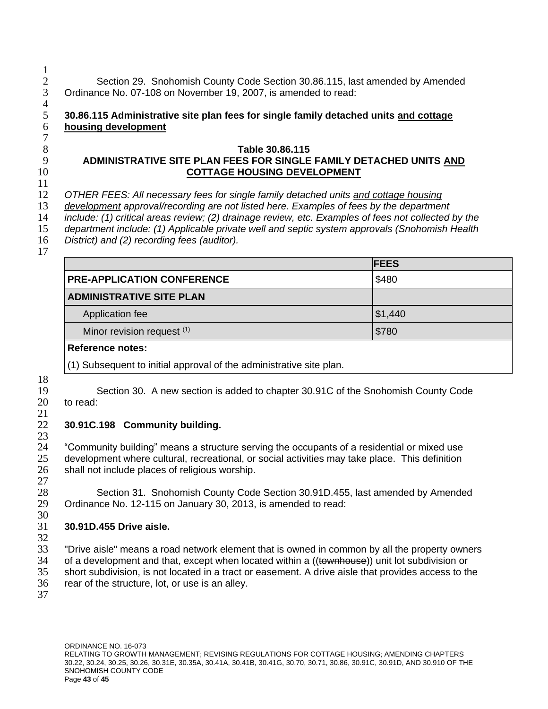$\frac{1}{2}$ 2 Section 29. Snohomish County Code Section 30.86.115, last amended by Amended 3 Ordinance No. 07-108 on November 19, 2007, is amended to read: Ordinance No. 07-108 on November 19, 2007, is amended to read:

#### $\frac{4}{5}$  **30.86.115 Administrative site plan fees for single family detached units and cottage housing development**

## **Table 30.86.115 ADMINISTRATIVE SITE PLAN FEES FOR SINGLE FAMILY DETACHED UNITS AND COTTAGE HOUSING DEVELOPMENT**

*OTHER FEES: All necessary fees for single family detached units and cottage housing* 

*development approval/recording are not listed here. Examples of fees by the department* 

*include: (1) critical areas review; (2) drainage review, etc. Examples of fees not collected by the* 

*department include: (1) Applicable private well and septic system approvals (Snohomish Health* 

*District) and (2) recording fees (auditor).*

|                                                                     | <b>FEES</b> |
|---------------------------------------------------------------------|-------------|
| <b>PRE-APPLICATION CONFERENCE</b>                                   | \$480       |
| <b>ADMINISTRATIVE SITE PLAN</b>                                     |             |
| Application fee                                                     | \$1,440     |
| Minor revision request (1)                                          | \$780       |
| <b>Reference notes:</b>                                             |             |
| (1) Subsequent to initial approval of the administrative site plan. |             |

Section 30. A new section is added to chapter 30.91C of the Snohomish County Code

to read:

 $\frac{21}{22}$ 

#### **30.91C.198 Community building.**

<sup>24</sup> "Community building" means a structure serving the occupants of a residential or mixed use<br>25 development where cultural, recreational, or social activities may take place. This definition development where cultural, recreational, or social activities may take place. This definition shall not include places of religious worship. 

 Section 31. Snohomish County Code Section 30.91D.455, last amended by Amended Ordinance No. 12-115 on January 30, 2013, is amended to read: 

# **30.91D.455 Drive aisle.**

 "Drive aisle" means a road network element that is owned in common by all the property owners 34 of a development and that, except when located within a ((townhouse)) unit lot subdivision or short subdivision, is not located in a tract or easement. A drive aisle that provides access to the rear of the structure, lot, or use is an alley.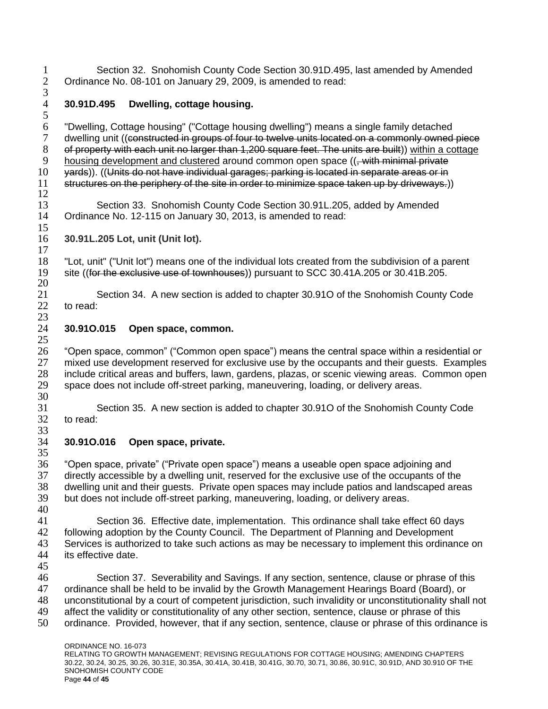1 Section 32. Snohomish County Code Section 30.91D.495, last amended by Amended 2 Ordinance No. 08-101 on January 29, 2009, is amended to read: Ordinance No. 08-101 on January 29, 2009, is amended to read:

### $\frac{3}{4}$ **30.91D.495 Dwelling, cottage housing.**

 "Dwelling, Cottage housing" ("Cottage housing dwelling") means a single family detached dwelling unit ((constructed in groups of four to twelve units located on a commonly owned piece of property with each unit no larger than 1,200 square feet. The units are built)) within a cottage 9 housing development and clustered around common open space ((, with minimal private 10 yards)). ((Units do not have individual garages; parking is located in separate areas or in structures on the periphery of the site in order to minimize space taken up by driveways.)) 

 Section 33. Snohomish County Code Section 30.91L.205, added by Amended Ordinance No. 12-115 on January 30, 2013, is amended to read:

**30.91L.205 Lot, unit (Unit lot).**

 "Lot, unit" ("Unit lot") means one of the individual lots created from the subdivision of a parent site ((for the exclusive use of townhouses)) pursuant to SCC 30.41A.205 or 30.41B.205.

 Section 34. A new section is added to chapter 30.91O of the Snohomish County Code to read:

# **30.91O.015 Open space, common.**

 "Open space, common" ("Common open space") means the central space within a residential or mixed use development reserved for exclusive use by the occupants and their guests. Examples 28 include critical areas and buffers, lawn, gardens, plazas, or scenic viewing areas. Common open<br>29 space does not include off-street parking, maneuvering, loading, or delivery areas. space does not include off-street parking, maneuvering, loading, or delivery areas. 

 Section 35. A new section is added to chapter 30.91O of the Snohomish County Code to read: 

# **30.91O.016 Open space, private.**

 "Open space, private" ("Private open space") means a useable open space adjoining and directly accessible by a dwelling unit, reserved for the exclusive use of the occupants of the 38 dwelling unit and their guests. Private open spaces may include patios and landscaped areas 39 but does not include off-street parking. maneuvering. loading, or delivery areas. but does not include off-street parking, maneuvering, loading, or delivery areas.

- Section 36. Effective date, implementation. This ordinance shall take effect 60 days following adoption by the County Council. The Department of Planning and Development Services is authorized to take such actions as may be necessary to implement this ordinance on its effective date.
- 

 Section 37. Severability and Savings. If any section, sentence, clause or phrase of this ordinance shall be held to be invalid by the Growth Management Hearings Board (Board), or 48 unconstitutional by a court of competent jurisdiction, such invalidity or unconstitutionality shall not 49 affect the validity or constitutionality of any other section, sentence, clause or phrase of this affect the validity or constitutionality of any other section, sentence, clause or phrase of this ordinance. Provided, however, that if any section, sentence, clause or phrase of this ordinance is